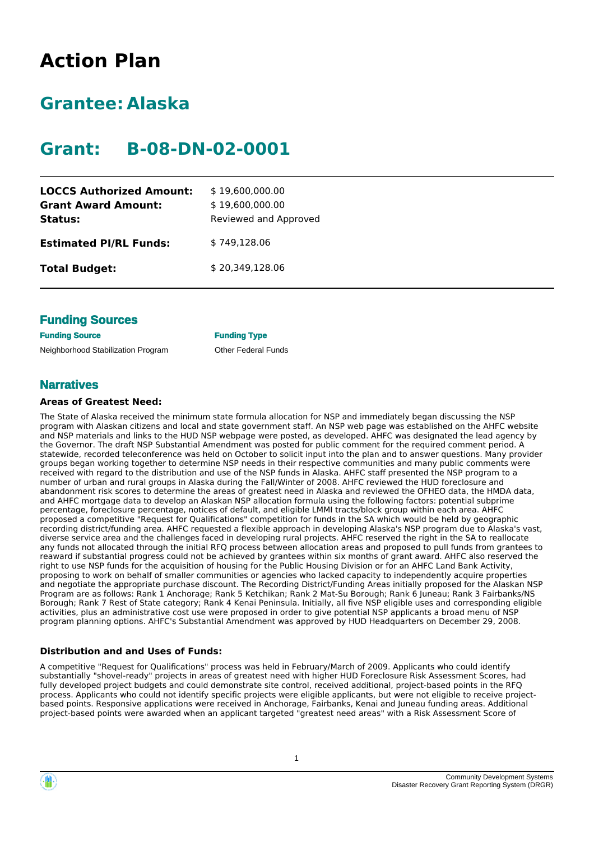# **Action Plan**

# **Grantee: Alaska**

# **Grant: B-08-DN-02-0001**

| <b>LOCCS Authorized Amount:</b><br><b>Grant Award Amount:</b> | \$19,600,000.00<br>\$19,600,000.00 |
|---------------------------------------------------------------|------------------------------------|
| Status:                                                       | Reviewed and Approved              |
| <b>Estimated PI/RL Funds:</b>                                 | \$749,128.06                       |
| <b>Total Budget:</b>                                          | \$20,349,128.06                    |

## **Funding Sources**

**Funding Source Funding Type** Neighborhood Stabilization Program **Other Federal Funds** 

## **Narratives**

#### **Areas of Greatest Need:**

The State of Alaska received the minimum state formula allocation for NSP and immediately began discussing the NSP program with Alaskan citizens and local and state government staff. An NSP web page was established on the AHFC website and NSP materials and links to the HUD NSP webpage were posted, as developed. AHFC was designated the lead agency by the Governor. The draft NSP Substantial Amendment was posted for public comment for the required comment period. A statewide, recorded teleconference was held on October to solicit input into the plan and to answer questions. Many provider groups began working together to determine NSP needs in their respective communities and many public comments were received with regard to the distribution and use of the NSP funds in Alaska. AHFC staff presented the NSP program to a number of urban and rural groups in Alaska during the Fall/Winter of 2008. AHFC reviewed the HUD foreclosure and abandonment risk scores to determine the areas of greatest need in Alaska and reviewed the OFHEO data, the HMDA data, and AHFC mortgage data to develop an Alaskan NSP allocation formula using the following factors: potential subprime percentage, foreclosure percentage, notices of default, and eligible LMMI tracts/block group within each area. AHFC proposed a competitive "Request for Qualifications" competition for funds in the SA which would be held by geographic recording district/funding area. AHFC requested a flexible approach in developing Alaska's NSP program due to Alaska's vast, diverse service area and the challenges faced in developing rural projects. AHFC reserved the right in the SA to reallocate any funds not allocated through the initial RFQ process between allocation areas and proposed to pull funds from grantees to reaward if substantial progress could not be achieved by grantees within six months of grant award. AHFC also reserved the right to use NSP funds for the acquisition of housing for the Public Housing Division or for an AHFC Land Bank Activity, proposing to work on behalf of smaller communities or agencies who lacked capacity to independently acquire properties and negotiate the appropriate purchase discount. The Recording District/Funding Areas initially proposed for the Alaskan NSP Program are as follows: Rank 1 Anchorage; Rank 5 Ketchikan; Rank 2 Mat-Su Borough; Rank 6 Juneau; Rank 3 Fairbanks/NS Borough; Rank 7 Rest of State category; Rank 4 Kenai Peninsula. Initially, all five NSP eligible uses and corresponding eligible activities, plus an administrative cost use were proposed in order to give potential NSP applicants a broad menu of NSP program planning options. AHFC's Substantial Amendment was approved by HUD Headquarters on December 29, 2008.

## **Distribution and and Uses of Funds:**

A competitive "Request for Qualifications" process was held in February/March of 2009. Applicants who could identify substantially "shovel-ready" projects in areas of greatest need with higher HUD Foreclosure Risk Assessment Scores, had fully developed project budgets and could demonstrate site control, received additional, project-based points in the RFQ process. Applicants who could not identify specific projects were eligible applicants, but were not eligible to receive projectbased points. Responsive applications were received in Anchorage, Fairbanks, Kenai and Juneau funding areas. Additional project-based points were awarded when an applicant targeted "greatest need areas" with a Risk Assessment Score of

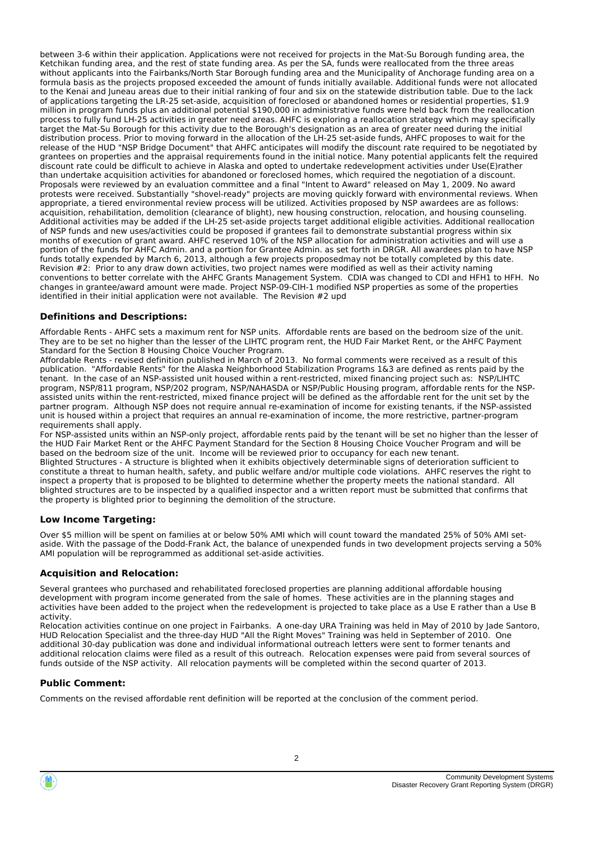between 3-6 within their application. Applications were not received for projects in the Mat-Su Borough funding area, the Ketchikan funding area, and the rest of state funding area. As per the SA, funds were reallocated from the three areas without applicants into the Fairbanks/North Star Borough funding area and the Municipality of Anchorage funding area on a formula basis as the projects proposed exceeded the amount of funds initially available. Additional funds were not allocated to the Kenai and Juneau areas due to their initial ranking of four and six on the statewide distribution table. Due to the lack of applications targeting the LR-25 set-aside, acquisition of foreclosed or abandoned homes or residential properties, \$1.9 million in program funds plus an additional potential \$190,000 in administrative funds were held back from the reallocation process to fully fund LH-25 activities in greater need areas. AHFC is exploring a reallocation strategy which may specifically target the Mat-Su Borough for this activity due to the Borough's designation as an area of greater need during the initial distribution process. Prior to moving forward in the allocation of the LH-25 set-aside funds, AHFC proposes to wait for the release of the HUD "NSP Bridge Document" that AHFC anticipates will modify the discount rate required to be negotiated by grantees on properties and the appraisal requirements found in the initial notice. Many potential applicants felt the required discount rate could be difficult to achieve in Alaska and opted to undertake redevelopment activities under Use(E)rather than undertake acquisition activities for abandoned or foreclosed homes, which required the negotiation of a discount. Proposals were reviewed by an evaluation committee and a final "Intent to Award" released on May 1, 2009. No award protests were received. Substantially "shovel-ready" projects are moving quickly forward with environmental reviews. When appropriate, a tiered environmental review process will be utilized. Activities proposed by NSP awardees are as follows: acquisition, rehabilitation, demolition (clearance of blight), new housing construction, relocation, and housing counseling. Additional activities may be added if the LH-25 set-aside projects target additional eligible activities. Additional reallocation of NSP funds and new uses/activities could be proposed if grantees fail to demonstrate substantial progress within six months of execution of grant award. AHFC reserved 10% of the NSP allocation for administration activities and will use a portion of the funds for AHFC Admin. and a portion for Grantee Admin. as set forth in DRGR. All awardees plan to have NSP funds totally expended by March 6, 2013, although a few projects proposedmay not be totally completed by this date. Revision #2: Prior to any draw down activities, two project names were modified as well as their activity naming conventions to better correlate with the AHFC Grants Management System. CDIA was changed to CDI and HFH1 to HFH. No changes in grantee/award amount were made. Project NSP-09-CIH-1 modified NSP properties as some of the properties identified in their initial application were not available. The Revision #2 upd

#### **Definitions and Descriptions:**

Affordable Rents - AHFC sets a maximum rent for NSP units. Affordable rents are based on the bedroom size of the unit. They are to be set no higher than the lesser of the LIHTC program rent, the HUD Fair Market Rent, or the AHFC Payment Standard for the Section 8 Housing Choice Voucher Program.

Affordable Rents - revised definition published in March of 2013. No formal comments were received as a result of this publication. "Affordable Rents" for the Alaska Neighborhood Stabilization Programs 1&3 are defined as rents paid by the tenant. In the case of an NSP-assisted unit housed within a rent-restricted, mixed financing project such as: NSP/LIHTC program, NSP/811 program, NSP/202 program, NSP/NAHASDA or NSP/Public Housing program, affordable rents for the NSPassisted units within the rent-restricted, mixed finance project will be defined as the affordable rent for the unit set by the partner program. Although NSP does not require annual re-examination of income for existing tenants, if the NSP-assisted unit is housed within a project that requires an annual re-examination of income, the more restrictive, partner-program requirements shall apply.

For NSP-assisted units within an NSP-only project, affordable rents paid by the tenant will be set no higher than the lesser of the HUD Fair Market Rent or the AHFC Payment Standard for the Section 8 Housing Choice Voucher Program and will be based on the bedroom size of the unit. Income will be reviewed prior to occupancy for each new tenant. Blighted Structures - A structure is blighted when it exhibits objectively determinable signs of deterioration sufficient to constitute a threat to human health, safety, and public welfare and/or multiple code violations. AHFC reserves the right to inspect a property that is proposed to be blighted to determine whether the property meets the national standard. All blighted structures are to be inspected by a qualified inspector and a written report must be submitted that confirms that the property is blighted prior to beginning the demolition of the structure.

#### **Low Income Targeting:**

Over \$5 million will be spent on families at or below 50% AMI which will count toward the mandated 25% of 50% AMI setaside. With the passage of the Dodd-Frank Act, the balance of unexpended funds in two development projects serving a 50% AMI population will be reprogrammed as additional set-aside activities.

#### **Acquisition and Relocation:**

Several grantees who purchased and rehabilitated foreclosed properties are planning additional affordable housing development with program income generated from the sale of homes. These activities are in the planning stages and activities have been added to the project when the redevelopment is projected to take place as a Use E rather than a Use B activity.

Relocation activities continue on one project in Fairbanks. A one-day URA Training was held in May of 2010 by Jade Santoro, HUD Relocation Specialist and the three-day HUD "All the Right Moves" Training was held in September of 2010. One additional 30-day publication was done and individual informational outreach letters were sent to former tenants and additional relocation claims were filed as a result of this outreach. Relocation expenses were paid from several sources of funds outside of the NSP activity. All relocation payments will be completed within the second quarter of 2013.

#### **Public Comment:**

Comments on the revised affordable rent definition will be reported at the conclusion of the comment period.

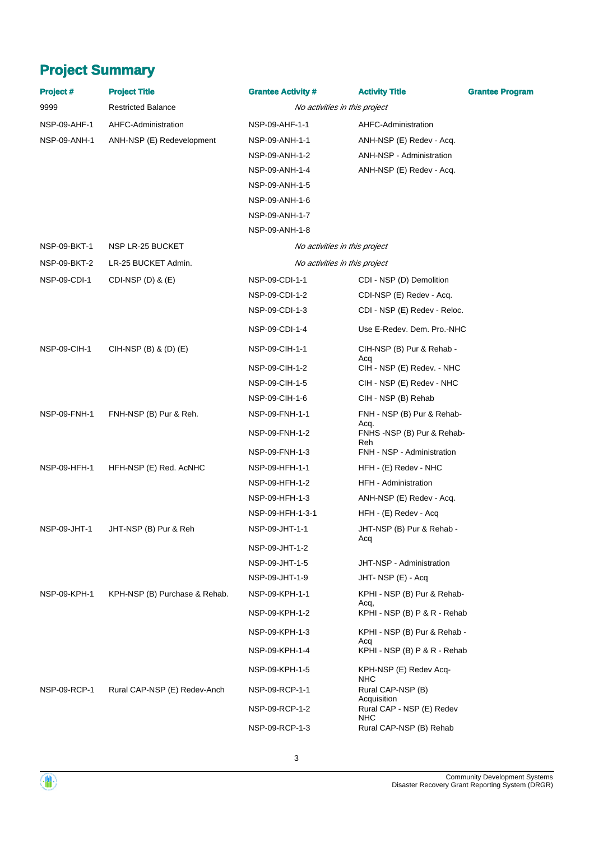# **Project Summary**

| <b>Project #</b> | <b>Project Title</b>          | <b>Grantee Activity #</b>     | <b>Activity Title</b>                            | <b>Grantee Program</b> |
|------------------|-------------------------------|-------------------------------|--------------------------------------------------|------------------------|
| 9999             | <b>Restricted Balance</b>     | No activities in this project |                                                  |                        |
| NSP-09-AHF-1     | AHFC-Administration           | NSP-09-AHF-1-1                | AHFC-Administration                              |                        |
| NSP-09-ANH-1     | ANH-NSP (E) Redevelopment     | NSP-09-ANH-1-1                | ANH-NSP (E) Redev - Acq.                         |                        |
|                  |                               | NSP-09-ANH-1-2                | ANH-NSP - Administration                         |                        |
|                  |                               | NSP-09-ANH-1-4                | ANH-NSP (E) Redev - Acq.                         |                        |
|                  |                               | NSP-09-ANH-1-5                |                                                  |                        |
|                  |                               | NSP-09-ANH-1-6                |                                                  |                        |
|                  |                               | NSP-09-ANH-1-7                |                                                  |                        |
|                  |                               | NSP-09-ANH-1-8                |                                                  |                        |
| NSP-09-BKT-1     | NSP LR-25 BUCKET              | No activities in this project |                                                  |                        |
| NSP-09-BKT-2     | LR-25 BUCKET Admin.           | No activities in this project |                                                  |                        |
| NSP-09-CDI-1     | CDI-NSP $(D)$ & $(E)$         | NSP-09-CDI-1-1                | CDI - NSP (D) Demolition                         |                        |
|                  |                               | NSP-09-CDI-1-2                | CDI-NSP (E) Redev - Acq.                         |                        |
|                  |                               | NSP-09-CDI-1-3                | CDI - NSP (E) Redev - Reloc.                     |                        |
|                  |                               | NSP-09-CDI-1-4                | Use E-Redev. Dem. Pro.-NHC                       |                        |
| NSP-09-CIH-1     | CIH-NSP $(B)$ & $(D)$ $(E)$   | NSP-09-CIH-1-1                | CIH-NSP (B) Pur & Rehab -                        |                        |
|                  |                               | NSP-09-CIH-1-2                | Acq<br>CIH - NSP (E) Redev. - NHC                |                        |
|                  |                               | NSP-09-CIH-1-5                | CIH - NSP (E) Redev - NHC                        |                        |
|                  |                               | NSP-09-CIH-1-6                | CIH - NSP (B) Rehab                              |                        |
| NSP-09-FNH-1     | FNH-NSP (B) Pur & Reh.        | NSP-09-FNH-1-1                | FNH - NSP (B) Pur & Rehab-<br>Acq.               |                        |
|                  |                               | NSP-09-FNH-1-2                | FNHS-NSP (B) Pur & Rehab-                        |                        |
|                  |                               | NSP-09-FNH-1-3                | Reh<br>FNH - NSP - Administration                |                        |
| NSP-09-HFH-1     | HFH-NSP (E) Red. AcNHC        | NSP-09-HFH-1-1                | HFH - (E) Redev - NHC                            |                        |
|                  |                               | NSP-09-HFH-1-2                | HFH - Administration                             |                        |
|                  |                               | NSP-09-HFH-1-3                | ANH-NSP (E) Redev - Acq.                         |                        |
|                  |                               | NSP-09-HFH-1-3-1              | HFH - (E) Redev - Acq                            |                        |
| NSP-09-JHT-1     | JHT-NSP (B) Pur & Reh         | NSP-09-JHT-1-1                | JHT-NSP (B) Pur & Rehab -                        |                        |
|                  |                               | NSP-09-JHT-1-2                | Acq                                              |                        |
|                  |                               | NSP-09-JHT-1-5                | JHT-NSP - Administration                         |                        |
|                  |                               | NSP-09-JHT-1-9                | JHT-NSP (E) - Acq                                |                        |
| NSP-09-KPH-1     | KPH-NSP (B) Purchase & Rehab. | NSP-09-KPH-1-1                | KPHI - NSP (B) Pur & Rehab-                      |                        |
|                  |                               | NSP-09-KPH-1-2                | Acq,<br>KPHI - NSP (B) P & R - Rehab             |                        |
|                  |                               | NSP-09-KPH-1-3                | KPHI - NSP (B) Pur & Rehab -<br>Acq              |                        |
|                  |                               | NSP-09-KPH-1-4                | KPHI - NSP (B) P & R - Rehab                     |                        |
|                  |                               | NSP-09-KPH-1-5                | KPH-NSP (E) Redev Acq-<br>NHC                    |                        |
| NSP-09-RCP-1     | Rural CAP-NSP (E) Redev-Anch  | NSP-09-RCP-1-1                | Rural CAP-NSP (B)                                |                        |
|                  |                               | NSP-09-RCP-1-2                | Acquisition<br>Rural CAP - NSP (E) Redev<br>NHC. |                        |
|                  |                               | NSP-09-RCP-1-3                | Rural CAP-NSP (B) Rehab                          |                        |

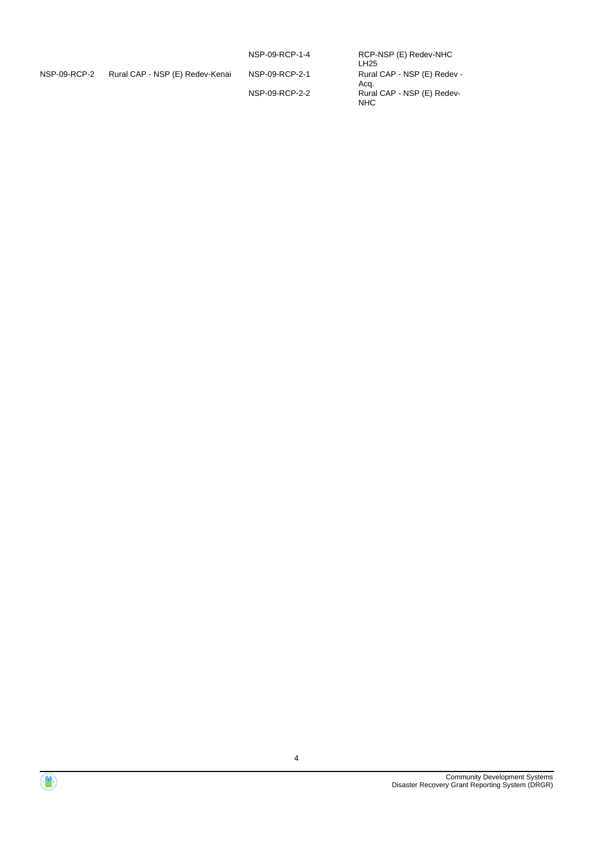|              |                                 | NSP-09-RCP-1-4 | RCP-NSP (E) Redev-NHC<br>LH <sub>25</sub> |
|--------------|---------------------------------|----------------|-------------------------------------------|
| NSP-09-RCP-2 | Rural CAP - NSP (E) Redev-Kenai | NSP-09-RCP-2-1 | Rural CAP - NSP (E) Redev -<br>Aca.       |
|              |                                 | NSP-09-RCP-2-2 | Rural CAP - NSP (E) Redev-<br><b>NHC</b>  |

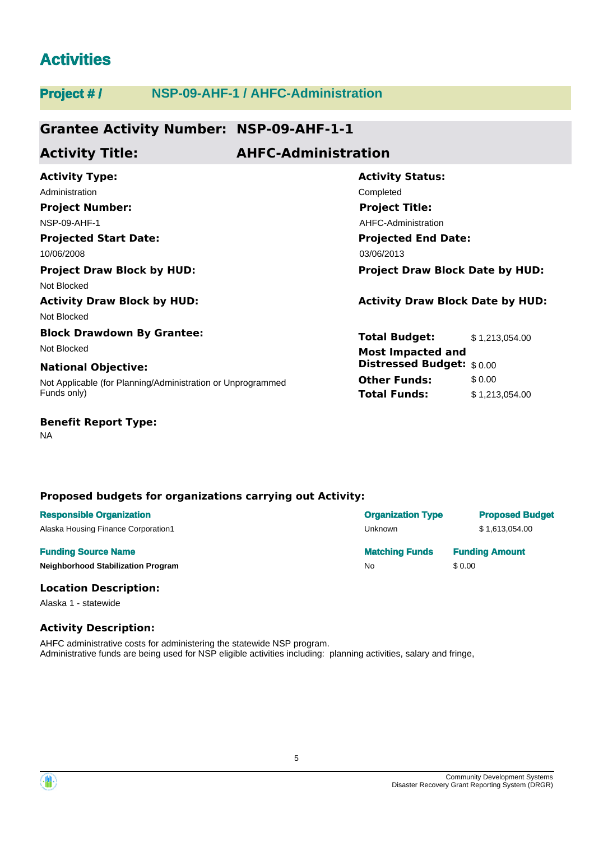# **Activities**

## **Project # / NSP-09-AHF-1 / AHFC-Administration Grantee Activity Number: NSP-09-AHF-1-1 Projected Start Date: Activity Status: Projected End Date: Activity Type:** 10/06/2008 03/06/2013 Administration **Completed** Completed **Completed Activity Title: AHFC-Administration Project Number:** NSP-09-AHF-1 **Project Title:** AHFC-Administration **Project Draw Block by HUD: Project Draw Block Date by HUD:** Not Blocked **Activity Draw Block by HUD: Activity Draw Block Date by HUD:**

Not Blocked

## **Block Drawdown By Grantee:** Not Blocked **Most Impacted and**

Not Applicable (for Planning/Administration or Unprogrammed Funds only) **National Objective:**

### **Benefit Report Type:**

NA

## **Proposed budgets for organizations carrying out Activity:**

| <b>Responsible Organization</b>     | <b>Organization Type</b> | <b>Proposed Budget</b> |
|-------------------------------------|--------------------------|------------------------|
| Alaska Housing Finance Corporation1 | Unknown                  | \$1.613.054.00         |
|                                     |                          |                        |
| <b>Funding Source Name</b>          | <b>Matching Funds</b>    | <b>Funding Amount</b>  |

#### **Location Description:**

Alaska 1 - statewide

## **Activity Description:**

AHFC administrative costs for administering the statewide NSP program. Administrative funds are being used for NSP eligible activities including: planning activities, salary and fringe,

**Total Budget:** \$ 1,213,054.00

**Total Funds:** \$ 1,213,054.00

**Other Funds:** \$0.00

**Distressed Budget:** \$ 0.00

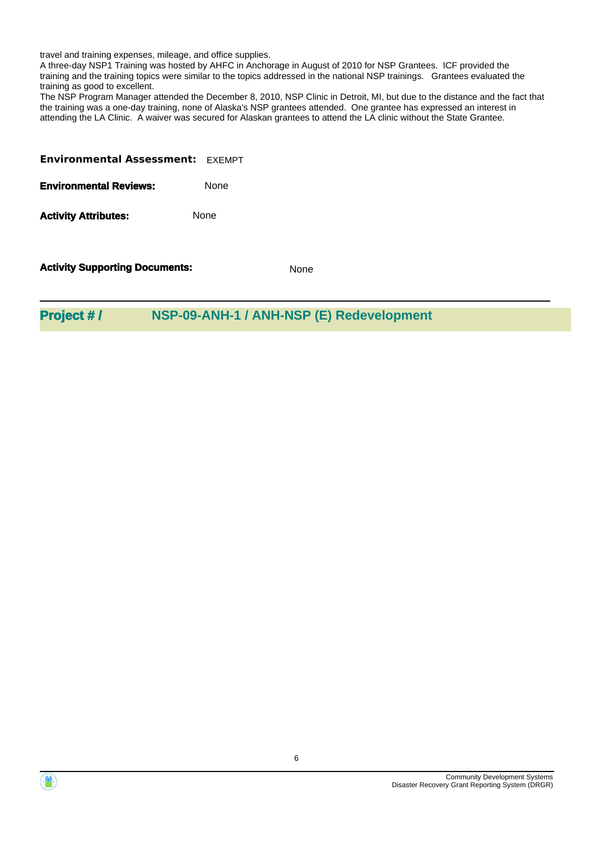travel and training expenses, mileage, and office supplies.

A three-day NSP1 Training was hosted by AHFC in Anchorage in August of 2010 for NSP Grantees. ICF provided the training and the training topics were similar to the topics addressed in the national NSP trainings. Grantees evaluated the training as good to excellent.

The NSP Program Manager attended the December 8, 2010, NSP Clinic in Detroit, MI, but due to the distance and the fact that the training was a one-day training, none of Alaska's NSP grantees attended. One grantee has expressed an interest in attending the LA Clinic. A waiver was secured for Alaskan grantees to attend the LA clinic without the State Grantee.

| <b>Environmental Assessment: EXEMPT</b> |             |
|-----------------------------------------|-------------|
| <b>Environmental Reviews:</b>           | <b>None</b> |

Activity **Attributes:** None

**Activity Supporting Documents:** None

**Project # / NSP-09-ANH-1 / ANH-NSP (E) Redevelopment**

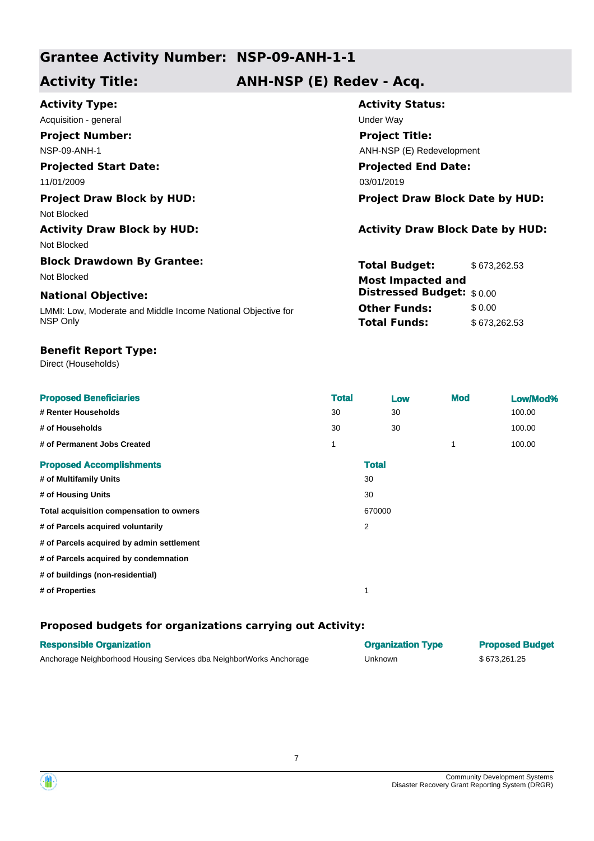## **Activity Title: ANH-NSP (E) Redev - Acq.**

| <b>Activity Type:</b>                                        | <b>Activity Status:</b>                 |              |  |
|--------------------------------------------------------------|-----------------------------------------|--------------|--|
| Acquisition - general                                        | Under Way                               |              |  |
| <b>Project Number:</b>                                       | <b>Project Title:</b>                   |              |  |
| <b>NSP-09-ANH-1</b>                                          | ANH-NSP (E) Redevelopment               |              |  |
| <b>Projected Start Date:</b>                                 | <b>Projected End Date:</b>              |              |  |
| 11/01/2009                                                   | 03/01/2019                              |              |  |
| <b>Project Draw Block by HUD:</b>                            | <b>Project Draw Block Date by HUD:</b>  |              |  |
| Not Blocked                                                  |                                         |              |  |
| <b>Activity Draw Block by HUD:</b>                           | <b>Activity Draw Block Date by HUD:</b> |              |  |
| Not Blocked                                                  |                                         |              |  |
| <b>Block Drawdown By Grantee:</b>                            | <b>Total Budget:</b>                    | \$673,262.53 |  |
| Not Blocked                                                  | <b>Most Impacted and</b>                |              |  |
| <b>National Objective:</b>                                   | <b>Distressed Budget:</b> \$0.00        |              |  |
| LMMI: Low, Moderate and Middle Income National Objective for | <b>Other Funds:</b>                     | \$0.00       |  |
| NSP Only                                                     | <b>Total Funds:</b>                     | \$673,262.53 |  |

## **Benefit Report Type:**

Direct (Households)

| <b>Proposed Beneficiaries</b><br># Renter Households | <b>Total</b><br>30 |              | Low<br>30 | <b>Mod</b> | Low/Mod%<br>100.00 |
|------------------------------------------------------|--------------------|--------------|-----------|------------|--------------------|
| # of Households                                      | 30                 |              | 30        |            | 100.00             |
| # of Permanent Jobs Created                          | 1                  |              |           | 1          | 100.00             |
| <b>Proposed Accomplishments</b>                      |                    | <b>Total</b> |           |            |                    |
| # of Multifamily Units                               |                    | 30           |           |            |                    |
| # of Housing Units                                   |                    | 30           |           |            |                    |
| Total acquisition compensation to owners             |                    | 670000       |           |            |                    |
| # of Parcels acquired voluntarily                    |                    | 2            |           |            |                    |
| # of Parcels acquired by admin settlement            |                    |              |           |            |                    |
| # of Parcels acquired by condemnation                |                    |              |           |            |                    |
| # of buildings (non-residential)                     |                    |              |           |            |                    |
| # of Properties                                      |                    | 1            |           |            |                    |

| <b>Responsible Organization</b>                                     | <b>Organization Type</b> | <b>Proposed Budget</b> |
|---------------------------------------------------------------------|--------------------------|------------------------|
| Anchorage Neighborhood Housing Services dba NeighborWorks Anchorage | Unknown                  | \$673.261.25           |



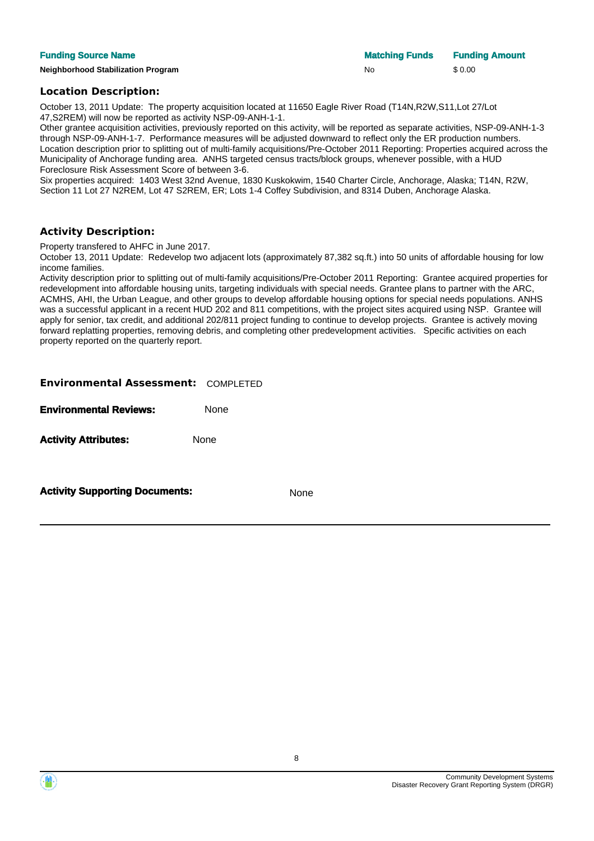**Neighborhood Stabilization Program No \$ 0.00** \$ 0.00

**Funding Source Name Matching Funds Funding Amount Matching Funds Funding Amount** 

#### **Location Description:**

October 13, 2011 Update: The property acquisition located at 11650 Eagle River Road (T14N,R2W,S11,Lot 27/Lot 47,S2REM) will now be reported as activity NSP-09-ANH-1-1.

Other grantee acquisition activities, previously reported on this activity, will be reported as separate activities, NSP-09-ANH-1-3 through NSP-09-ANH-1-7. Performance measures will be adjusted downward to reflect only the ER production numbers. Location description prior to splitting out of multi-family acquisitions/Pre-October 2011 Reporting: Properties acquired across the Municipality of Anchorage funding area. ANHS targeted census tracts/block groups, whenever possible, with a HUD Foreclosure Risk Assessment Score of between 3-6.

Six properties acquired: 1403 West 32nd Avenue, 1830 Kuskokwim, 1540 Charter Circle, Anchorage, Alaska; T14N, R2W, Section 11 Lot 27 N2REM, Lot 47 S2REM, ER; Lots 1-4 Coffey Subdivision, and 8314 Duben, Anchorage Alaska.

### **Activity Description:**

Property transfered to AHFC in June 2017.

October 13, 2011 Update: Redevelop two adjacent lots (approximately 87,382 sq.ft.) into 50 units of affordable housing for low income families.

Activity description prior to splitting out of multi-family acquisitions/Pre-October 2011 Reporting: Grantee acquired properties for redevelopment into affordable housing units, targeting individuals with special needs. Grantee plans to partner with the ARC, ACMHS, AHI, the Urban League, and other groups to develop affordable housing options for special needs populations. ANHS was a successful applicant in a recent HUD 202 and 811 competitions, with the project sites acquired using NSP. Grantee will apply for senior, tax credit, and additional 202/811 project funding to continue to develop projects. Grantee is actively moving forward replatting properties, removing debris, and completing other predevelopment activities. Specific activities on each property reported on the quarterly report.

| <b>Environmental Assessment: COMPLETED</b> |      |
|--------------------------------------------|------|
| <b>Environmental Reviews:</b>              | None |
| <b>Activity Attributes:</b>                | None |
| <b>Activity Supporting Documents:</b>      | None |



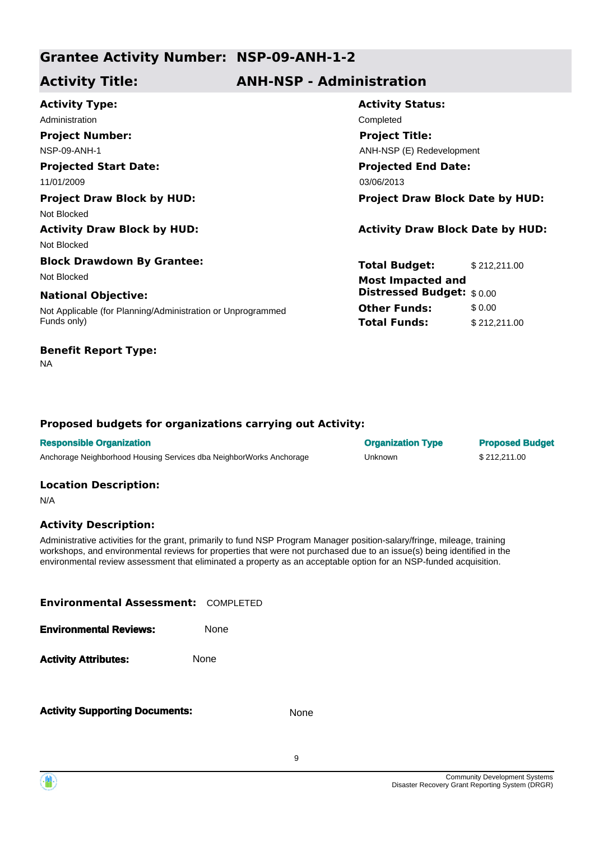## **Activity Title: ANH-NSP - Administration**

| Completed<br><b>Project Title:</b><br>ANH-NSP (E) Redevelopment<br><b>Projected End Date:</b> |                                                                                                                                                  |
|-----------------------------------------------------------------------------------------------|--------------------------------------------------------------------------------------------------------------------------------------------------|
|                                                                                               |                                                                                                                                                  |
|                                                                                               |                                                                                                                                                  |
|                                                                                               |                                                                                                                                                  |
|                                                                                               |                                                                                                                                                  |
|                                                                                               |                                                                                                                                                  |
|                                                                                               | <b>Project Draw Block Date by HUD:</b>                                                                                                           |
|                                                                                               |                                                                                                                                                  |
|                                                                                               | <b>Activity Draw Block Date by HUD:</b>                                                                                                          |
|                                                                                               |                                                                                                                                                  |
|                                                                                               | \$212,211.00                                                                                                                                     |
|                                                                                               |                                                                                                                                                  |
|                                                                                               |                                                                                                                                                  |
|                                                                                               | \$0.00                                                                                                                                           |
|                                                                                               | \$212,211.00                                                                                                                                     |
|                                                                                               | 03/06/2013<br><b>Total Budget:</b><br><b>Most Impacted and</b><br><b>Distressed Budget:</b> \$0.00<br><b>Other Funds:</b><br><b>Total Funds:</b> |

## **Benefit Report Type:**

NA

## **Proposed budgets for organizations carrying out Activity:**

| <b>Responsible Organization</b>                                     | <b>Organization Type</b> | <b>Proposed Budget</b> |
|---------------------------------------------------------------------|--------------------------|------------------------|
| Anchorage Neighborhood Housing Services dba NeighborWorks Anchorage | Unknown                  | \$212.211.00           |

## **Location Description:**

N/A

## **Activity Description:**

Administrative activities for the grant, primarily to fund NSP Program Manager position-salary/fringe, mileage, training workshops, and environmental reviews for properties that were not purchased due to an issue(s) being identified in the environmental review assessment that eliminated a property as an acceptable option for an NSP-funded acquisition.

| <b>Environmental Assessment: COMPLETED</b> |             |
|--------------------------------------------|-------------|
| <b>Environmental Reviews:</b>              | <b>None</b> |
| <b>Activity Attributes:</b>                | <b>None</b> |
|                                            |             |

**Activity Supporting Documents:** None

9

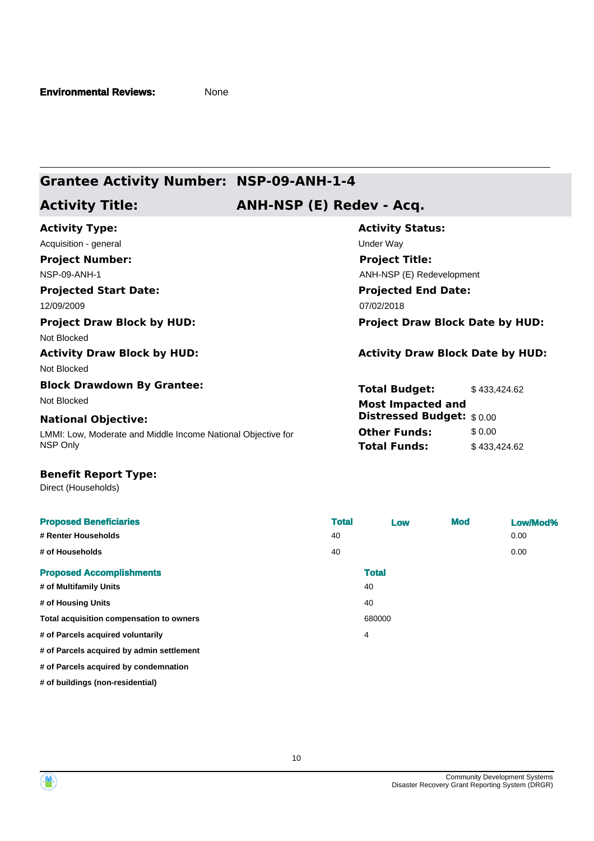## **Activity Title: ANH-NSP (E) Redev - Acq.**

| <b>Activity Type:</b>                                        | <b>Activity Status:</b>                 |  |  |
|--------------------------------------------------------------|-----------------------------------------|--|--|
| Acquisition - general                                        | Under Way                               |  |  |
| <b>Project Number:</b>                                       | <b>Project Title:</b>                   |  |  |
| <b>NSP-09-ANH-1</b>                                          | ANH-NSP (E) Redevelopment               |  |  |
| <b>Projected Start Date:</b>                                 | <b>Projected End Date:</b>              |  |  |
| 12/09/2009                                                   | 07/02/2018                              |  |  |
| <b>Project Draw Block by HUD:</b>                            | <b>Project Draw Block Date by HUD:</b>  |  |  |
| Not Blocked                                                  |                                         |  |  |
| <b>Activity Draw Block by HUD:</b>                           | <b>Activity Draw Block Date by HUD:</b> |  |  |
| Not Blocked                                                  |                                         |  |  |
| <b>Block Drawdown By Grantee:</b>                            | <b>Total Budget:</b><br>\$433,424.62    |  |  |
| Not Blocked                                                  | <b>Most Impacted and</b>                |  |  |
| <b>National Objective:</b>                                   | <b>Distressed Budget:</b> \$0.00        |  |  |
| LMMI: Low, Moderate and Middle Income National Objective for | <b>Other Funds:</b><br>\$0.00           |  |  |
| NSP Only                                                     | <b>Total Funds:</b><br>\$433,424.62     |  |  |

#### **Benefit Report Type:**

Direct (Households)

| <b>Proposed Beneficiaries</b>             | <b>Total</b> | Low          | <b>Mod</b> | Low/Mod% |
|-------------------------------------------|--------------|--------------|------------|----------|
| # Renter Households                       | 40           |              |            | 0.00     |
| # of Households                           | 40           |              |            | 0.00     |
| <b>Proposed Accomplishments</b>           |              | <b>Total</b> |            |          |
| # of Multifamily Units                    |              | 40           |            |          |
| # of Housing Units                        |              | 40           |            |          |
| Total acquisition compensation to owners  |              | 680000       |            |          |
| # of Parcels acquired voluntarily         |              | 4            |            |          |
| # of Parcels acquired by admin settlement |              |              |            |          |
| # of Parcels acquired by condemnation     |              |              |            |          |
| # of buildings (non-residential)          |              |              |            |          |



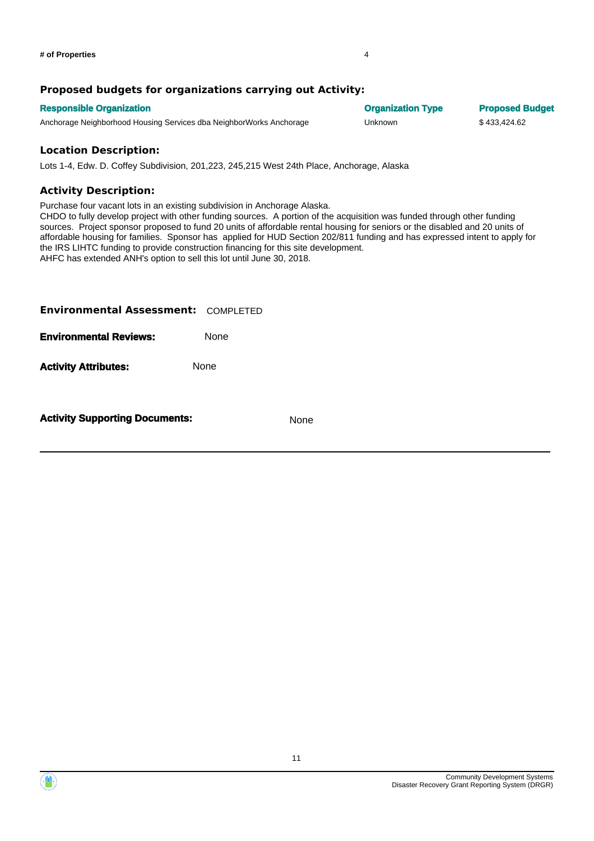## **Proposed budgets for organizations carrying out Activity:**

| <b>Responsible Organization</b>                                     | <b>Organization Type</b> | <b>Proposed Budget</b> |
|---------------------------------------------------------------------|--------------------------|------------------------|
| Anchorage Neighborhood Housing Services dba NeighborWorks Anchorage | Unknown                  | \$433.424.62           |
|                                                                     |                          |                        |

### **Location Description:**

Lots 1-4, Edw. D. Coffey Subdivision, 201,223, 245,215 West 24th Place, Anchorage, Alaska

## **Activity Description:**

Purchase four vacant lots in an existing subdivision in Anchorage Alaska.

CHDO to fully develop project with other funding sources. A portion of the acquisition was funded through other funding sources. Project sponsor proposed to fund 20 units of affordable rental housing for seniors or the disabled and 20 units of affordable housing for families. Sponsor has applied for HUD Section 202/811 funding and has expressed intent to apply for the IRS LIHTC funding to provide construction financing for this site development. AHFC has extended ANH's option to sell this lot until June 30, 2018.

| <b>Environmental Assessment: COMPLETED</b> |      |      |
|--------------------------------------------|------|------|
| <b>Environmental Reviews:</b>              | None |      |
| <b>Activity Attributes:</b>                | None |      |
| <b>Activity Supporting Documents:</b>      |      | None |

Community Development Systems

Disaster Recovery Grant Reporting System (DRGR)

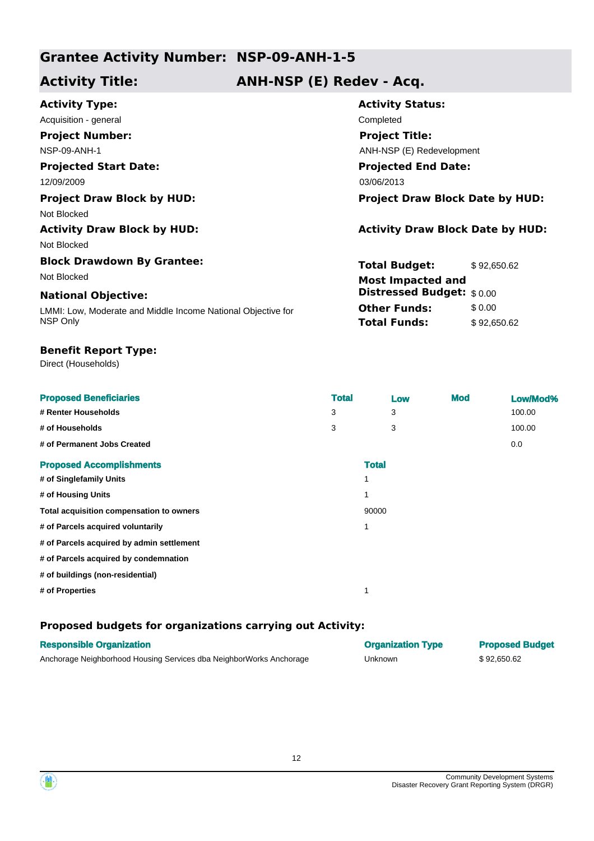## **Activity Title: ANH-NSP (E) Redev - Acq.**

| <b>Activity Type:</b>                                        | <b>Activity Status:</b>                 |  |  |
|--------------------------------------------------------------|-----------------------------------------|--|--|
| Acquisition - general                                        | Completed                               |  |  |
| <b>Project Number:</b>                                       | <b>Project Title:</b>                   |  |  |
| <b>NSP-09-ANH-1</b>                                          | ANH-NSP (E) Redevelopment               |  |  |
| <b>Projected Start Date:</b>                                 | <b>Projected End Date:</b>              |  |  |
| 12/09/2009                                                   | 03/06/2013                              |  |  |
| <b>Project Draw Block by HUD:</b>                            | <b>Project Draw Block Date by HUD:</b>  |  |  |
| Not Blocked                                                  |                                         |  |  |
| <b>Activity Draw Block by HUD:</b>                           | <b>Activity Draw Block Date by HUD:</b> |  |  |
| Not Blocked                                                  |                                         |  |  |
| <b>Block Drawdown By Grantee:</b>                            | <b>Total Budget:</b><br>\$92,650.62     |  |  |
| Not Blocked                                                  | <b>Most Impacted and</b>                |  |  |
| <b>National Objective:</b>                                   | Distressed Budget: \$0.00               |  |  |
| LMMI: Low, Moderate and Middle Income National Objective for | <b>Other Funds:</b><br>\$ 0.00          |  |  |
| NSP Only                                                     | <b>Total Funds:</b><br>\$92,650.62      |  |  |
|                                                              |                                         |  |  |

## **Benefit Report Type:**

Direct (Households)

| <b>Proposed Beneficiaries</b>             | <b>Total</b> |              | Low | <b>Mod</b> | Low/Mod% |
|-------------------------------------------|--------------|--------------|-----|------------|----------|
| # Renter Households                       | 3            |              | 3   |            | 100.00   |
| # of Households                           | 3            |              | 3   |            | 100.00   |
| # of Permanent Jobs Created               |              |              |     |            | 0.0      |
| <b>Proposed Accomplishments</b>           |              | <b>Total</b> |     |            |          |
| # of Singlefamily Units                   |              |              |     |            |          |
| # of Housing Units                        |              |              |     |            |          |
| Total acquisition compensation to owners  |              | 90000        |     |            |          |
| # of Parcels acquired voluntarily         |              | 1            |     |            |          |
| # of Parcels acquired by admin settlement |              |              |     |            |          |
| # of Parcels acquired by condemnation     |              |              |     |            |          |
| # of buildings (non-residential)          |              |              |     |            |          |
| # of Properties                           |              |              |     |            |          |

| <b>Responsible Organization</b>                                     | <b>Organization Type</b> | <b>Proposed Budget</b> |
|---------------------------------------------------------------------|--------------------------|------------------------|
| Anchorage Neighborhood Housing Services dba NeighborWorks Anchorage | Unknown                  | \$92.650.62            |



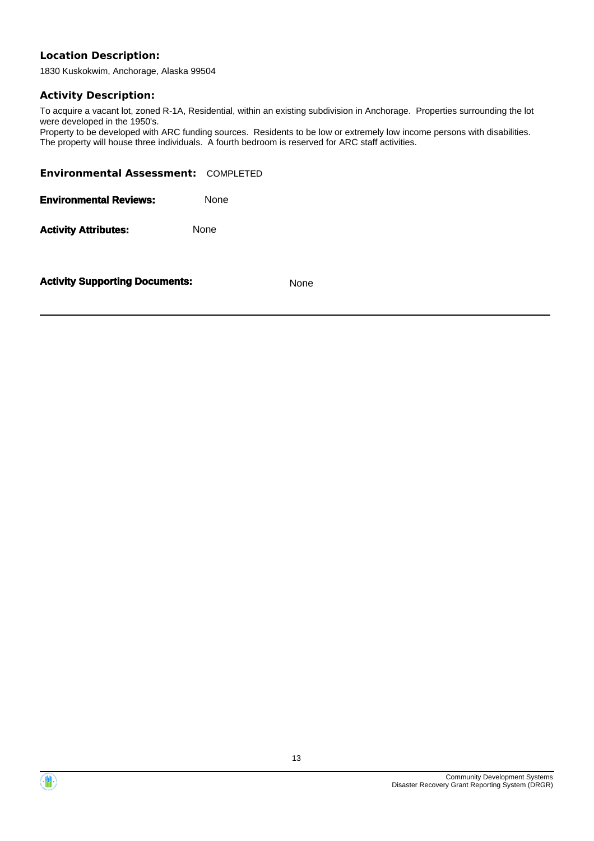1830 Kuskokwim, Anchorage, Alaska 99504

## **Activity Description:**

To acquire a vacant lot, zoned R-1A, Residential, within an existing subdivision in Anchorage. Properties surrounding the lot were developed in the 1950's.

Property to be developed with ARC funding sources. Residents to be low or extremely low income persons with disabilities. The property will house three individuals. A fourth bedroom is reserved for ARC staff activities.

| <b>Environmental Assessment: COMPLETED</b> |             |
|--------------------------------------------|-------------|
| <b>Environmental Reviews:</b>              | <b>None</b> |
| <b>Activity Attributes:</b>                | <b>None</b> |
|                                            |             |

**Activity Supporting Documents:** None



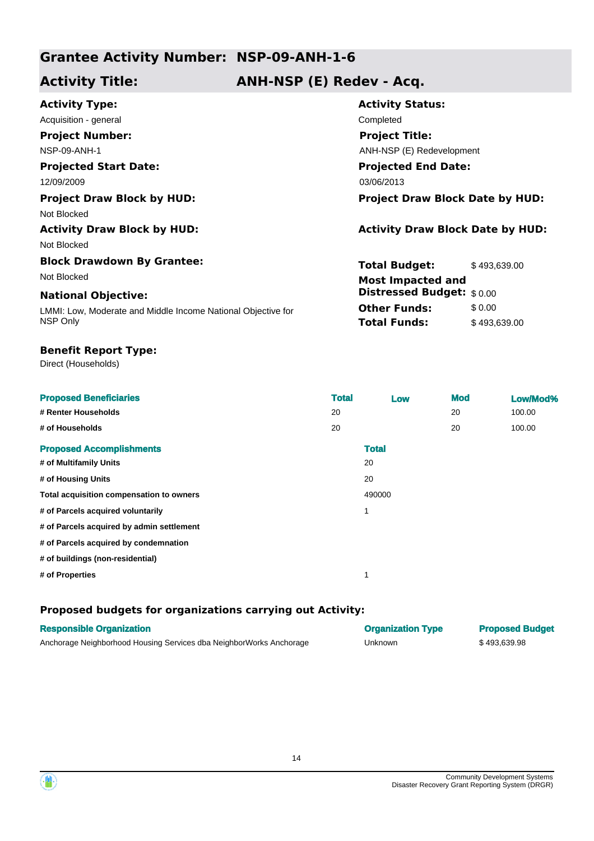## **Activity Title: ANH-NSP (E) Redev - Acq.**

| <b>Activity Type:</b>                                        | <b>Activity Status:</b>                 |  |  |
|--------------------------------------------------------------|-----------------------------------------|--|--|
| Acquisition - general                                        | Completed                               |  |  |
| <b>Project Number:</b>                                       | <b>Project Title:</b>                   |  |  |
| <b>NSP-09-ANH-1</b>                                          | ANH-NSP (E) Redevelopment               |  |  |
| <b>Projected Start Date:</b>                                 | <b>Projected End Date:</b>              |  |  |
| 12/09/2009                                                   | 03/06/2013                              |  |  |
| <b>Project Draw Block by HUD:</b>                            | <b>Project Draw Block Date by HUD:</b>  |  |  |
| Not Blocked                                                  |                                         |  |  |
| <b>Activity Draw Block by HUD:</b>                           | <b>Activity Draw Block Date by HUD:</b> |  |  |
| Not Blocked                                                  |                                         |  |  |
| <b>Block Drawdown By Grantee:</b>                            | <b>Total Budget:</b><br>\$493,639.00    |  |  |
| Not Blocked                                                  | <b>Most Impacted and</b>                |  |  |
| <b>National Objective:</b>                                   | <b>Distressed Budget:</b> \$0.00        |  |  |
| LMMI: Low, Moderate and Middle Income National Objective for | <b>Other Funds:</b><br>\$0.00           |  |  |
| NSP Only                                                     | <b>Total Funds:</b><br>\$493,639.00     |  |  |

## **Benefit Report Type:**

Direct (Households)

| <b>Proposed Beneficiaries</b>             | <b>Total</b> | Low          | <b>Mod</b> | Low/Mod% |
|-------------------------------------------|--------------|--------------|------------|----------|
| # Renter Households                       | 20           |              | 20         | 100.00   |
| # of Households                           | 20           |              | 20         | 100.00   |
| <b>Proposed Accomplishments</b>           |              | <b>Total</b> |            |          |
| # of Multifamily Units                    |              | 20           |            |          |
| # of Housing Units                        |              | 20           |            |          |
| Total acquisition compensation to owners  |              | 490000       |            |          |
| # of Parcels acquired voluntarily         |              | 1            |            |          |
| # of Parcels acquired by admin settlement |              |              |            |          |
| # of Parcels acquired by condemnation     |              |              |            |          |
| # of buildings (non-residential)          |              |              |            |          |
| # of Properties                           |              |              |            |          |

| <b>Responsible Organization</b>                                     | <b>Organization Type</b> | <b>Proposed Budget</b> |
|---------------------------------------------------------------------|--------------------------|------------------------|
| Anchorage Neighborhood Housing Services dba NeighborWorks Anchorage | Unknown                  | \$493.639.98           |



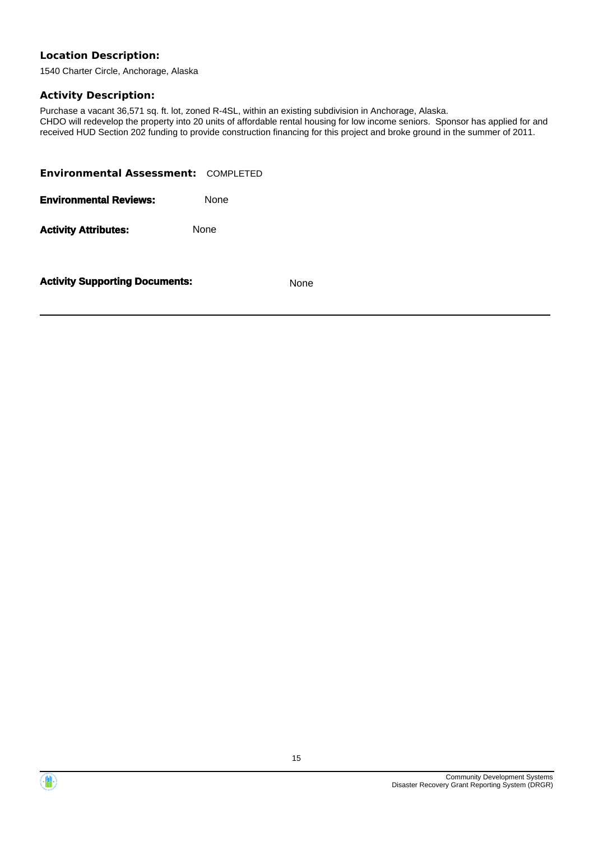1540 Charter Circle, Anchorage, Alaska

### **Activity Description:**

Purchase a vacant 36,571 sq. ft. lot, zoned R-4SL, within an existing subdivision in Anchorage, Alaska. CHDO will redevelop the property into 20 units of affordable rental housing for low income seniors. Sponsor has applied for and received HUD Section 202 funding to provide construction financing for this project and broke ground in the summer of 2011.

| <b>Environmental Assessment: COMPLETED</b> |             |
|--------------------------------------------|-------------|
| <b>Environmental Reviews:</b>              | <b>None</b> |
| <b>Activity Attributes:</b>                | <b>None</b> |
|                                            |             |

**Activity Supporting Documents:** None



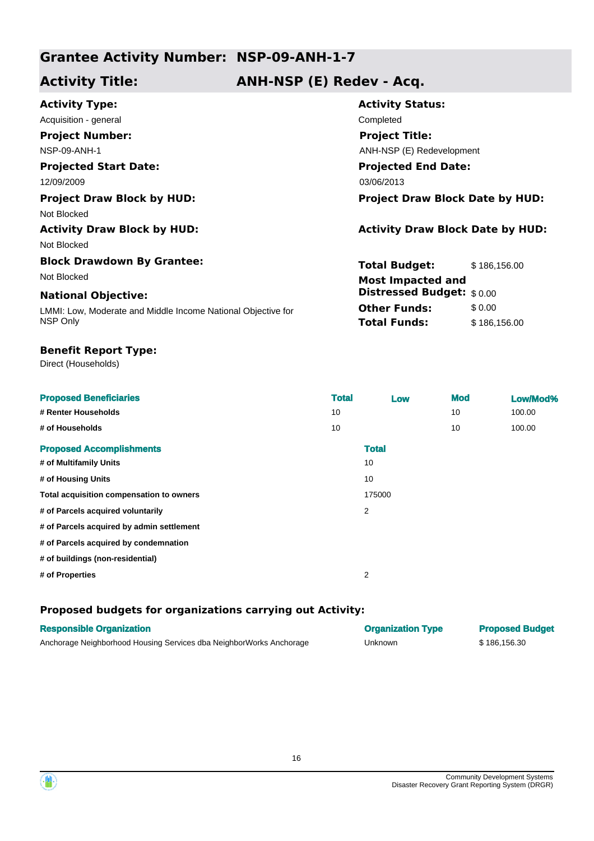## **Activity Title: ANH-NSP (E) Redev - Acq.**

| <b>Activity Status:</b>                 |  |  |
|-----------------------------------------|--|--|
| Completed                               |  |  |
| <b>Project Title:</b>                   |  |  |
| ANH-NSP (E) Redevelopment               |  |  |
| <b>Projected End Date:</b>              |  |  |
| 03/06/2013                              |  |  |
| <b>Project Draw Block Date by HUD:</b>  |  |  |
|                                         |  |  |
| <b>Activity Draw Block Date by HUD:</b> |  |  |
|                                         |  |  |
| <b>Total Budget:</b><br>\$186,156.00    |  |  |
| <b>Most Impacted and</b>                |  |  |
| <b>Distressed Budget:</b> \$0.00        |  |  |
| <b>Other Funds:</b><br>\$0.00           |  |  |
| <b>Total Funds:</b><br>\$186,156.00     |  |  |
|                                         |  |  |

### **Benefit Report Type:**

Direct (Households)

| <b>Proposed Beneficiaries</b>             | <b>Total</b> | Low          | <b>Mod</b> | Low/Mod% |
|-------------------------------------------|--------------|--------------|------------|----------|
| # Renter Households                       | 10           |              | 10         | 100.00   |
| # of Households                           | 10           |              | 10         | 100.00   |
| <b>Proposed Accomplishments</b>           |              | <b>Total</b> |            |          |
| # of Multifamily Units                    |              | 10           |            |          |
| # of Housing Units                        |              | 10           |            |          |
| Total acquisition compensation to owners  |              | 175000       |            |          |
| # of Parcels acquired voluntarily         |              | 2            |            |          |
| # of Parcels acquired by admin settlement |              |              |            |          |
| # of Parcels acquired by condemnation     |              |              |            |          |
| # of buildings (non-residential)          |              |              |            |          |
| # of Properties                           |              | 2            |            |          |

| <b>Responsible Organization</b>                                     | <b>Organization Type</b> | <b>Proposed Budget</b> |
|---------------------------------------------------------------------|--------------------------|------------------------|
| Anchorage Neighborhood Housing Services dba NeighborWorks Anchorage | Unknown                  | \$186.156.30           |



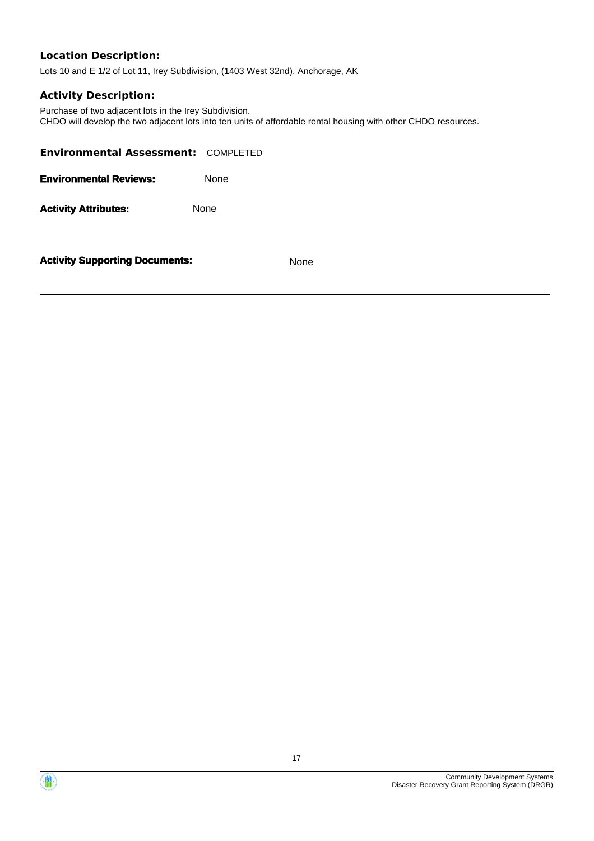Lots 10 and E 1/2 of Lot 11, Irey Subdivision, (1403 West 32nd), Anchorage, AK

### **Activity Description:**

Purchase of two adjacent lots in the Irey Subdivision. CHDO will develop the two adjacent lots into ten units of affordable rental housing with other CHDO resources.

| <b>Environmental Assessment: COMPLETED</b> |      |
|--------------------------------------------|------|
| <b>Environmental Reviews:</b>              | None |
| <b>Activity Attributes:</b>                | None |
| <b>Activity Supporting Documents:</b>      | None |



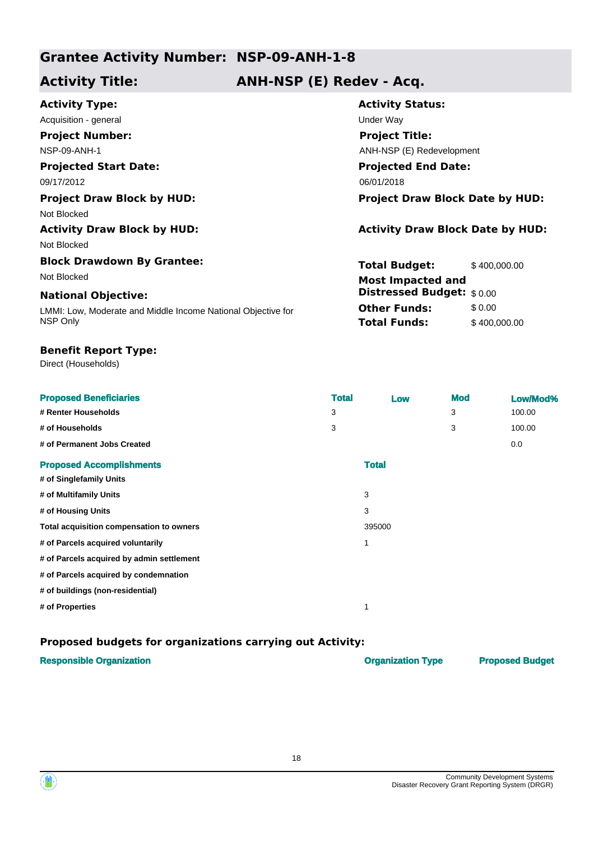## **Activity Title: ANH-NSP (E) Redev - Acq.**

| <b>Activity Type:</b>                                        | <b>Activity Status:</b>                 |              |  |
|--------------------------------------------------------------|-----------------------------------------|--------------|--|
| Acquisition - general                                        | Under Way                               |              |  |
| <b>Project Number:</b>                                       | <b>Project Title:</b>                   |              |  |
| <b>NSP-09-ANH-1</b>                                          | ANH-NSP (E) Redevelopment               |              |  |
| <b>Projected Start Date:</b>                                 | <b>Projected End Date:</b>              |              |  |
| 09/17/2012                                                   | 06/01/2018                              |              |  |
| <b>Project Draw Block by HUD:</b>                            | <b>Project Draw Block Date by HUD:</b>  |              |  |
| Not Blocked                                                  |                                         |              |  |
| <b>Activity Draw Block by HUD:</b>                           | <b>Activity Draw Block Date by HUD:</b> |              |  |
| Not Blocked                                                  |                                         |              |  |
| <b>Block Drawdown By Grantee:</b>                            | <b>Total Budget:</b>                    | \$400,000.00 |  |
| Not Blocked                                                  | <b>Most Impacted and</b>                |              |  |
| <b>National Objective:</b>                                   | <b>Distressed Budget:</b> \$0.00        |              |  |
| LMMI: Low, Moderate and Middle Income National Objective for | <b>Other Funds:</b>                     | \$0.00       |  |
| NSP Only                                                     | <b>Total Funds:</b>                     | \$400,000.00 |  |

### **Benefit Report Type:**

Direct (Households)

| <b>Proposed Beneficiaries</b>             | <b>Total</b> | Low          |   | <b>Mod</b> | Low/Mod% |
|-------------------------------------------|--------------|--------------|---|------------|----------|
| # Renter Households                       | 3            |              |   | 3          | 100.00   |
| # of Households                           | 3            |              | 3 |            | 100.00   |
| # of Permanent Jobs Created               |              |              |   |            | 0.0      |
| <b>Proposed Accomplishments</b>           |              | <b>Total</b> |   |            |          |
| # of Singlefamily Units                   |              |              |   |            |          |
| # of Multifamily Units                    |              | 3            |   |            |          |
| # of Housing Units                        |              | 3            |   |            |          |
| Total acquisition compensation to owners  |              | 395000       |   |            |          |
| # of Parcels acquired voluntarily         |              | 1            |   |            |          |
| # of Parcels acquired by admin settlement |              |              |   |            |          |
| # of Parcels acquired by condemnation     |              |              |   |            |          |
| # of buildings (non-residential)          |              |              |   |            |          |
| # of Properties                           |              | 1            |   |            |          |

| <b>Responsible Organization</b> | <b>Organization Type</b> | <b>Proposed Budget</b> |
|---------------------------------|--------------------------|------------------------|
|                                 |                          |                        |

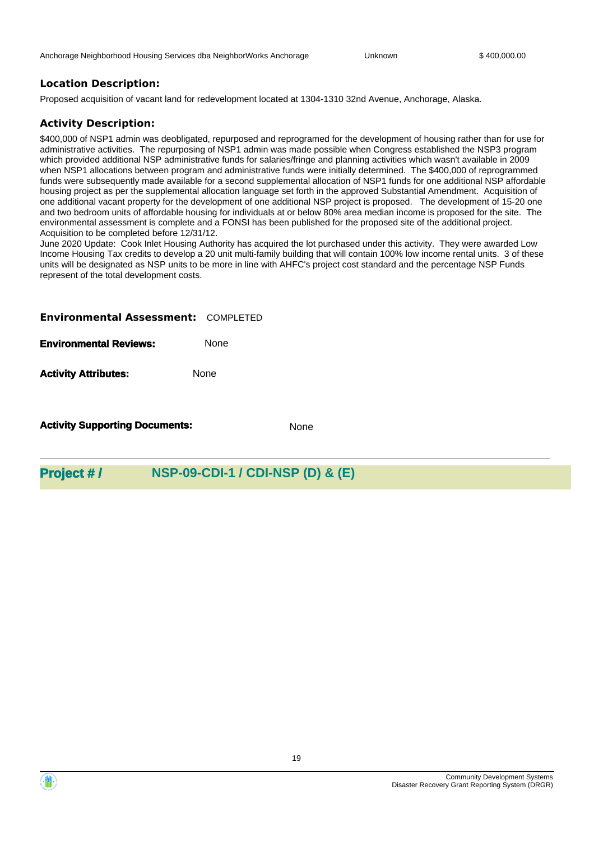Proposed acquisition of vacant land for redevelopment located at 1304-1310 32nd Avenue, Anchorage, Alaska.

#### **Activity Description:**

\$400,000 of NSP1 admin was deobligated, repurposed and reprogramed for the development of housing rather than for use for administrative activities. The repurposing of NSP1 admin was made possible when Congress established the NSP3 program which provided additional NSP administrative funds for salaries/fringe and planning activities which wasn't available in 2009 when NSP1 allocations between program and administrative funds were initially determined. The \$400,000 of reprogrammed funds were subsequently made available for a second supplemental allocation of NSP1 funds for one additional NSP affordable housing project as per the supplemental allocation language set forth in the approved Substantial Amendment. Acquisition of one additional vacant property for the development of one additional NSP project is proposed. The development of 15-20 one and two bedroom units of affordable housing for individuals at or below 80% area median income is proposed for the site. The environmental assessment is complete and a FONSI has been published for the proposed site of the additional project. Acquisition to be completed before 12/31/12.

June 2020 Update: Cook Inlet Housing Authority has acquired the lot purchased under this activity. They were awarded Low Income Housing Tax credits to develop a 20 unit multi-family building that will contain 100% low income rental units. 3 of these units will be designated as NSP units to be more in line with AHFC's project cost standard and the percentage NSP Funds represent of the total development costs.

#### **Environmental Assessment:** COMPLETED

**Environmental Reviews:** None

**Activity Attributes:** None

**Activity Supporting Documents:** None

## **Project # / NSP-09-CDI-1 / CDI-NSP (D) & (E)**

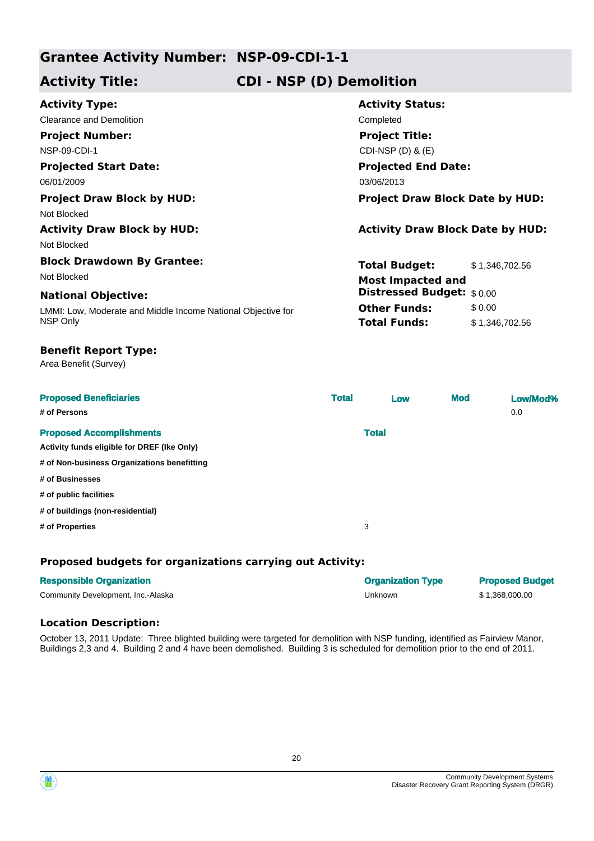## **Activity Title: CDI - NSP (D) Demolition**

| <b>Activity Type:</b>                                        | <b>Activity Status:</b>                 |                |  |
|--------------------------------------------------------------|-----------------------------------------|----------------|--|
| <b>Clearance and Demolition</b>                              | Completed                               |                |  |
| <b>Project Number:</b>                                       | <b>Project Title:</b>                   |                |  |
| <b>NSP-09-CDI-1</b>                                          | CDI-NSP $(D)$ & $(E)$                   |                |  |
| <b>Projected Start Date:</b>                                 | <b>Projected End Date:</b>              |                |  |
| 06/01/2009                                                   | 03/06/2013                              |                |  |
| <b>Project Draw Block by HUD:</b>                            | <b>Project Draw Block Date by HUD:</b>  |                |  |
| Not Blocked                                                  |                                         |                |  |
| <b>Activity Draw Block by HUD:</b>                           | <b>Activity Draw Block Date by HUD:</b> |                |  |
| Not Blocked                                                  |                                         |                |  |
| <b>Block Drawdown By Grantee:</b>                            | <b>Total Budget:</b>                    | \$1,346,702.56 |  |
| Not Blocked                                                  | <b>Most Impacted and</b>                |                |  |
| <b>National Objective:</b>                                   | Distressed Budget: \$0.00               |                |  |
| LMMI: Low, Moderate and Middle Income National Objective for | <b>Other Funds:</b>                     | \$0.00         |  |
| NSP Only                                                     | <b>Total Funds:</b>                     | \$1,346,702.56 |  |
| <b>Benefit Report Type:</b><br>Area Benefit (Survey)         |                                         |                |  |

| <b>Proposed Beneficiaries</b><br># of Persons | <b>Total</b> | Low          | <b>Mod</b> | Low/Mod%<br>0.0 |
|-----------------------------------------------|--------------|--------------|------------|-----------------|
| <b>Proposed Accomplishments</b>               |              | <b>Total</b> |            |                 |
| Activity funds eligible for DREF (Ike Only)   |              |              |            |                 |
| # of Non-business Organizations benefitting   |              |              |            |                 |
| # of Businesses                               |              |              |            |                 |
| # of public facilities                        |              |              |            |                 |
| # of buildings (non-residential)              |              |              |            |                 |
| # of Properties                               | 3            |              |            |                 |

## **Proposed budgets for organizations carrying out Activity:**

| <b>Responsible Organization</b>    | <b>Organization Type</b> | <b>Proposed Budget</b> |
|------------------------------------|--------------------------|------------------------|
| Community Development, Inc.-Alaska | Unknown                  | \$1.368.000.00         |

## **Location Description:**

October 13, 2011 Update: Three blighted building were targeted for demolition with NSP funding, identified as Fairview Manor, Buildings 2,3 and 4. Building 2 and 4 have been demolished. Building 3 is scheduled for demolition prior to the end of 2011.



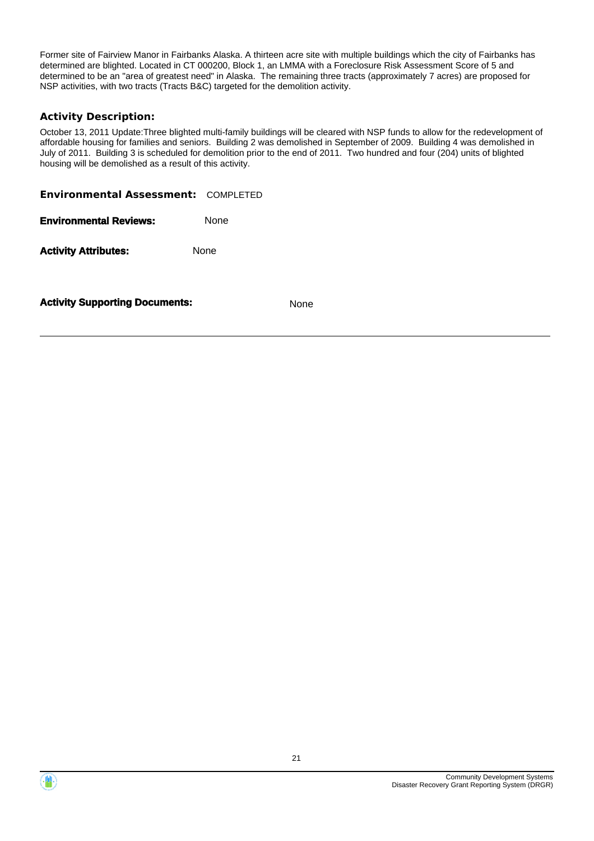Former site of Fairview Manor in Fairbanks Alaska. A thirteen acre site with multiple buildings which the city of Fairbanks has determined are blighted. Located in CT 000200, Block 1, an LMMA with a Foreclosure Risk Assessment Score of 5 and determined to be an "area of greatest need" in Alaska. The remaining three tracts (approximately 7 acres) are proposed for NSP activities, with two tracts (Tracts B&C) targeted for the demolition activity.

## **Activity Description:**

October 13, 2011 Update:Three blighted multi-family buildings will be cleared with NSP funds to allow for the redevelopment of affordable housing for families and seniors. Building 2 was demolished in September of 2009. Building 4 was demolished in July of 2011. Building 3 is scheduled for demolition prior to the end of 2011. Two hundred and four (204) units of blighted housing will be demolished as a result of this activity.

| <b>Environmental Assessment: COMPLETED</b> |             |      |
|--------------------------------------------|-------------|------|
| <b>Environmental Reviews:</b>              | <b>None</b> |      |
| <b>Activity Attributes:</b>                | None        |      |
| <b>Activity Supporting Documents:</b>      |             | None |



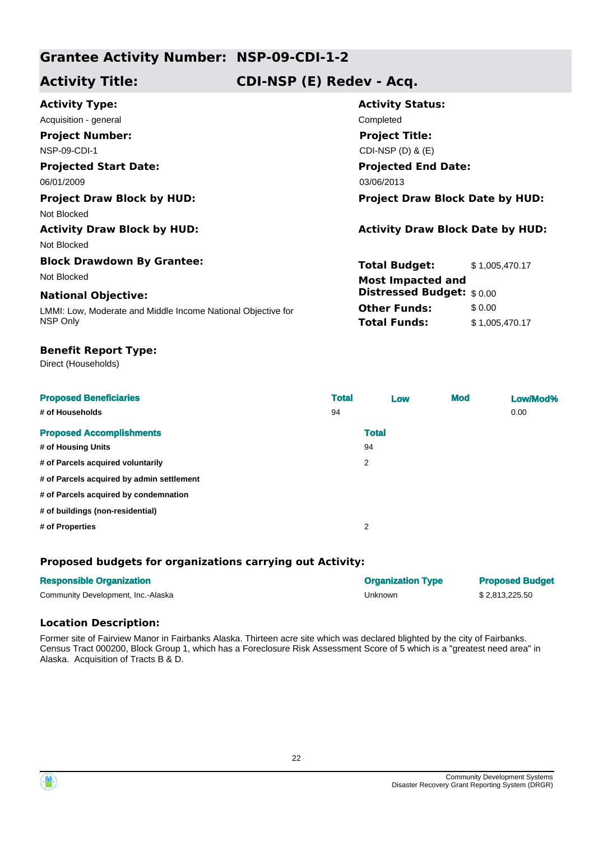## **Activity Title: CDI-NSP (E) Redev - Acq.**

| <b>Activity Type:</b>                                        | <b>Activity Status:</b>                 |                |
|--------------------------------------------------------------|-----------------------------------------|----------------|
| Acquisition - general                                        | Completed                               |                |
| <b>Project Number:</b>                                       | <b>Project Title:</b>                   |                |
| <b>NSP-09-CDI-1</b>                                          | CDI-NSP $(D)$ & $(E)$                   |                |
| <b>Projected Start Date:</b>                                 | <b>Projected End Date:</b>              |                |
| 06/01/2009                                                   | 03/06/2013                              |                |
| <b>Project Draw Block by HUD:</b>                            | <b>Project Draw Block Date by HUD:</b>  |                |
| Not Blocked                                                  |                                         |                |
| <b>Activity Draw Block by HUD:</b>                           | <b>Activity Draw Block Date by HUD:</b> |                |
| Not Blocked                                                  |                                         |                |
| <b>Block Drawdown By Grantee:</b>                            | <b>Total Budget:</b>                    | \$1,005,470.17 |
| Not Blocked                                                  | <b>Most Impacted and</b>                |                |
| <b>National Objective:</b>                                   | <b>Distressed Budget:</b> \$0.00        |                |
| LMMI: Low, Moderate and Middle Income National Objective for | <b>Other Funds:</b>                     | \$0.00         |
| NSP Only                                                     | <b>Total Funds:</b>                     | \$1,005,470.17 |
|                                                              |                                         |                |

### **Benefit Report Type:**

Direct (Households)

| <b>Proposed Beneficiaries</b><br># of Households | <b>Total</b><br>94 | Low          | <b>Mod</b> | Low/Mod%<br>0.00 |
|--------------------------------------------------|--------------------|--------------|------------|------------------|
| <b>Proposed Accomplishments</b>                  |                    | <b>Total</b> |            |                  |
| # of Housing Units                               |                    | 94           |            |                  |
| # of Parcels acquired voluntarily                |                    | 2            |            |                  |
| # of Parcels acquired by admin settlement        |                    |              |            |                  |
| # of Parcels acquired by condemnation            |                    |              |            |                  |
| # of buildings (non-residential)                 |                    |              |            |                  |
| # of Properties                                  |                    | 2            |            |                  |

## **Proposed budgets for organizations carrying out Activity:**

| <b>Responsible Organization</b>    | <b>Organization Type</b> | <b>Proposed Budget</b> |
|------------------------------------|--------------------------|------------------------|
| Community Development, Inc.-Alaska | Unknown                  | \$2.813.225.50         |

### **Location Description:**

Former site of Fairview Manor in Fairbanks Alaska. Thirteen acre site which was declared blighted by the city of Fairbanks. Census Tract 000200, Block Group 1, which has a Foreclosure Risk Assessment Score of 5 which is a "greatest need area" in Alaska. Acquisition of Tracts B & D.

22



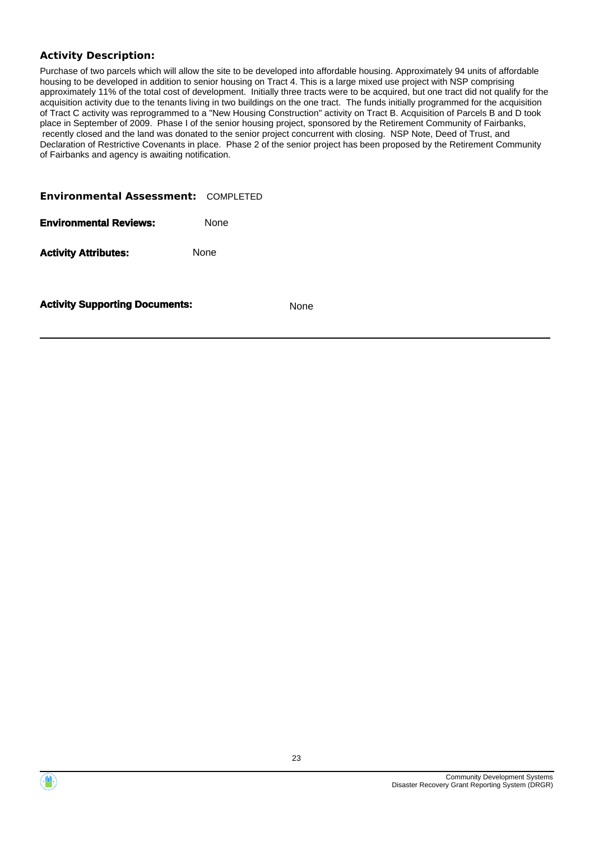## **Activity Description:**

Purchase of two parcels which will allow the site to be developed into affordable housing. Approximately 94 units of affordable housing to be developed in addition to senior housing on Tract 4. This is a large mixed use project with NSP comprising approximately 11% of the total cost of development. Initially three tracts were to be acquired, but one tract did not qualify for the acquisition activity due to the tenants living in two buildings on the one tract. The funds initially programmed for the acquisition of Tract C activity was reprogrammed to a "New Housing Construction" activity on Tract B. Acquisition of Parcels B and D took place in September of 2009. Phase I of the senior housing project, sponsored by the Retirement Community of Fairbanks, recently closed and the land was donated to the senior project concurrent with closing. NSP Note, Deed of Trust, and Declaration of Restrictive Covenants in place. Phase 2 of the senior project has been proposed by the Retirement Community of Fairbanks and agency is awaiting notification.

| <b>Activity Supporting Documents:</b>      |             | <b>None</b> |
|--------------------------------------------|-------------|-------------|
| <b>Activity Attributes:</b>                | None        |             |
| <b>Environmental Reviews:</b>              | <b>None</b> |             |
| <b>Environmental Assessment: COMPLETED</b> |             |             |



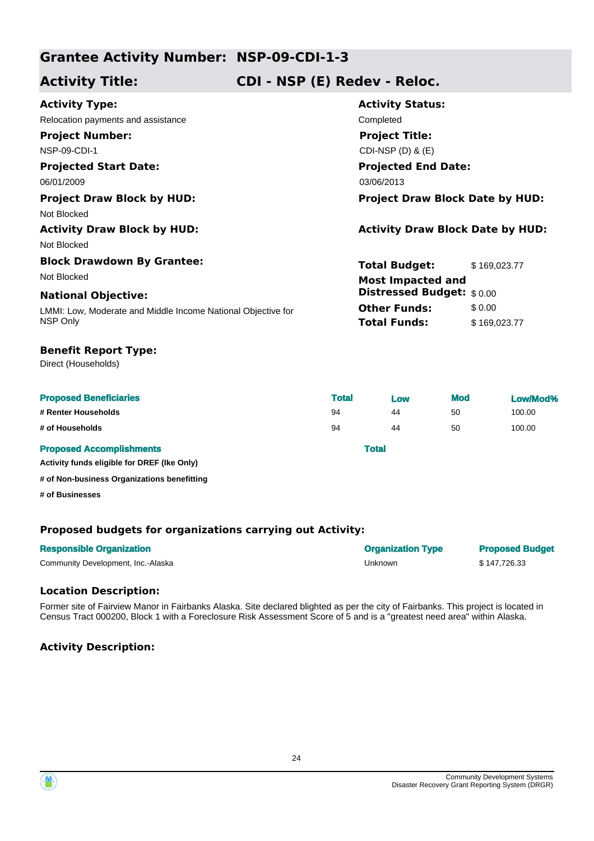**Activity Title: CDI - NSP (E) Redev - Reloc.**

| <b>Activity Type:</b>                                        | <b>Activity Status:</b>                 |              |  |
|--------------------------------------------------------------|-----------------------------------------|--------------|--|
| Relocation payments and assistance                           | Completed                               |              |  |
| <b>Project Number:</b>                                       | <b>Project Title:</b>                   |              |  |
| <b>NSP-09-CDI-1</b>                                          | CDI-NSP (D) & (E)                       |              |  |
| <b>Projected Start Date:</b>                                 | <b>Projected End Date:</b>              |              |  |
| 06/01/2009                                                   | 03/06/2013                              |              |  |
| <b>Project Draw Block by HUD:</b>                            | <b>Project Draw Block Date by HUD:</b>  |              |  |
| Not Blocked                                                  |                                         |              |  |
| <b>Activity Draw Block by HUD:</b>                           | <b>Activity Draw Block Date by HUD:</b> |              |  |
| Not Blocked                                                  |                                         |              |  |
| <b>Block Drawdown By Grantee:</b>                            | <b>Total Budget:</b>                    | \$169,023.77 |  |
| Not Blocked                                                  | <b>Most Impacted and</b>                |              |  |
| <b>National Objective:</b>                                   | Distressed Budget: \$0.00               |              |  |
| LMMI: Low, Moderate and Middle Income National Objective for | <b>Other Funds:</b>                     | \$0.00       |  |
| NSP Only                                                     | <b>Total Funds:</b>                     | \$169,023.77 |  |
|                                                              |                                         |              |  |

## **Benefit Report Type:**

Direct (Households)

| <b>Proposed Beneficiaries</b>   | <b>Total</b> | <b>Low</b> | <b>Mod</b> | Low/Mod% |
|---------------------------------|--------------|------------|------------|----------|
| # Renter Households             | 94           | 44         | 50         | 100.00   |
| # of Households                 | 94           | 44         | 50         | 100.00   |
| <b>Proposed Accomplishments</b> | <b>Total</b> |            |            |          |

**Activity funds eligible for DREF (Ike Only)**

**# of Non-business Organizations benefitting**

**# of Businesses**

## **Proposed budgets for organizations carrying out Activity:**

| <b>Responsible Organization</b>    | <b>Organization Type</b> | <b>Proposed Budget</b> |
|------------------------------------|--------------------------|------------------------|
| Community Development, Inc.-Alaska | Unknown                  | \$147.726.33           |

### **Location Description:**

Former site of Fairview Manor in Fairbanks Alaska. Site declared blighted as per the city of Fairbanks. This project is located in Census Tract 000200, Block 1 with a Foreclosure Risk Assessment Score of 5 and is a "greatest need area" within Alaska.

## **Activity Description:**



 $\langle \mathbf{m} \rangle$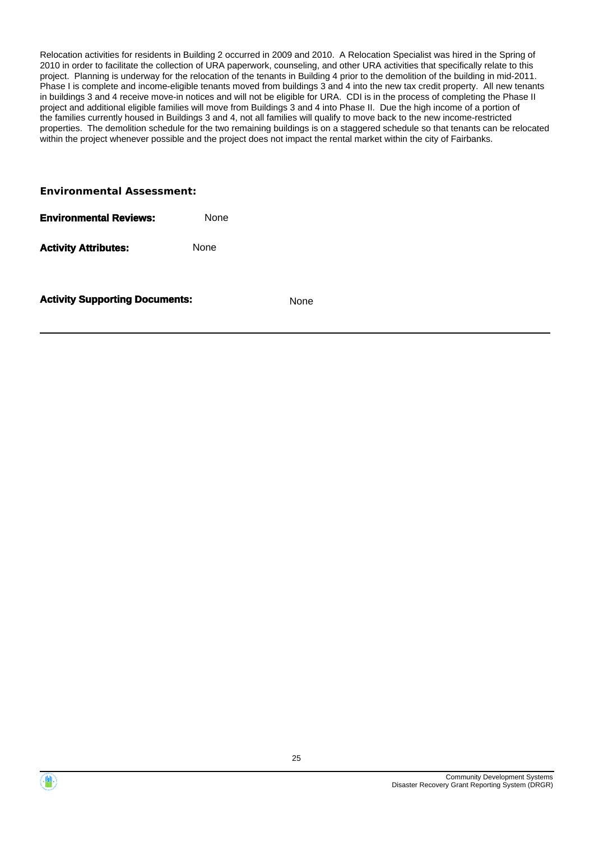Relocation activities for residents in Building 2 occurred in 2009 and 2010. A Relocation Specialist was hired in the Spring of 2010 in order to facilitate the collection of URA paperwork, counseling, and other URA activities that specifically relate to this project. Planning is underway for the relocation of the tenants in Building 4 prior to the demolition of the building in mid-2011. Phase I is complete and income-eligible tenants moved from buildings 3 and 4 into the new tax credit property. All new tenants in buildings 3 and 4 receive move-in notices and will not be eligible for URA. CDI is in the process of completing the Phase II project and additional eligible families will move from Buildings 3 and 4 into Phase II. Due the high income of a portion of the families currently housed in Buildings 3 and 4, not all families will qualify to move back to the new income-restricted properties. The demolition schedule for the two remaining buildings is on a staggered schedule so that tenants can be relocated within the project whenever possible and the project does not impact the rental market within the city of Fairbanks.

#### **Environmental Assessment:**

Activity **Attributes:** None

**Activity Supporting Documents:** None

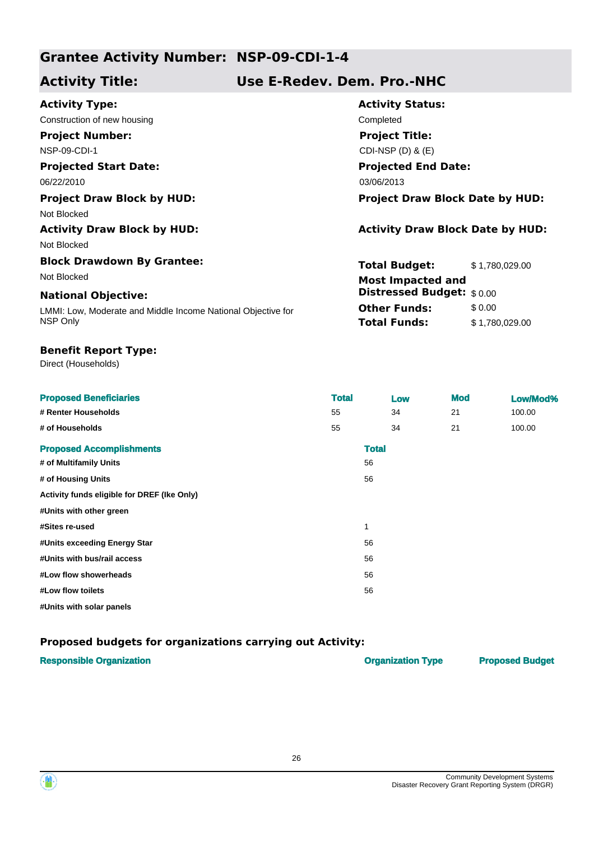**Activity Title: Use E-Redev. Dem. Pro.-NHC**

| <b>Activity Type:</b>                                        | <b>Activity Status:</b>                 |                |  |
|--------------------------------------------------------------|-----------------------------------------|----------------|--|
| Construction of new housing                                  | Completed                               |                |  |
| <b>Project Number:</b>                                       | <b>Project Title:</b>                   |                |  |
| <b>NSP-09-CDI-1</b>                                          | CDI-NSP $(D)$ & $(E)$                   |                |  |
| <b>Projected Start Date:</b>                                 | <b>Projected End Date:</b>              |                |  |
| 06/22/2010                                                   | 03/06/2013                              |                |  |
| <b>Project Draw Block by HUD:</b>                            | <b>Project Draw Block Date by HUD:</b>  |                |  |
| Not Blocked                                                  |                                         |                |  |
| <b>Activity Draw Block by HUD:</b>                           | <b>Activity Draw Block Date by HUD:</b> |                |  |
| Not Blocked                                                  |                                         |                |  |
| <b>Block Drawdown By Grantee:</b>                            | <b>Total Budget:</b>                    | \$1,780,029.00 |  |
| Not Blocked                                                  | <b>Most Impacted and</b>                |                |  |
| <b>National Objective:</b>                                   | Distressed Budget: \$0.00               |                |  |
| LMMI: Low, Moderate and Middle Income National Objective for | <b>Other Funds:</b>                     | \$0.00         |  |
| NSP Only                                                     | <b>Total Funds:</b>                     | \$1,780,029.00 |  |

### **Benefit Report Type:**

Direct (Households)

| <b>Proposed Beneficiaries</b>               | <b>Total</b> | Low          | <b>Mod</b> | Low/Mod% |
|---------------------------------------------|--------------|--------------|------------|----------|
| # Renter Households                         | 55           | 34           | 21         | 100.00   |
| # of Households                             | 55           | 34           | 21         | 100.00   |
| <b>Proposed Accomplishments</b>             |              | <b>Total</b> |            |          |
| # of Multifamily Units                      |              | 56           |            |          |
| # of Housing Units                          |              | 56           |            |          |
| Activity funds eligible for DREF (Ike Only) |              |              |            |          |
| #Units with other green                     |              |              |            |          |
| #Sites re-used                              | 1            |              |            |          |
| #Units exceeding Energy Star                |              | 56           |            |          |
| #Units with bus/rail access                 |              | 56           |            |          |
| #Low flow showerheads                       |              | 56           |            |          |
| #Low flow toilets                           |              | 56           |            |          |
| #Units with solar panels                    |              |              |            |          |

| <b>Responsible Organization</b> | <b>Organization Type</b> | <b>Proposed Budget</b> |
|---------------------------------|--------------------------|------------------------|
|                                 |                          |                        |



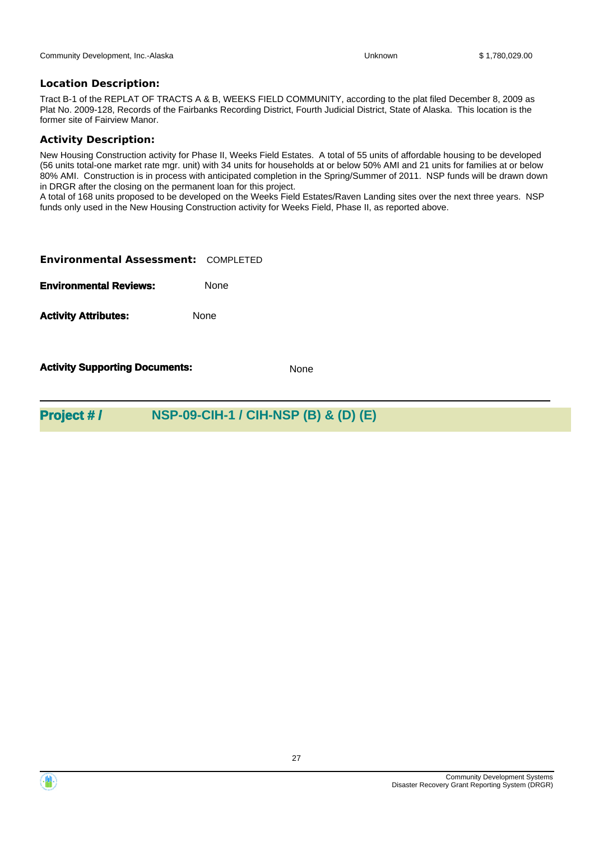Tract B-1 of the REPLAT OF TRACTS A & B, WEEKS FIELD COMMUNITY, according to the plat filed December 8, 2009 as Plat No. 2009-128, Records of the Fairbanks Recording District, Fourth Judicial District, State of Alaska. This location is the former site of Fairview Manor.

#### **Activity Description:**

New Housing Construction activity for Phase II, Weeks Field Estates. A total of 55 units of affordable housing to be developed (56 units total-one market rate mgr. unit) with 34 units for households at or below 50% AMI and 21 units for families at or below 80% AMI. Construction is in process with anticipated completion in the Spring/Summer of 2011. NSP funds will be drawn down in DRGR after the closing on the permanent loan for this project.

A total of 168 units proposed to be developed on the Weeks Field Estates/Raven Landing sites over the next three years. NSP funds only used in the New Housing Construction activity for Weeks Field, Phase II, as reported above.

| <b>Environmental Assessment: COMPLETED</b> |             |
|--------------------------------------------|-------------|
| <b>Environmental Reviews:</b>              | <b>None</b> |
| <b>Activity Attributes:</b>                | None        |
|                                            |             |

**Activity Supporting Documents:** None

## **Project # / NSP-09-CIH-1 / CIH-NSP (B) & (D) (E)**

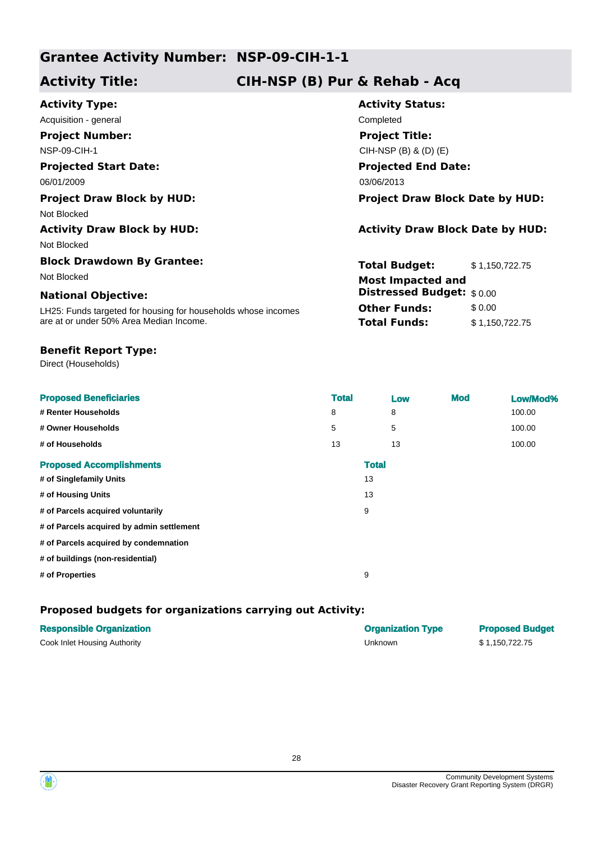## **Activity Title: CIH-NSP (B) Pur & Rehab - Acq**

| <b>Activity Type:</b>                                         | <b>Activity Status:</b>                 |                |  |
|---------------------------------------------------------------|-----------------------------------------|----------------|--|
| Acquisition - general                                         | Completed                               |                |  |
| <b>Project Number:</b>                                        | <b>Project Title:</b>                   |                |  |
| <b>NSP-09-CIH-1</b>                                           | CIH-NSP $(B)$ & $(D)$ $(E)$             |                |  |
| <b>Projected Start Date:</b>                                  | <b>Projected End Date:</b>              |                |  |
| 06/01/2009                                                    | 03/06/2013                              |                |  |
| <b>Project Draw Block by HUD:</b>                             | <b>Project Draw Block Date by HUD:</b>  |                |  |
| Not Blocked                                                   |                                         |                |  |
| <b>Activity Draw Block by HUD:</b>                            | <b>Activity Draw Block Date by HUD:</b> |                |  |
| Not Blocked                                                   |                                         |                |  |
| <b>Block Drawdown By Grantee:</b>                             | <b>Total Budget:</b>                    | \$1,150,722.75 |  |
| Not Blocked                                                   | <b>Most Impacted and</b>                |                |  |
| <b>National Objective:</b>                                    | <b>Distressed Budget:</b> \$0.00        |                |  |
| LH25: Funds targeted for housing for households whose incomes | <b>Other Funds:</b>                     | \$0.00         |  |
| are at or under 50% Area Median Income.                       | <b>Total Funds:</b>                     | \$1,150,722.75 |  |
|                                                               |                                         |                |  |

### **Benefit Report Type:**

Direct (Households)

| <b>Proposed Beneficiaries</b>             | <b>Total</b> | Low | <b>Mod</b> | Low/Mod% |
|-------------------------------------------|--------------|-----|------------|----------|
| # Renter Households                       | 8            | 8   |            | 100.00   |
| # Owner Households                        | 5            | 5   |            | 100.00   |
| # of Households                           | 13           | 13  |            | 100.00   |
| <b>Proposed Accomplishments</b>           | <b>Total</b> |     |            |          |
| # of Singlefamily Units                   | 13           |     |            |          |
| # of Housing Units                        | 13           |     |            |          |
| # of Parcels acquired voluntarily         | 9            |     |            |          |
| # of Parcels acquired by admin settlement |              |     |            |          |
| # of Parcels acquired by condemnation     |              |     |            |          |
| # of buildings (non-residential)          |              |     |            |          |
| # of Properties                           | 9            |     |            |          |
|                                           |              |     |            |          |

| <b>Responsible Organization</b> | <b>Organization Type</b> | <b>Proposed Budget</b> |
|---------------------------------|--------------------------|------------------------|
| Cook Inlet Housing Authority    | Unknown                  | \$1.150.722.75         |



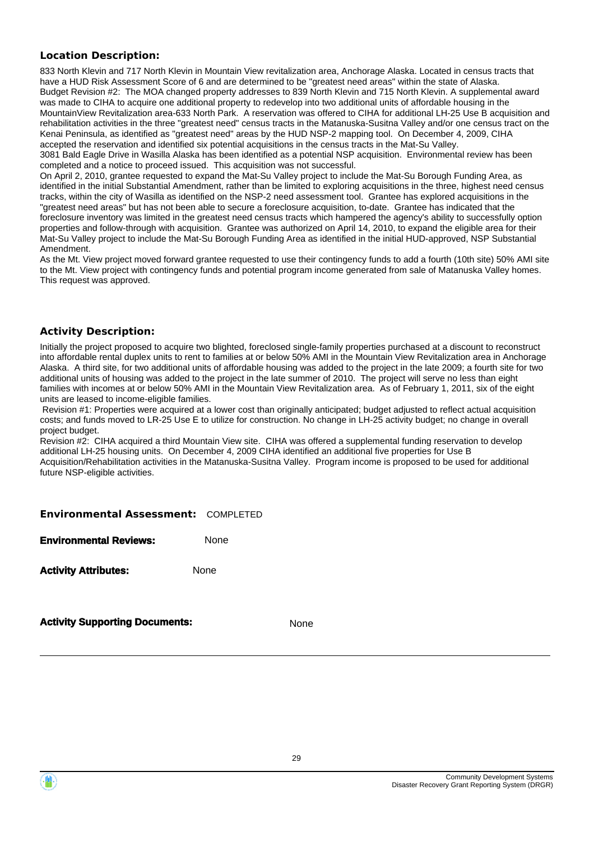833 North Klevin and 717 North Klevin in Mountain View revitalization area, Anchorage Alaska. Located in census tracts that have a HUD Risk Assessment Score of 6 and are determined to be "greatest need areas" within the state of Alaska. Budget Revision #2: The MOA changed property addresses to 839 North Klevin and 715 North Klevin. A supplemental award was made to CIHA to acquire one additional property to redevelop into two additional units of affordable housing in the MountainView Revitalization area-633 North Park. A reservation was offered to CIHA for additional LH-25 Use B acquisition and rehabilitation activities in the three "greatest need" census tracts in the Matanuska-Susitna Valley and/or one census tract on the Kenai Peninsula, as identified as "greatest need" areas by the HUD NSP-2 mapping tool. On December 4, 2009, CIHA accepted the reservation and identified six potential acquisitions in the census tracts in the Mat-Su Valley.

3081 Bald Eagle Drive in Wasilla Alaska has been identified as a potential NSP acquisition. Environmental review has been completed and a notice to proceed issued. This acquisition was not successful.

On April 2, 2010, grantee requested to expand the Mat-Su Valley project to include the Mat-Su Borough Funding Area, as identified in the initial Substantial Amendment, rather than be limited to exploring acquisitions in the three, highest need census tracks, within the city of Wasilla as identified on the NSP-2 need assessment tool. Grantee has explored acquisitions in the "greatest need areas" but has not been able to secure a foreclosure acquisition, to-date. Grantee has indicated that the foreclosure inventory was limited in the greatest need census tracts which hampered the agency's ability to successfully option properties and follow-through with acquisition. Grantee was authorized on April 14, 2010, to expand the eligible area for their Mat-Su Valley project to include the Mat-Su Borough Funding Area as identified in the initial HUD-approved, NSP Substantial Amendment.

As the Mt. View project moved forward grantee requested to use their contingency funds to add a fourth (10th site) 50% AMI site to the Mt. View project with contingency funds and potential program income generated from sale of Matanuska Valley homes. This request was approved.

## **Activity Description:**

Initially the project proposed to acquire two blighted, foreclosed single-family properties purchased at a discount to reconstruct into affordable rental duplex units to rent to families at or below 50% AMI in the Mountain View Revitalization area in Anchorage Alaska. A third site, for two additional units of affordable housing was added to the project in the late 2009; a fourth site for two additional units of housing was added to the project in the late summer of 2010. The project will serve no less than eight families with incomes at or below 50% AMI in the Mountain View Revitalization area. As of February 1, 2011, six of the eight units are leased to income-eligible families.

 Revision #1: Properties were acquired at a lower cost than originally anticipated; budget adjusted to reflect actual acquisition costs; and funds moved to LR-25 Use E to utilize for construction. No change in LH-25 activity budget; no change in overall project budget.

Revision #2: CIHA acquired a third Mountain View site. CIHA was offered a supplemental funding reservation to develop additional LH-25 housing units. On December 4, 2009 CIHA identified an additional five properties for Use B Acquisition/Rehabilitation activities in the Matanuska-Susitna Valley. Program income is proposed to be used for additional future NSP-eligible activities.

#### **Environmental Assessment:** COMPLETED

**Environmental Reviews:** None

**Activity Attributes:** None

**Activity Supporting Documents:** None

![](_page_28_Picture_15.jpeg)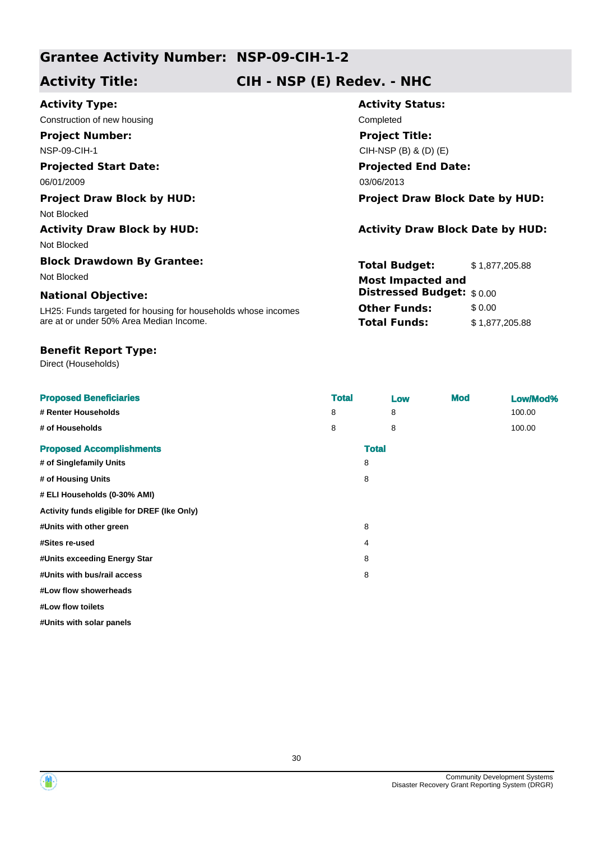## **Activity Title: CIH - NSP (E) Redev. - NHC**

| <b>Activity Type:</b>                                         | <b>Activity Status:</b>                 |                |  |  |
|---------------------------------------------------------------|-----------------------------------------|----------------|--|--|
| Construction of new housing                                   | Completed                               |                |  |  |
| <b>Project Number:</b>                                        | <b>Project Title:</b>                   |                |  |  |
| <b>NSP-09-CIH-1</b>                                           | CIH-NSP $(B)$ & $(D)$ $(E)$             |                |  |  |
| <b>Projected Start Date:</b>                                  | <b>Projected End Date:</b>              |                |  |  |
| 06/01/2009                                                    | 03/06/2013                              |                |  |  |
| <b>Project Draw Block by HUD:</b>                             | <b>Project Draw Block Date by HUD:</b>  |                |  |  |
| Not Blocked                                                   |                                         |                |  |  |
| <b>Activity Draw Block by HUD:</b>                            | <b>Activity Draw Block Date by HUD:</b> |                |  |  |
| Not Blocked                                                   |                                         |                |  |  |
| <b>Block Drawdown By Grantee:</b>                             | <b>Total Budget:</b>                    | \$1,877,205.88 |  |  |
| Not Blocked                                                   | <b>Most Impacted and</b>                |                |  |  |
| <b>National Objective:</b>                                    | <b>Distressed Budget:</b> \$0.00        |                |  |  |
| LH25: Funds targeted for housing for households whose incomes | <b>Other Funds:</b>                     | \$0.00         |  |  |
| are at or under 50% Area Median Income.                       | <b>Total Funds:</b>                     | \$1,877,205.88 |  |  |

## **Benefit Report Type:**

Direct (Households)

| <b>Proposed Beneficiaries</b>               | <b>Total</b> |              | Low | <b>Mod</b> | Low/Mod% |
|---------------------------------------------|--------------|--------------|-----|------------|----------|
| # Renter Households                         | 8            |              | 8   |            | 100.00   |
| # of Households                             | 8            |              | 8   |            | 100.00   |
| <b>Proposed Accomplishments</b>             |              | <b>Total</b> |     |            |          |
| # of Singlefamily Units                     |              | 8            |     |            |          |
| # of Housing Units                          |              | 8            |     |            |          |
| # ELI Households (0-30% AMI)                |              |              |     |            |          |
| Activity funds eligible for DREF (Ike Only) |              |              |     |            |          |
| #Units with other green                     |              | 8            |     |            |          |
| #Sites re-used                              |              | 4            |     |            |          |
| #Units exceeding Energy Star                |              | 8            |     |            |          |
| #Units with bus/rail access                 |              | 8            |     |            |          |
| #Low flow showerheads                       |              |              |     |            |          |
| #Low flow toilets                           |              |              |     |            |          |
| #Units with solar panels                    |              |              |     |            |          |

![](_page_29_Picture_8.jpeg)

![](_page_29_Picture_9.jpeg)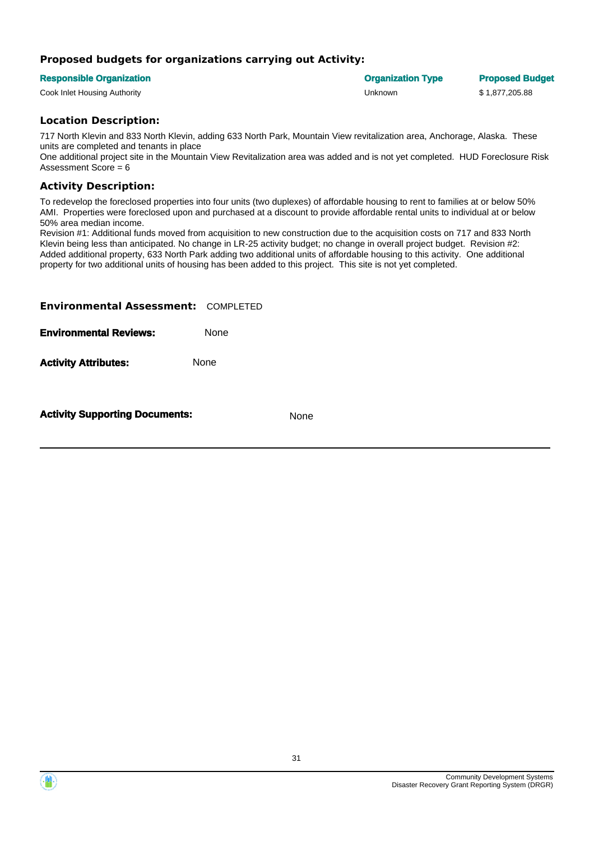### **Proposed budgets for organizations carrying out Activity:**

#### **Responsible Organization Organization Type Proposed Budget**

Cook Inlet Housing Authority Unknown \$ 1,877,205.88

### **Location Description:**

717 North Klevin and 833 North Klevin, adding 633 North Park, Mountain View revitalization area, Anchorage, Alaska. These units are completed and tenants in place

One additional project site in the Mountain View Revitalization area was added and is not yet completed. HUD Foreclosure Risk Assessment Score = 6

### **Activity Description:**

To redevelop the foreclosed properties into four units (two duplexes) of affordable housing to rent to families at or below 50% AMI. Properties were foreclosed upon and purchased at a discount to provide affordable rental units to individual at or below 50% area median income.

Revision #1: Additional funds moved from acquisition to new construction due to the acquisition costs on 717 and 833 North Klevin being less than anticipated. No change in LR-25 activity budget; no change in overall project budget. Revision #2: Added additional property, 633 North Park adding two additional units of affordable housing to this activity. One additional property for two additional units of housing has been added to this project. This site is not yet completed.

| <b>Environmental Assessment: COMPLETED</b> |             |
|--------------------------------------------|-------------|
| <b>Environmental Reviews:</b>              | <b>None</b> |
| <b>Activity Attributes:</b>                | None        |
|                                            |             |

**Activity Supporting Documents:** None

![](_page_30_Picture_17.jpeg)

![](_page_30_Picture_18.jpeg)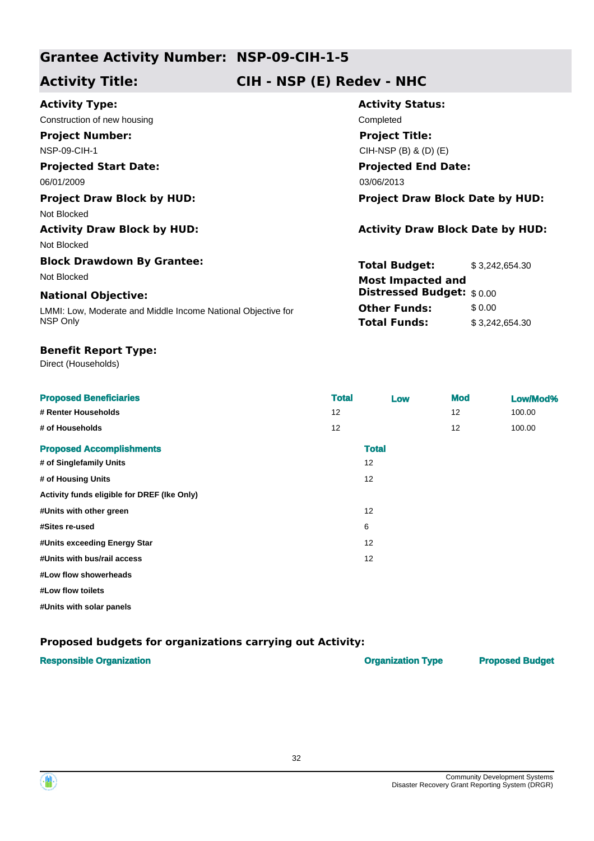**Activity Title: CIH - NSP (E) Redev - NHC**

| <b>Activity Type:</b>                                        | <b>Activity Status:</b>                 |
|--------------------------------------------------------------|-----------------------------------------|
| Construction of new housing                                  | Completed                               |
| <b>Project Number:</b>                                       | <b>Project Title:</b>                   |
| <b>NSP-09-CIH-1</b>                                          | CIH-NSP $(B)$ & $(D)$ $(E)$             |
| <b>Projected Start Date:</b>                                 | <b>Projected End Date:</b>              |
| 06/01/2009                                                   | 03/06/2013                              |
| <b>Project Draw Block by HUD:</b>                            | <b>Project Draw Block Date by HUD:</b>  |
| Not Blocked                                                  |                                         |
| <b>Activity Draw Block by HUD:</b>                           | <b>Activity Draw Block Date by HUD:</b> |
| Not Blocked                                                  |                                         |
| <b>Block Drawdown By Grantee:</b>                            | <b>Total Budget:</b><br>\$3,242,654.30  |
| Not Blocked                                                  | <b>Most Impacted and</b>                |
| <b>National Objective:</b>                                   | Distressed Budget: \$0.00               |
| LMMI: Low, Moderate and Middle Income National Objective for | <b>Other Funds:</b><br>\$0.00           |
| NSP Only                                                     | <b>Total Funds:</b><br>\$3,242,654.30   |
|                                                              |                                         |

### **Benefit Report Type:**

Direct (Households)

| <b>Proposed Beneficiaries</b>               | <b>Total</b> | Low | <b>Mod</b> | Low/Mod% |
|---------------------------------------------|--------------|-----|------------|----------|
| # Renter Households                         | 12           |     | 12         | 100.00   |
| # of Households                             | 12           |     | 12         | 100.00   |
| <b>Proposed Accomplishments</b>             | <b>Total</b> |     |            |          |
| # of Singlefamily Units                     | 12           |     |            |          |
| # of Housing Units                          | 12           |     |            |          |
| Activity funds eligible for DREF (Ike Only) |              |     |            |          |
| #Units with other green                     | 12           |     |            |          |
| #Sites re-used                              | 6            |     |            |          |
| #Units exceeding Energy Star                | 12           |     |            |          |
| #Units with bus/rail access                 | 12           |     |            |          |
| #Low flow showerheads                       |              |     |            |          |
| #Low flow toilets                           |              |     |            |          |
| #Units with solar panels                    |              |     |            |          |

| <b>Responsible Organization</b> | <b>Organization Type</b> | <b>Proposed Budget</b> |
|---------------------------------|--------------------------|------------------------|
|                                 |                          |                        |

![](_page_31_Picture_10.jpeg)

![](_page_31_Picture_11.jpeg)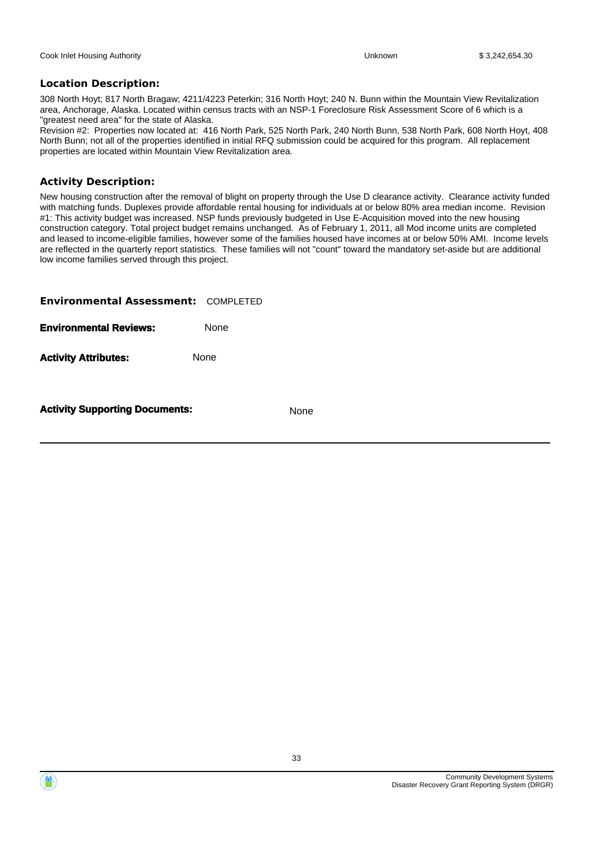308 North Hoyt; 817 North Bragaw; 4211/4223 Peterkin; 316 North Hoyt; 240 N. Bunn within the Mountain View Revitalization area, Anchorage, Alaska. Located within census tracts with an NSP-1 Foreclosure Risk Assessment Score of 6 which is a "greatest need area" for the state of Alaska.

Revision #2: Properties now located at: 416 North Park, 525 North Park, 240 North Bunn, 538 North Park, 608 North Hoyt, 408 North Bunn; not all of the properties identified in initial RFQ submission could be acquired for this program. All replacement properties are located within Mountain View Revitalization area.

## **Activity Description:**

New housing construction after the removal of blight on property through the Use D clearance activity. Clearance activity funded with matching funds. Duplexes provide affordable rental housing for individuals at or below 80% area median income. Revision #1: This activity budget was increased. NSP funds previously budgeted in Use E-Acquisition moved into the new housing construction category. Total project budget remains unchanged. As of February 1, 2011, all Mod income units are completed and leased to income-eligible families, however some of the families housed have incomes at or below 50% AMI. Income levels are reflected in the quarterly report statistics. These families will not "count" toward the mandatory set-aside but are additional low income families served through this project.

| <b>Activity Supporting Documents:</b>      |             | <b>None</b> |
|--------------------------------------------|-------------|-------------|
| <b>Activity Attributes:</b>                | None        |             |
| <b>Environmental Reviews:</b>              | <b>None</b> |             |
| <b>Environmental Assessment: COMPLETED</b> |             |             |

![](_page_32_Picture_11.jpeg)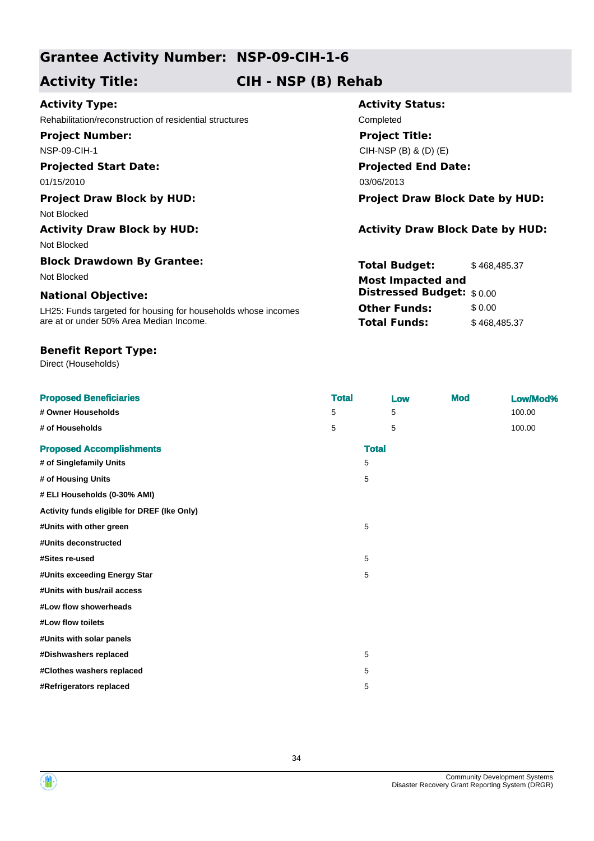## **Activity Title: CIH - NSP (B) Rehab**

## **Activity Type:**

Rehabilitation/reconstruction of residential structures Completed **Project Number:**

NSP-09-CIH-1

## **Projected Start Date:**

Not Blocked

Not Blocked

# **Block Drawdown By Grantee:**

#### **National Objective:**

LH25: Funds targeted for housing for households whose incomes are at or under 50% Area Median Income.

#### **Benefit Report Type:**

Direct (Households)

## **Activity Status: Projected End Date:** 03/06/2010 03/06/2013 **Project Title:** CIH-NSP (B) & (D) (E) **Project Draw Block by HUD: Project Draw Block Date by HUD:**

## **Activity Draw Block by HUD: Activity Draw Block Date by HUD:**

**Total Budget:** \$468,485.37 **Other Funds:** \$0.00 **Total Funds:** \$468,485.37 Not Blocked **Most Impacted and Distressed Budget:** \$ 0.00

| <b>Proposed Beneficiaries</b>               | <b>Total</b> |              | <b>Mod</b><br>Low | Low/Mod% |
|---------------------------------------------|--------------|--------------|-------------------|----------|
| # Owner Households                          | 5            | 5            |                   | 100.00   |
| # of Households                             | 5            | 5            |                   | 100.00   |
| <b>Proposed Accomplishments</b>             |              | <b>Total</b> |                   |          |
| # of Singlefamily Units                     |              | 5            |                   |          |
| # of Housing Units                          |              | 5            |                   |          |
| # ELI Households (0-30% AMI)                |              |              |                   |          |
| Activity funds eligible for DREF (Ike Only) |              |              |                   |          |
| #Units with other green                     |              | 5            |                   |          |
| #Units deconstructed                        |              |              |                   |          |
| #Sites re-used                              |              | 5            |                   |          |
| #Units exceeding Energy Star                |              | 5            |                   |          |
| #Units with bus/rail access                 |              |              |                   |          |
| #Low flow showerheads                       |              |              |                   |          |
| #Low flow toilets                           |              |              |                   |          |
| #Units with solar panels                    |              |              |                   |          |
| #Dishwashers replaced                       |              | 5            |                   |          |
| #Clothes washers replaced                   |              | 5            |                   |          |
| #Refrigerators replaced                     |              | 5            |                   |          |

![](_page_33_Picture_22.jpeg)

![](_page_33_Picture_23.jpeg)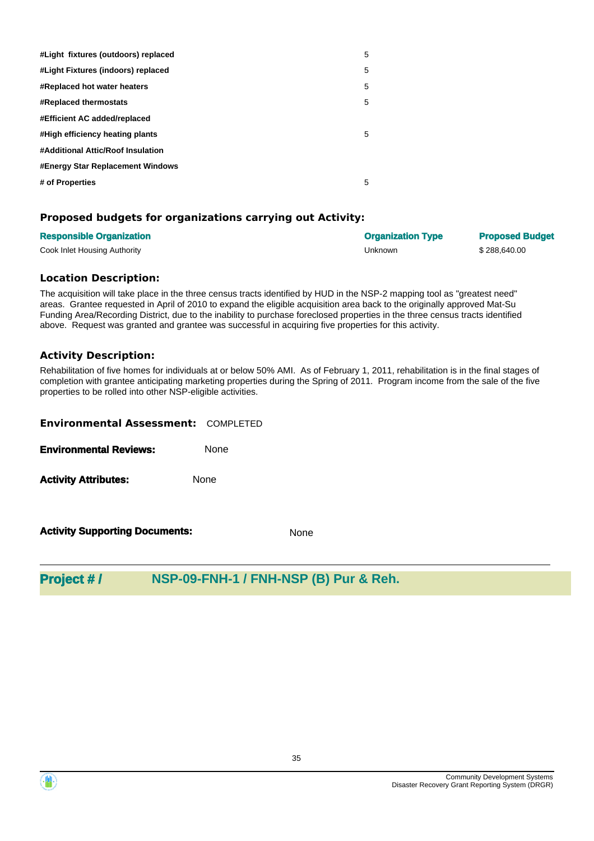| #Light fixtures (outdoors) replaced     | 5 |
|-----------------------------------------|---|
| #Light Fixtures (indoors) replaced      | 5 |
| #Replaced hot water heaters             | 5 |
| <b>#Replaced thermostats</b>            | 5 |
| #Efficient AC added/replaced            |   |
| #High efficiency heating plants         | 5 |
| #Additional Attic/Roof Insulation       |   |
| <b>#Energy Star Replacement Windows</b> |   |
| # of Properties                         | 5 |

### **Proposed budgets for organizations carrying out Activity:**

| <b>Responsible Organization</b> | <b>Organization Type</b> | <b>Proposed Budget</b> |
|---------------------------------|--------------------------|------------------------|
| Cook Inlet Housing Authority    | Unknown                  | \$288.640.00           |

#### **Location Description:**

The acquisition will take place in the three census tracts identified by HUD in the NSP-2 mapping tool as "greatest need" areas. Grantee requested in April of 2010 to expand the eligible acquisition area back to the originally approved Mat-Su Funding Area/Recording District, due to the inability to purchase foreclosed properties in the three census tracts identified above. Request was granted and grantee was successful in acquiring five properties for this activity.

#### **Activity Description:**

Rehabilitation of five homes for individuals at or below 50% AMI. As of February 1, 2011, rehabilitation is in the final stages of completion with grantee anticipating marketing properties during the Spring of 2011. Program income from the sale of the five properties to be rolled into other NSP-eligible activities.

| <b>Environmental Assessment: COMPLETED</b> |             |
|--------------------------------------------|-------------|
| <b>Environmental Reviews:</b>              | <b>None</b> |
| <b>Activity Attributes:</b>                | None        |
|                                            |             |

**Activity Supporting Documents:** None

## **Project # / NSP-09-FNH-1 / FNH-NSP (B) Pur & Reh.**

![](_page_34_Picture_12.jpeg)

![](_page_34_Picture_13.jpeg)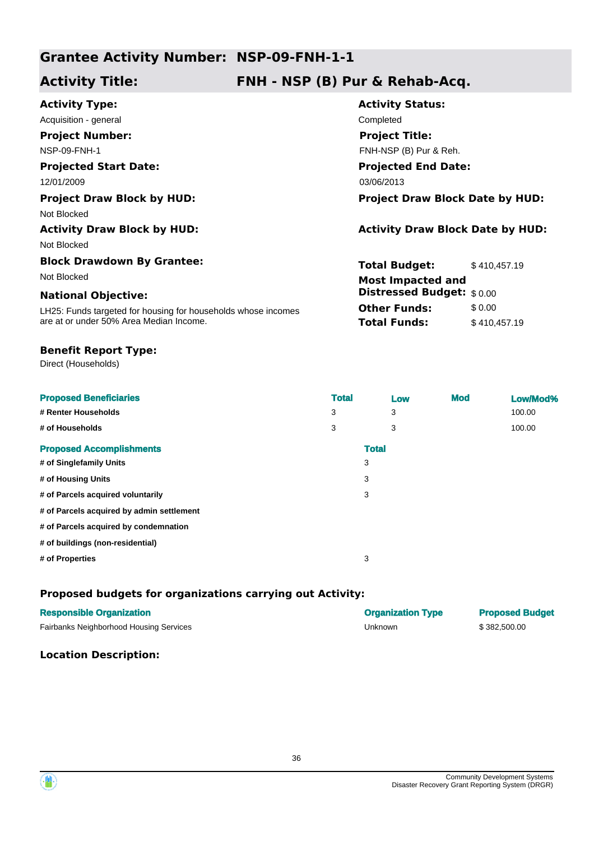## **Activity Title: FNH - NSP (B) Pur & Rehab-Acq.**

| <b>Activity Type:</b>                                         | <b>Activity Status:</b>                 |  |  |
|---------------------------------------------------------------|-----------------------------------------|--|--|
| Acquisition - general                                         | Completed                               |  |  |
| <b>Project Number:</b>                                        | <b>Project Title:</b>                   |  |  |
| <b>NSP-09-FNH-1</b>                                           | FNH-NSP (B) Pur & Reh.                  |  |  |
| <b>Projected Start Date:</b>                                  | <b>Projected End Date:</b>              |  |  |
| 12/01/2009                                                    | 03/06/2013                              |  |  |
| <b>Project Draw Block by HUD:</b>                             | <b>Project Draw Block Date by HUD:</b>  |  |  |
| Not Blocked                                                   |                                         |  |  |
| <b>Activity Draw Block by HUD:</b>                            | <b>Activity Draw Block Date by HUD:</b> |  |  |
| Not Blocked                                                   |                                         |  |  |
| <b>Block Drawdown By Grantee:</b>                             | <b>Total Budget:</b><br>\$410,457.19    |  |  |
| Not Blocked                                                   | <b>Most Impacted and</b>                |  |  |
| <b>National Objective:</b>                                    | <b>Distressed Budget:</b> \$0.00        |  |  |
| LH25: Funds targeted for housing for households whose incomes | <b>Other Funds:</b><br>\$0.00           |  |  |
| are at or under 50% Area Median Income.                       | <b>Total Funds:</b><br>\$410,457.19     |  |  |

### **Benefit Report Type:**

Direct (Households)

| <b>Proposed Beneficiaries</b>             | <b>Total</b> | Low | <b>Mod</b> | Low/Mod% |
|-------------------------------------------|--------------|-----|------------|----------|
| # Renter Households                       | 3            | 3   |            | 100.00   |
| # of Households                           | 3            | 3   |            | 100.00   |
| <b>Proposed Accomplishments</b>           | <b>Total</b> |     |            |          |
| # of Singlefamily Units                   | 3            |     |            |          |
| # of Housing Units                        | 3            |     |            |          |
| # of Parcels acquired voluntarily         | 3            |     |            |          |
| # of Parcels acquired by admin settlement |              |     |            |          |
| # of Parcels acquired by condemnation     |              |     |            |          |
| # of buildings (non-residential)          |              |     |            |          |
| # of Properties                           | 3            |     |            |          |

## **Proposed budgets for organizations carrying out Activity:**

| <b>Responsible Organization</b>         | <b>Organization Type</b> | <b>Proposed Budget</b> |
|-----------------------------------------|--------------------------|------------------------|
| Fairbanks Neighborhood Housing Services | Unknown                  | \$382,500.00           |

### **Location Description:**

![](_page_35_Picture_12.jpeg)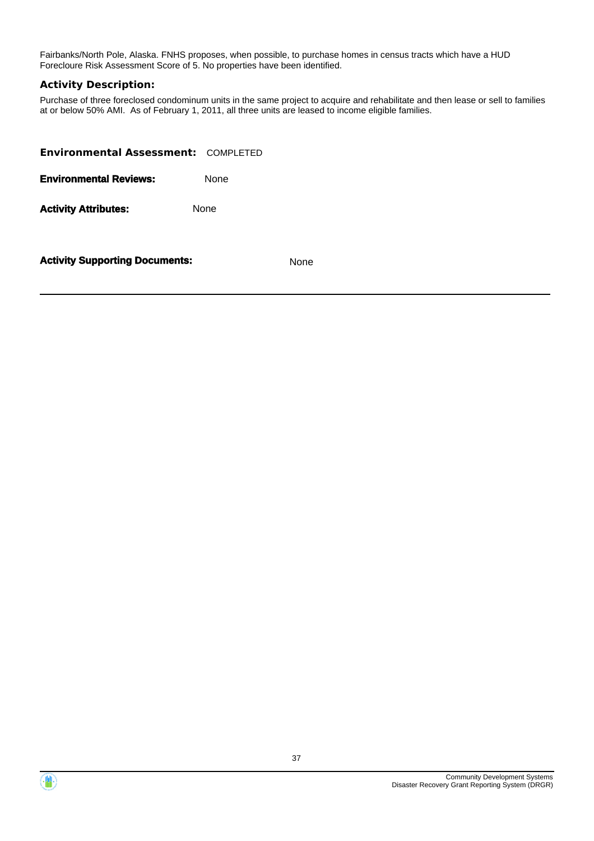Fairbanks/North Pole, Alaska. FNHS proposes, when possible, to purchase homes in census tracts which have a HUD Forecloure Risk Assessment Score of 5. No properties have been identified.

## **Activity Description:**

Purchase of three foreclosed condominum units in the same project to acquire and rehabilitate and then lease or sell to families at or below 50% AMI. As of February 1, 2011, all three units are leased to income eligible families.

| <b>Environmental Assessment: COMPLETED</b> |             |
|--------------------------------------------|-------------|
| <b>Environmental Reviews:</b>              | <b>None</b> |
| <b>Activity Attributes:</b>                | <b>None</b> |
|                                            |             |



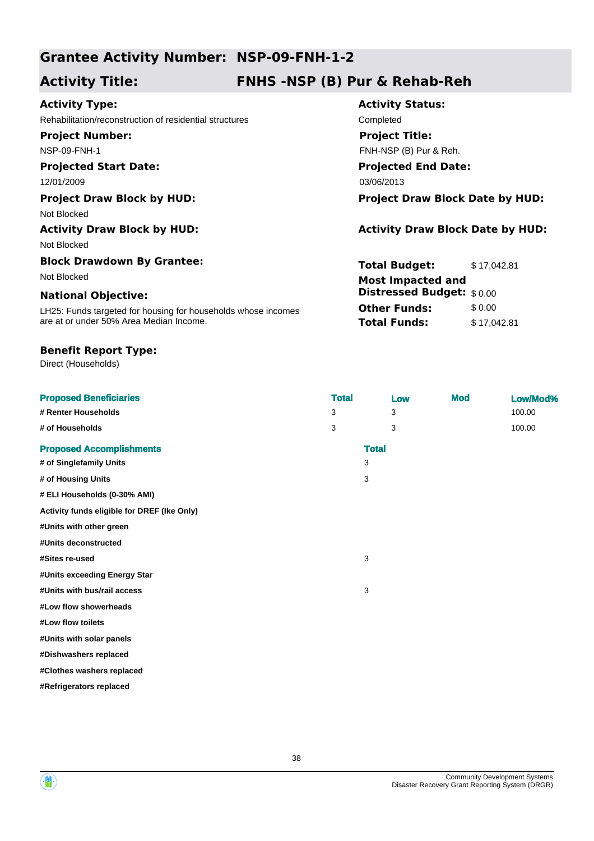# **Grantee Activity Number: NSP-09-FNH-1-2**

# **Activity Title: FNHS -NSP (B) Pur & Rehab-Reh**

# **Activity Type:**

Rehabilitation/reconstruction of residential structures Completed

**Project Number:** NSP-09-FNH-1

# **Projected Start Date:**

### **Project Draw Block by HUD: Project Draw Block Date by HUD:**

Not Blocked

### **Activity Draw Block by HUD: Activity Draw Block Date by HUD:**

Not Blocked

# **Block Drawdown By Grantee:**

# **National Objective:**

LH25: Funds targeted for housing for households whose incomes are at or under 50% Area Median Income.

### **Benefit Report Type:**

Direct (Households)

# **Activity Status: Projected End Date:** 12/01/2009 03/06/2013 **Project Title:** FNH-NSP (B) Pur & Reh.

**Total Budget:** \$ 17,042.81 **Other Funds:** \$0.00 **Total Funds:** \$17,042.81 Not Blocked **Most Impacted and Distressed Budget:** \$ 0.00

| <b>Proposed Beneficiaries</b>               | <b>Total</b> | Low          | <b>Mod</b> | Low/Mod% |
|---------------------------------------------|--------------|--------------|------------|----------|
| # Renter Households                         | 3            | 3            |            | 100.00   |
| # of Households                             | 3            | 3            |            | 100.00   |
| <b>Proposed Accomplishments</b>             |              | <b>Total</b> |            |          |
| # of Singlefamily Units                     | 3            |              |            |          |
| # of Housing Units                          | 3            |              |            |          |
| # ELI Households (0-30% AMI)                |              |              |            |          |
| Activity funds eligible for DREF (Ike Only) |              |              |            |          |
| #Units with other green                     |              |              |            |          |
| #Units deconstructed                        |              |              |            |          |
| #Sites re-used                              | 3            |              |            |          |
| #Units exceeding Energy Star                |              |              |            |          |
| #Units with bus/rail access                 | 3            |              |            |          |
| #Low flow showerheads                       |              |              |            |          |
| #Low flow toilets                           |              |              |            |          |
| #Units with solar panels                    |              |              |            |          |
| #Dishwashers replaced                       |              |              |            |          |
| #Clothes washers replaced                   |              |              |            |          |
| #Refrigerators replaced                     |              |              |            |          |
|                                             |              |              |            |          |



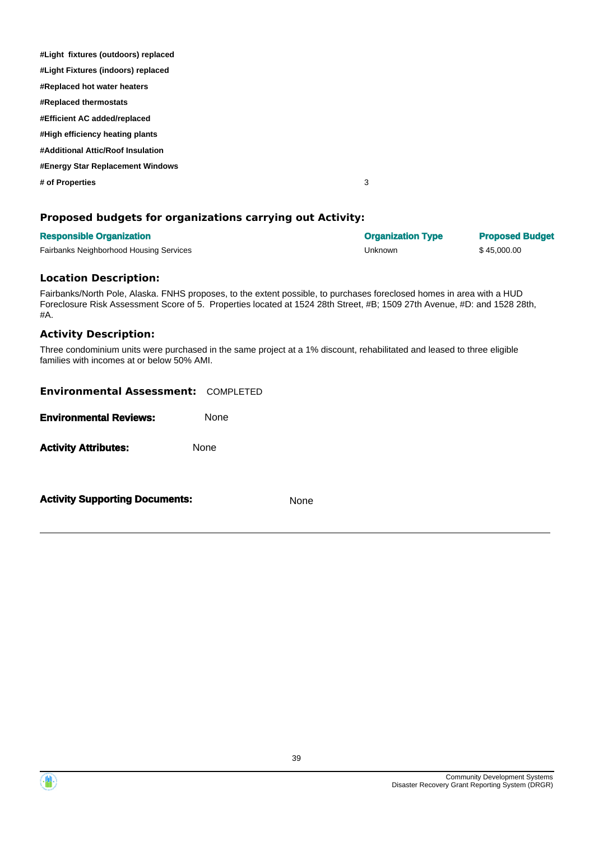| #Light fixtures (outdoors) replaced |   |
|-------------------------------------|---|
| #Light Fixtures (indoors) replaced  |   |
| #Replaced hot water heaters         |   |
| #Replaced thermostats               |   |
| #Efficient AC added/replaced        |   |
| #High efficiency heating plants     |   |
| #Additional Attic/Roof Insulation   |   |
| #Energy Star Replacement Windows    |   |
| # of Properties                     | 3 |
|                                     |   |

## **Proposed budgets for organizations carrying out Activity:**

| <b>Responsible Organization</b>         | <b>Organization Type</b> | <b>Proposed Budget</b> |
|-----------------------------------------|--------------------------|------------------------|
| Fairbanks Neighborhood Housing Services | Unknown                  | \$45,000.00            |

#### **Location Description:**

Fairbanks/North Pole, Alaska. FNHS proposes, to the extent possible, to purchases foreclosed homes in area with a HUD Foreclosure Risk Assessment Score of 5. Properties located at 1524 28th Street, #B; 1509 27th Avenue, #D: and 1528 28th, #A.

#### **Activity Description:**

Three condominium units were purchased in the same project at a 1% discount, rehabilitated and leased to three eligible families with incomes at or below 50% AMI.

| <b>Environmental Assessment: COMPLETED</b><br><b>Environmental Reviews:</b> | <b>None</b> |      |
|-----------------------------------------------------------------------------|-------------|------|
| <b>Activity Attributes:</b>                                                 | None        |      |
| <b>Activity Supporting Documents:</b>                                       |             | None |

Community Development Systems Disaster Recovery Grant Reporting System (DRGR)

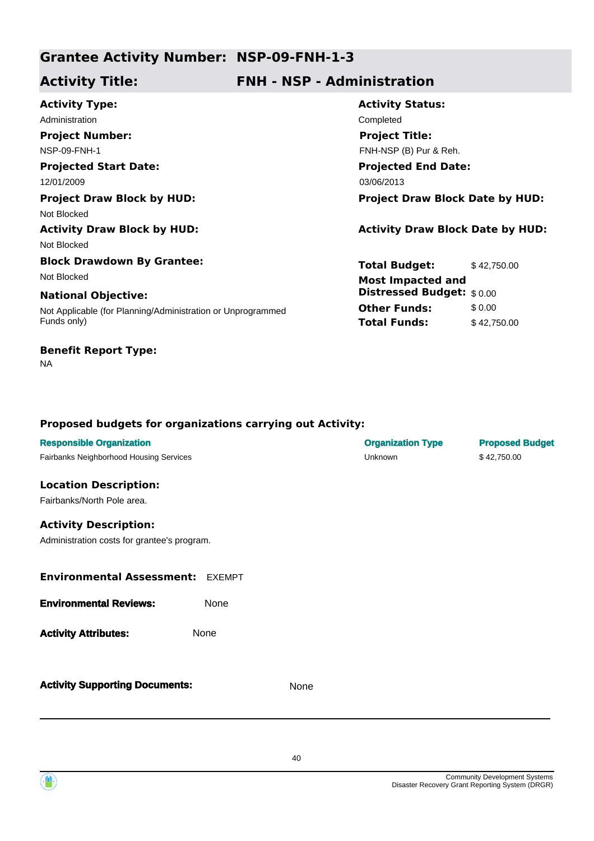# **Grantee Activity Number: NSP-09-FNH-1-3**

# **Activity Title: FNH - NSP - Administration**

| <b>Activity Type:</b>                                       | <b>Activity Status:</b>                 |             |  |  |
|-------------------------------------------------------------|-----------------------------------------|-------------|--|--|
| Administration                                              | Completed                               |             |  |  |
| <b>Project Number:</b>                                      | <b>Project Title:</b>                   |             |  |  |
| NSP-09-FNH-1                                                | FNH-NSP (B) Pur & Reh.                  |             |  |  |
| <b>Projected Start Date:</b>                                | <b>Projected End Date:</b>              |             |  |  |
| 12/01/2009                                                  | 03/06/2013                              |             |  |  |
| <b>Project Draw Block by HUD:</b>                           | <b>Project Draw Block Date by HUD:</b>  |             |  |  |
| Not Blocked                                                 |                                         |             |  |  |
| <b>Activity Draw Block by HUD:</b>                          | <b>Activity Draw Block Date by HUD:</b> |             |  |  |
| Not Blocked                                                 |                                         |             |  |  |
| <b>Block Drawdown By Grantee:</b>                           | <b>Total Budget:</b>                    | \$42,750.00 |  |  |
| Not Blocked                                                 | <b>Most Impacted and</b>                |             |  |  |
| <b>National Objective:</b>                                  | Distressed Budget: \$0.00               |             |  |  |
| Not Applicable (for Planning/Administration or Unprogrammed | <b>Other Funds:</b>                     | \$0.00      |  |  |
| Funds only)                                                 | <b>Total Funds:</b>                     | \$42,750.00 |  |  |
| <b>Benefit Report Type:</b>                                 |                                         |             |  |  |

# **Proposed budgets for organizations carrying out Activity:**

| <b>Responsible Organization</b><br>Fairbanks Neighborhood Housing Services  |      |      | <b>Organization Type</b><br>Unknown | <b>Proposed Budget</b><br>\$42,750.00 |
|-----------------------------------------------------------------------------|------|------|-------------------------------------|---------------------------------------|
| <b>Location Description:</b><br>Fairbanks/North Pole area.                  |      |      |                                     |                                       |
| <b>Activity Description:</b><br>Administration costs for grantee's program. |      |      |                                     |                                       |
| <b>Environmental Assessment: EXEMPT</b>                                     |      |      |                                     |                                       |
| <b>Environmental Reviews:</b>                                               | None |      |                                     |                                       |
| <b>Activity Attributes:</b>                                                 | None |      |                                     |                                       |
| <b>Activity Supporting Documents:</b>                                       |      | None |                                     |                                       |



NA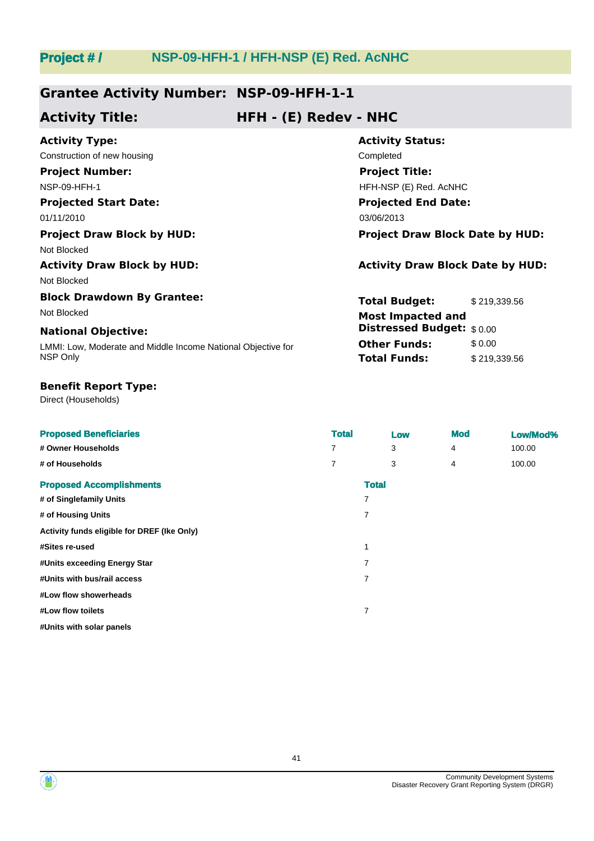# **Project # / NSP-09-HFH-1 / HFH-NSP (E) Red. AcNHC**

# **Grantee Activity Number: NSP-09-HFH-1-1**

# **Activity Title: HFH - (E) Redev - NHC**

| <b>Activity Type:</b>                                        | <b>Activity Status:</b>                 |                            |  |  |
|--------------------------------------------------------------|-----------------------------------------|----------------------------|--|--|
| Construction of new housing                                  | Completed                               |                            |  |  |
| <b>Project Number:</b>                                       | <b>Project Title:</b>                   |                            |  |  |
| NSP-09-HFH-1                                                 |                                         | HFH-NSP (E) Red. AcNHC     |  |  |
| <b>Projected Start Date:</b>                                 |                                         | <b>Projected End Date:</b> |  |  |
| 01/11/2010                                                   | 03/06/2013                              |                            |  |  |
| <b>Project Draw Block by HUD:</b>                            | <b>Project Draw Block Date by HUD:</b>  |                            |  |  |
| Not Blocked                                                  |                                         |                            |  |  |
| <b>Activity Draw Block by HUD:</b>                           | <b>Activity Draw Block Date by HUD:</b> |                            |  |  |
| Not Blocked                                                  |                                         |                            |  |  |
| <b>Block Drawdown By Grantee:</b>                            | <b>Total Budget:</b>                    | \$219,339.56               |  |  |
| Not Blocked                                                  | <b>Most Impacted and</b>                |                            |  |  |
| <b>National Objective:</b>                                   | <b>Distressed Budget:</b> \$0.00        |                            |  |  |
| LMMI: Low, Moderate and Middle Income National Objective for | <b>Other Funds:</b>                     | \$0.00                     |  |  |
| NSP Only                                                     | <b>Total Funds:</b>                     | \$219,339.56               |  |  |

### **Benefit Report Type:**

Direct (Households)

| <b>Proposed Beneficiaries</b>               | <b>Total</b> |              | Low | <b>Mod</b> | Low/Mod% |
|---------------------------------------------|--------------|--------------|-----|------------|----------|
| # Owner Households                          | 7            |              | 3   | 4          | 100.00   |
| # of Households                             | 7            |              | 3   | 4          | 100.00   |
| <b>Proposed Accomplishments</b>             |              | <b>Total</b> |     |            |          |
| # of Singlefamily Units                     |              | 7            |     |            |          |
| # of Housing Units                          |              | 7            |     |            |          |
| Activity funds eligible for DREF (Ike Only) |              |              |     |            |          |
| #Sites re-used                              |              |              |     |            |          |
| #Units exceeding Energy Star                |              | 7            |     |            |          |
| #Units with bus/rail access                 |              | 7            |     |            |          |
| #Low flow showerheads                       |              |              |     |            |          |
| #Low flow toilets                           |              | 7            |     |            |          |
| #Units with solar panels                    |              |              |     |            |          |

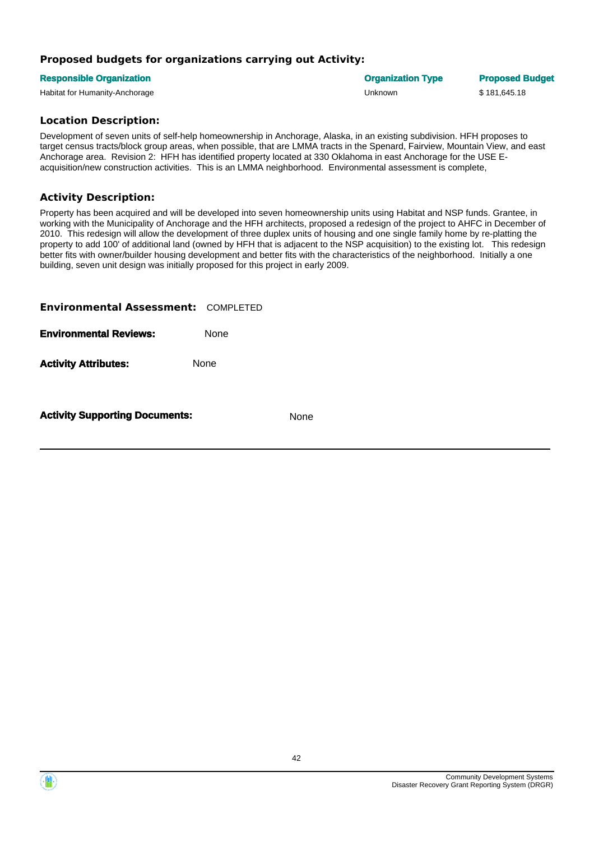# **Proposed budgets for organizations carrying out Activity:**

#### **Responsible Organization Organization Type Proposed Budget**

Habitat for Humanity-Anchorage Unknown \$ 181,645.18

## **Location Description:**

Development of seven units of self-help homeownership in Anchorage, Alaska, in an existing subdivision. HFH proposes to target census tracts/block group areas, when possible, that are LMMA tracts in the Spenard, Fairview, Mountain View, and east Anchorage area. Revision 2: HFH has identified property located at 330 Oklahoma in east Anchorage for the USE Eacquisition/new construction activities. This is an LMMA neighborhood. Environmental assessment is complete,

# **Activity Description:**

Property has been acquired and will be developed into seven homeownership units using Habitat and NSP funds. Grantee, in working with the Municipality of Anchorage and the HFH architects, proposed a redesign of the project to AHFC in December of 2010. This redesign will allow the development of three duplex units of housing and one single family home by re-platting the property to add 100' of additional land (owned by HFH that is adjacent to the NSP acquisition) to the existing lot. This redesign better fits with owner/builder housing development and better fits with the characteristics of the neighborhood. Initially a one building, seven unit design was initially proposed for this project in early 2009.

| <b>Environmental Assessment: COMPLETED</b> |      |
|--------------------------------------------|------|
| <b>Environmental Reviews:</b>              | None |
| <b>Activity Attributes:</b>                | None |
|                                            |      |

**Activity Supporting Documents:** None

Community Development Systems Disaster Recovery Grant Reporting System (DRGR)

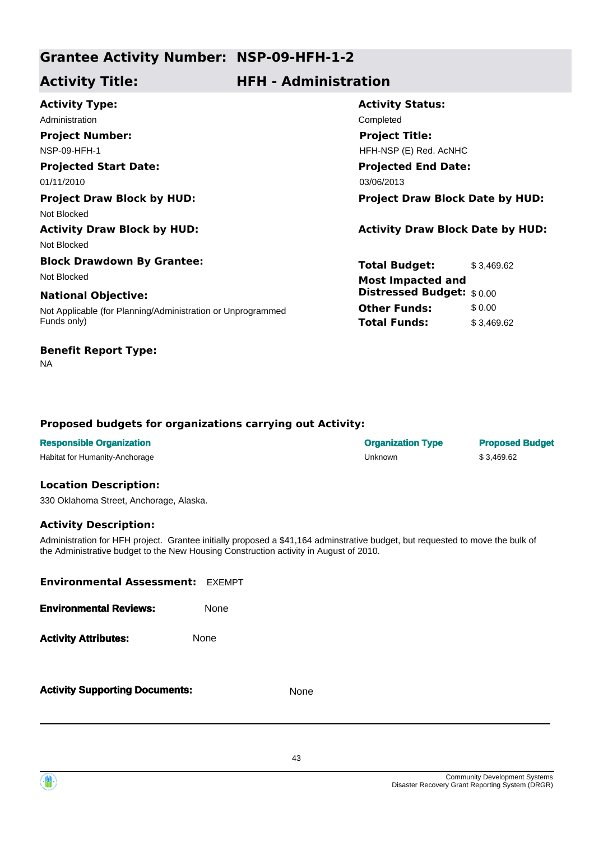# **Grantee Activity Number: NSP-09-HFH-1-2**

# **Activity Title: HFH - Administration**

| <b>Activity Type:</b>                                       | <b>Activity Status:</b>                 |
|-------------------------------------------------------------|-----------------------------------------|
| Administration                                              | Completed                               |
| <b>Project Number:</b>                                      | <b>Project Title:</b>                   |
| <b>NSP-09-HFH-1</b>                                         | HFH-NSP (E) Red. AcNHC                  |
| <b>Projected Start Date:</b>                                | <b>Projected End Date:</b>              |
| 01/11/2010                                                  | 03/06/2013                              |
| <b>Project Draw Block by HUD:</b>                           | <b>Project Draw Block Date by HUD:</b>  |
| Not Blocked                                                 |                                         |
| <b>Activity Draw Block by HUD:</b>                          | <b>Activity Draw Block Date by HUD:</b> |
| Not Blocked                                                 |                                         |
| <b>Block Drawdown By Grantee:</b>                           | <b>Total Budget:</b><br>\$3,469.62      |
| Not Blocked                                                 | <b>Most Impacted and</b>                |
| <b>National Objective:</b>                                  | <b>Distressed Budget:</b> \$0.00        |
| Not Applicable (for Planning/Administration or Unprogrammed | <b>Other Funds:</b><br>\$0.00           |
| Funds only)                                                 | <b>Total Funds:</b><br>\$3,469.62       |

# **Benefit Report Type:**

NA

# **Proposed budgets for organizations carrying out Activity:**

| <b>Responsible Organization</b> | <b>Organization Type</b> | <b>Proposed Budget</b> |
|---------------------------------|--------------------------|------------------------|
| Habitat for Humanity-Anchorage  | Unknown                  | \$3.469.62             |

### **Location Description:**

330 Oklahoma Street, Anchorage, Alaska.

# **Activity Description:**

Administration for HFH project. Grantee initially proposed a \$41,164 adminstrative budget, but requested to move the bulk of the Administrative budget to the New Housing Construction activity in August of 2010.

| <b>Environmental Assessment: EXEMPT</b> |      |      |
|-----------------------------------------|------|------|
| <b>Environmental Reviews:</b>           | None |      |
| <b>Activity Attributes:</b>             | None |      |
| <b>Activity Supporting Documents:</b>   |      | None |

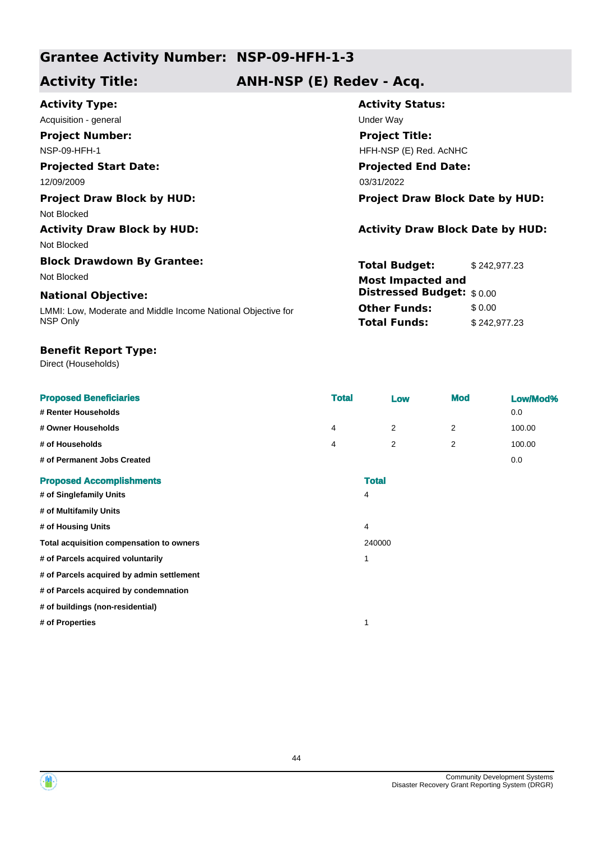# **Grantee Activity Number: NSP-09-HFH-1-3**

# **Activity Title: ANH-NSP (E) Redev - Acq.**

| Under Way                               |                          |  |
|-----------------------------------------|--------------------------|--|
| <b>Project Title:</b>                   |                          |  |
| HFH-NSP (E) Red. AcNHC                  |                          |  |
| <b>Projected End Date:</b>              |                          |  |
| 03/31/2022                              |                          |  |
| <b>Project Draw Block Date by HUD:</b>  |                          |  |
|                                         |                          |  |
| <b>Activity Draw Block Date by HUD:</b> |                          |  |
|                                         |                          |  |
| <b>Total Budget:</b>                    | \$242,977.23             |  |
|                                         |                          |  |
| <b>Distressed Budget:</b> \$0.00        |                          |  |
| <b>Other Funds:</b>                     | \$0.00                   |  |
| <b>Total Funds:</b>                     | \$242,977.23             |  |
|                                         | <b>Most Impacted and</b> |  |

# **Benefit Report Type:**

Direct (Households)

| <b>Proposed Beneficiaries</b>             | <b>Total</b> |              | Low | <b>Mod</b> | Low/Mod% |
|-------------------------------------------|--------------|--------------|-----|------------|----------|
| # Renter Households                       |              |              |     |            | 0.0      |
| # Owner Households                        | 4            |              | 2   | 2          | 100.00   |
| # of Households                           | 4            |              | 2   | 2          | 100.00   |
| # of Permanent Jobs Created               |              |              |     |            | 0.0      |
| <b>Proposed Accomplishments</b>           |              | <b>Total</b> |     |            |          |
| # of Singlefamily Units                   |              | 4            |     |            |          |
| # of Multifamily Units                    |              |              |     |            |          |
| # of Housing Units                        |              | 4            |     |            |          |
| Total acquisition compensation to owners  |              | 240000       |     |            |          |
| # of Parcels acquired voluntarily         |              | 1            |     |            |          |
| # of Parcels acquired by admin settlement |              |              |     |            |          |
| # of Parcels acquired by condemnation     |              |              |     |            |          |
| # of buildings (non-residential)          |              |              |     |            |          |
| # of Properties                           |              | 1            |     |            |          |



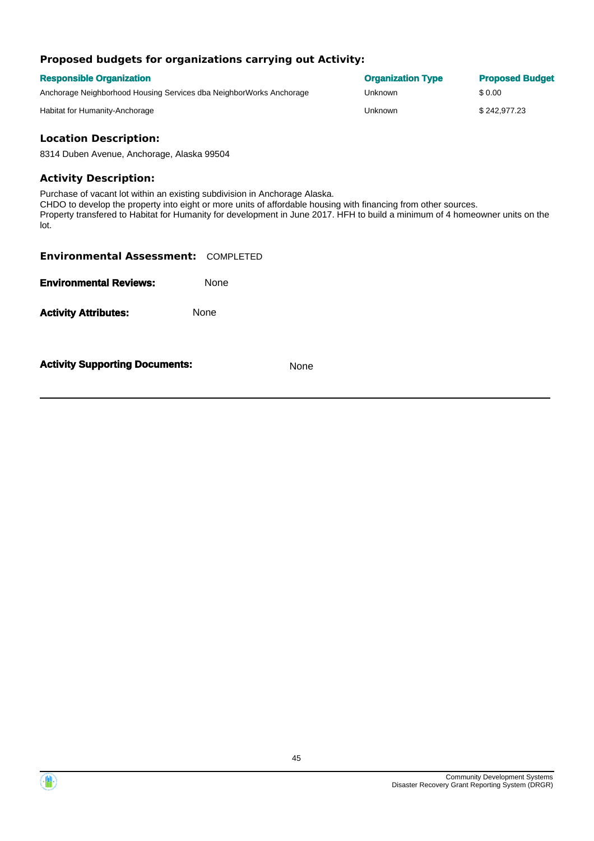# **Proposed budgets for organizations carrying out Activity:**

| <b>Responsible Organization</b>                                     | <b>Organization Type</b> | <b>Proposed Budget</b> |
|---------------------------------------------------------------------|--------------------------|------------------------|
| Anchorage Neighborhood Housing Services dba NeighborWorks Anchorage | Unknown                  | \$ 0.00                |
| Habitat for Humanity-Anchorage                                      | Unknown                  | \$242,977.23           |

# **Location Description:**

8314 Duben Avenue, Anchorage, Alaska 99504

### **Activity Description:**

Purchase of vacant lot within an existing subdivision in Anchorage Alaska. CHDO to develop the property into eight or more units of affordable housing with financing from other sources. Property transfered to Habitat for Humanity for development in June 2017. HFH to build a minimum of 4 homeowner units on the lot.

| <b>Environmental Assessment: COMPLETED</b> |      |
|--------------------------------------------|------|
| <b>Environmental Reviews:</b>              | None |
| <b>Activity Attributes:</b>                | None |
| <b>Activity Supporting Documents:</b>      | None |

Community Development Systems Disaster Recovery Grant Reporting System (DRGR)

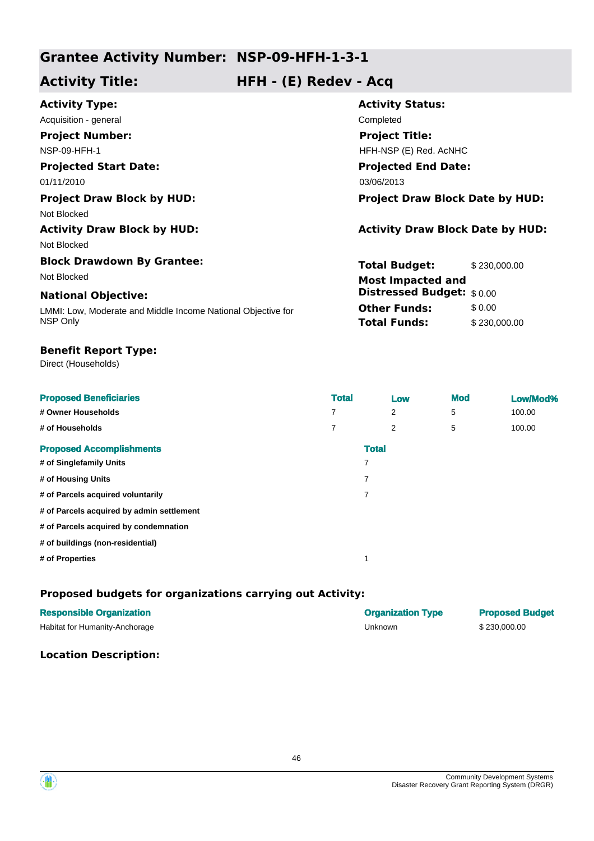# **Grantee Activity Number: NSP-09-HFH-1-3-1**

# **Activity Title: HFH - (E) Redev - Acq**

| <b>Activity Type:</b>                                        | <b>Activity Status:</b>                 |              |  |
|--------------------------------------------------------------|-----------------------------------------|--------------|--|
| Acquisition - general                                        | Completed                               |              |  |
| <b>Project Number:</b>                                       | <b>Project Title:</b>                   |              |  |
| <b>NSP-09-HFH-1</b>                                          | HFH-NSP (E) Red. AcNHC                  |              |  |
| <b>Projected Start Date:</b>                                 | <b>Projected End Date:</b>              |              |  |
| 01/11/2010                                                   | 03/06/2013                              |              |  |
| <b>Project Draw Block by HUD:</b>                            | <b>Project Draw Block Date by HUD:</b>  |              |  |
| Not Blocked                                                  |                                         |              |  |
| <b>Activity Draw Block by HUD:</b>                           | <b>Activity Draw Block Date by HUD:</b> |              |  |
| Not Blocked                                                  |                                         |              |  |
| <b>Block Drawdown By Grantee:</b>                            | <b>Total Budget:</b>                    | \$230,000.00 |  |
| Not Blocked                                                  | <b>Most Impacted and</b>                |              |  |
| <b>National Objective:</b>                                   | <b>Distressed Budget:</b> \$0.00        |              |  |
| LMMI: Low, Moderate and Middle Income National Objective for | <b>Other Funds:</b>                     | \$0.00       |  |
| NSP Only                                                     | <b>Total Funds:</b>                     | \$230,000.00 |  |

## **Benefit Report Type:**

Direct (Households)

| <b>Proposed Beneficiaries</b>             | <b>Total</b> | Low | <b>Mod</b> | Low/Mod% |
|-------------------------------------------|--------------|-----|------------|----------|
| # Owner Households                        | 7            | 2   | 5          | 100.00   |
| # of Households                           | 7            | 2   | 5          | 100.00   |
| <b>Proposed Accomplishments</b>           | <b>Total</b> |     |            |          |
| # of Singlefamily Units                   | 7            |     |            |          |
| # of Housing Units                        | 7            |     |            |          |
| # of Parcels acquired voluntarily         | 7            |     |            |          |
| # of Parcels acquired by admin settlement |              |     |            |          |
| # of Parcels acquired by condemnation     |              |     |            |          |
| # of buildings (non-residential)          |              |     |            |          |
| # of Properties                           |              |     |            |          |

# **Proposed budgets for organizations carrying out Activity:**

| <b>Responsible Organization</b> | <b>Organization Type</b> | <b>Proposed Budget</b> |
|---------------------------------|--------------------------|------------------------|
| Habitat for Humanity-Anchorage  | Unknown                  | \$230,000,00           |

## **Location Description:**

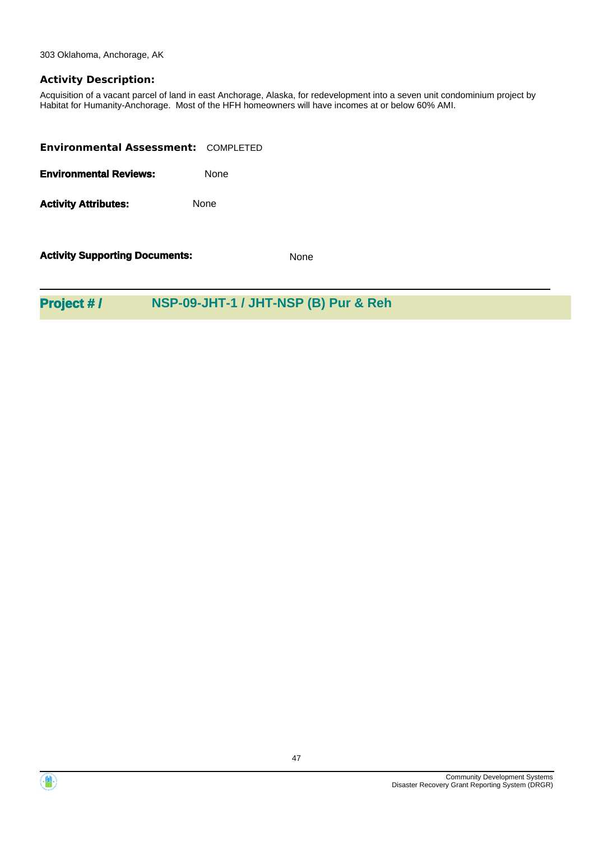303 Oklahoma, Anchorage, AK

## **Activity Description:**

Acquisition of a vacant parcel of land in east Anchorage, Alaska, for redevelopment into a seven unit condominium project by Habitat for Humanity-Anchorage. Most of the HFH homeowners will have incomes at or below 60% AMI.

| <b>Environmental Assessment: COMPLETED</b> |             |
|--------------------------------------------|-------------|
| <b>Environmental Reviews:</b>              | <b>None</b> |
| <b>Activity Attributes:</b>                | <b>None</b> |
|                                            |             |

**Activity Supporting Documents:** None

# **Project # / NSP-09-JHT-1 / JHT-NSP (B) Pur & Reh**



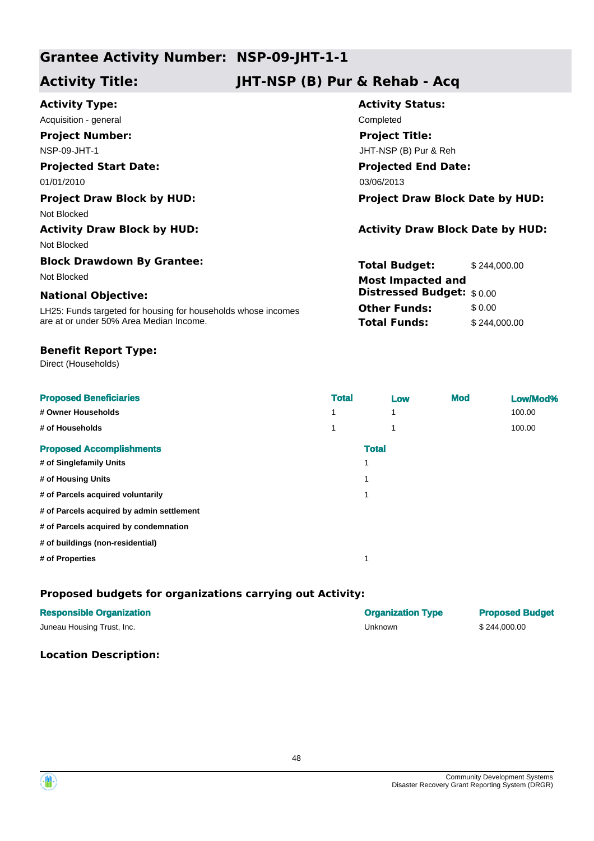# **Grantee Activity Number: NSP-09-JHT-1-1**

# **Activity Title: JHT-NSP (B) Pur & Rehab - Acq**

| <b>Activity Type:</b>                                         | <b>Activity Status:</b>                 |              |  |
|---------------------------------------------------------------|-----------------------------------------|--------------|--|
| Acquisition - general                                         | Completed                               |              |  |
| <b>Project Number:</b>                                        | <b>Project Title:</b>                   |              |  |
| NSP-09-JHT-1                                                  | JHT-NSP (B) Pur & Reh                   |              |  |
| <b>Projected Start Date:</b>                                  | <b>Projected End Date:</b>              |              |  |
| 01/01/2010                                                    | 03/06/2013                              |              |  |
| <b>Project Draw Block by HUD:</b>                             | <b>Project Draw Block Date by HUD:</b>  |              |  |
| Not Blocked                                                   |                                         |              |  |
| <b>Activity Draw Block by HUD:</b>                            | <b>Activity Draw Block Date by HUD:</b> |              |  |
| Not Blocked                                                   |                                         |              |  |
| <b>Block Drawdown By Grantee:</b>                             | <b>Total Budget:</b>                    | \$244,000.00 |  |
| Not Blocked                                                   | <b>Most Impacted and</b>                |              |  |
| <b>National Objective:</b>                                    | <b>Distressed Budget:</b> \$0.00        |              |  |
| LH25: Funds targeted for housing for households whose incomes | <b>Other Funds:</b>                     | \$0.00       |  |
| are at or under 50% Area Median Income.                       | <b>Total Funds:</b>                     | \$244,000.00 |  |

## **Benefit Report Type:**

Direct (Households)

| <b>Proposed Beneficiaries</b><br># Owner Households | <b>Total</b><br>1 | Low<br>4 | <b>Mod</b> | Low/Mod%<br>100.00 |
|-----------------------------------------------------|-------------------|----------|------------|--------------------|
| # of Households                                     | 1                 | 4        |            | 100.00             |
| <b>Proposed Accomplishments</b>                     | <b>Total</b>      |          |            |                    |
| # of Singlefamily Units                             | 1                 |          |            |                    |
| # of Housing Units                                  | 1                 |          |            |                    |
| # of Parcels acquired voluntarily                   | 1                 |          |            |                    |
| # of Parcels acquired by admin settlement           |                   |          |            |                    |
| # of Parcels acquired by condemnation               |                   |          |            |                    |
| # of buildings (non-residential)                    |                   |          |            |                    |
| # of Properties                                     |                   |          |            |                    |

# **Proposed budgets for organizations carrying out Activity:**

| <b>Responsible Organization</b> | <b>Organization Type</b> | <b>Proposed Budget</b> |
|---------------------------------|--------------------------|------------------------|
| Juneau Housing Trust, Inc.      | Unknown                  | \$244.000.00           |

# **Location Description:**

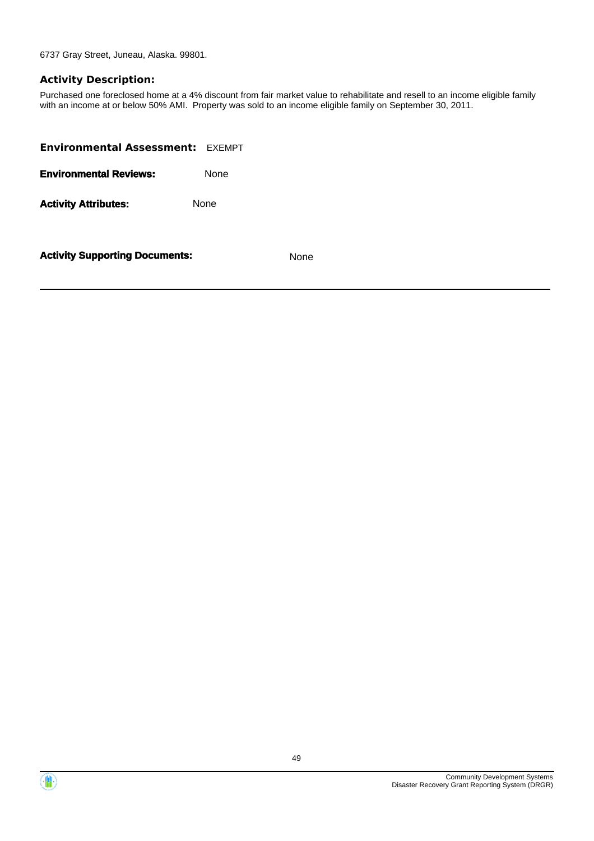6737 Gray Street, Juneau, Alaska. 99801.

### **Activity Description:**

Purchased one foreclosed home at a 4% discount from fair market value to rehabilitate and resell to an income eligible family with an income at or below 50% AMI. Property was sold to an income eligible family on September 30, 2011.

| <b>Environmental Assessment: EXEMPT</b> |             |
|-----------------------------------------|-------------|
| <b>Environmental Reviews:</b>           | <b>None</b> |
| <b>Activity Attributes:</b>             | None        |
|                                         |             |



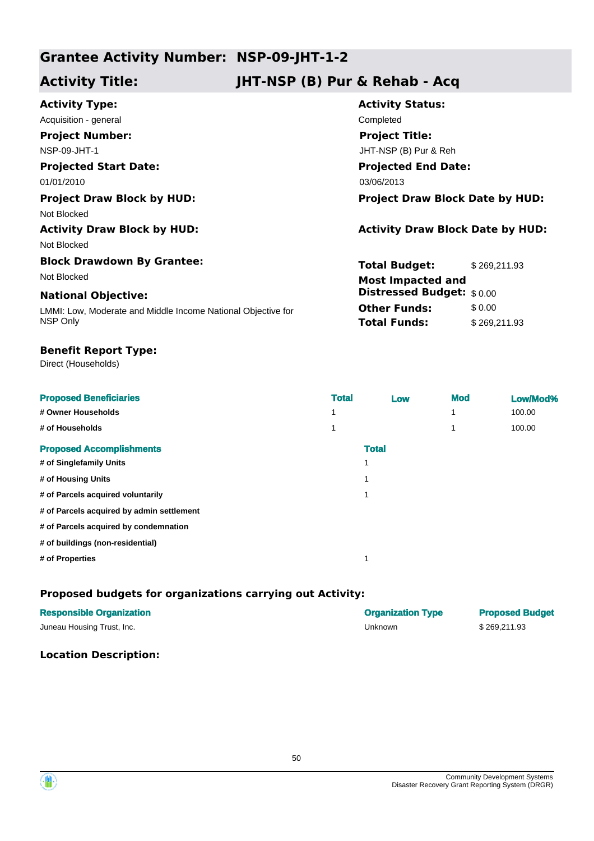# **Grantee Activity Number: NSP-09-JHT-1-2**

# **Activity Title: JHT-NSP (B) Pur & Rehab - Acq**

| <b>Activity Type:</b>                                        | <b>Activity Status:</b>                 |              |
|--------------------------------------------------------------|-----------------------------------------|--------------|
| Acquisition - general                                        | Completed                               |              |
| <b>Project Number:</b>                                       | <b>Project Title:</b>                   |              |
| NSP-09-JHT-1                                                 | JHT-NSP (B) Pur & Reh                   |              |
| <b>Projected Start Date:</b>                                 | <b>Projected End Date:</b>              |              |
| 01/01/2010                                                   | 03/06/2013                              |              |
| <b>Project Draw Block by HUD:</b>                            | <b>Project Draw Block Date by HUD:</b>  |              |
| Not Blocked                                                  |                                         |              |
| <b>Activity Draw Block by HUD:</b>                           | <b>Activity Draw Block Date by HUD:</b> |              |
| Not Blocked                                                  |                                         |              |
| <b>Block Drawdown By Grantee:</b>                            | <b>Total Budget:</b>                    | \$269,211.93 |
| Not Blocked                                                  | <b>Most Impacted and</b>                |              |
| <b>National Objective:</b>                                   | <b>Distressed Budget:</b> \$0.00        |              |
| LMMI: Low, Moderate and Middle Income National Objective for | <b>Other Funds:</b>                     | \$0.00       |
| NSP Only                                                     | <b>Total Funds:</b>                     | \$269,211.93 |

## **Benefit Report Type:**

Direct (Households)

| <b>Proposed Beneficiaries</b>             | <b>Total</b> | Low          | <b>Mod</b> | Low/Mod% |
|-------------------------------------------|--------------|--------------|------------|----------|
| # Owner Households                        | 1            |              |            | 100.00   |
| # of Households                           | 1            |              |            | 100.00   |
| <b>Proposed Accomplishments</b>           |              | <b>Total</b> |            |          |
| # of Singlefamily Units                   | 1            |              |            |          |
| # of Housing Units                        | 1            |              |            |          |
| # of Parcels acquired voluntarily         | 1            |              |            |          |
| # of Parcels acquired by admin settlement |              |              |            |          |
| # of Parcels acquired by condemnation     |              |              |            |          |
| # of buildings (non-residential)          |              |              |            |          |
| # of Properties                           | 4            |              |            |          |

# **Proposed budgets for organizations carrying out Activity:**

| <b>Responsible Organization</b> | <b>Organization Type</b> | <b>Proposed Budget</b> |
|---------------------------------|--------------------------|------------------------|
| Juneau Housing Trust, Inc.      | Unknown                  | \$269,211.93           |

# **Location Description:**

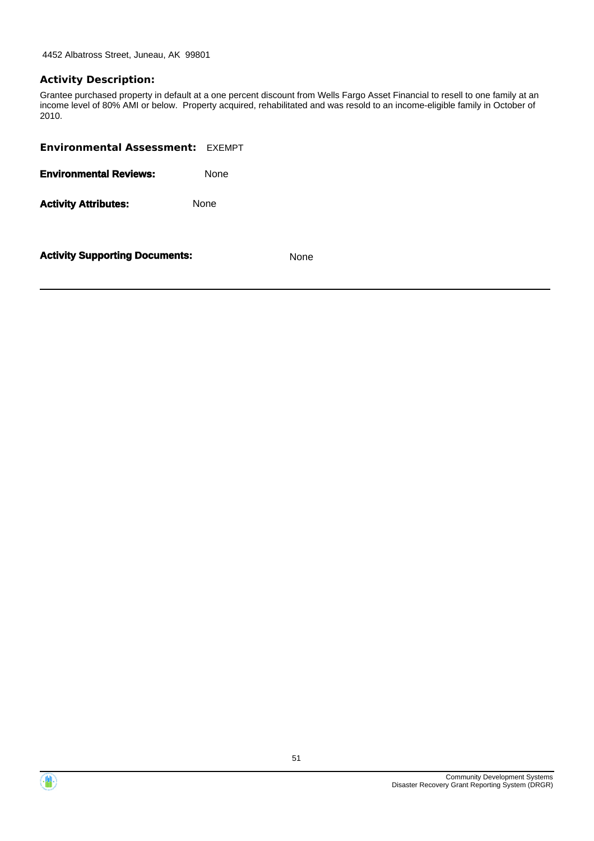4452 Albatross Street, Juneau, AK 99801

## **Activity Description:**

Grantee purchased property in default at a one percent discount from Wells Fargo Asset Financial to resell to one family at an income level of 80% AMI or below. Property acquired, rehabilitated and was resold to an income-eligible family in October of 2010.

| <b>Environmental Assessment: EXEMPT</b> |      |
|-----------------------------------------|------|
| <b>Environmental Reviews:</b>           | None |
| <b>Activity Attributes:</b>             | None |
|                                         |      |



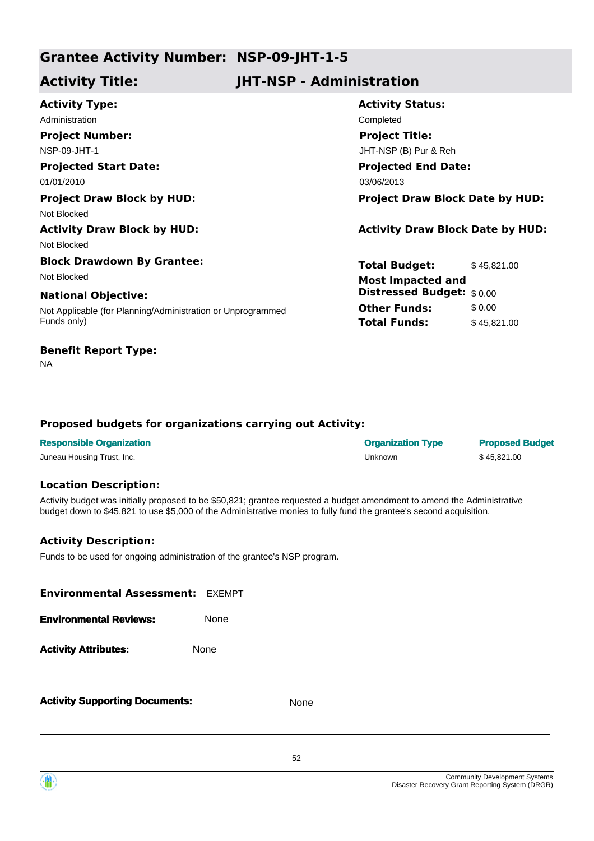# **Grantee Activity Number: NSP-09-JHT-1-5**

# **Activity Title: JHT-NSP - Administration**

| <b>Activity Type:</b>                                       | <b>Activity Status:</b>                 |             |
|-------------------------------------------------------------|-----------------------------------------|-------------|
| Administration                                              | Completed                               |             |
| <b>Project Number:</b>                                      | <b>Project Title:</b>                   |             |
| NSP-09-JHT-1                                                | JHT-NSP (B) Pur & Reh                   |             |
| <b>Projected Start Date:</b>                                | <b>Projected End Date:</b>              |             |
| 01/01/2010                                                  | 03/06/2013                              |             |
| <b>Project Draw Block by HUD:</b>                           | <b>Project Draw Block Date by HUD:</b>  |             |
| Not Blocked                                                 |                                         |             |
| <b>Activity Draw Block by HUD:</b>                          | <b>Activity Draw Block Date by HUD:</b> |             |
| Not Blocked                                                 |                                         |             |
| <b>Block Drawdown By Grantee:</b>                           | <b>Total Budget:</b>                    | \$45,821.00 |
| Not Blocked                                                 | <b>Most Impacted and</b>                |             |
| <b>National Objective:</b>                                  | <b>Distressed Budget:</b> \$0.00        |             |
| Not Applicable (for Planning/Administration or Unprogrammed | <b>Other Funds:</b>                     | \$0.00      |
| Funds only)                                                 | <b>Total Funds:</b>                     | \$45,821.00 |
|                                                             |                                         |             |

# **Benefit Report Type:**

NA

# **Proposed budgets for organizations carrying out Activity:**

| <b>Responsible Organization</b> | <b>Organization Type</b> | <b>Proposed Budget</b> |
|---------------------------------|--------------------------|------------------------|
| Juneau Housing Trust, Inc.      | Unknown                  | \$45.821.00            |

### **Location Description:**

Activity budget was initially proposed to be \$50,821; grantee requested a budget amendment to amend the Administrative budget down to \$45,821 to use \$5,000 of the Administrative monies to fully fund the grantee's second acquisition.

# **Activity Description:**

Funds to be used for ongoing administration of the grantee's NSP program.

| <b>Environmental Assessment: EXEMPT</b> |      |
|-----------------------------------------|------|
| <b>Environmental Reviews:</b>           | None |
| <b>Activity Attributes:</b>             | None |
|                                         |      |

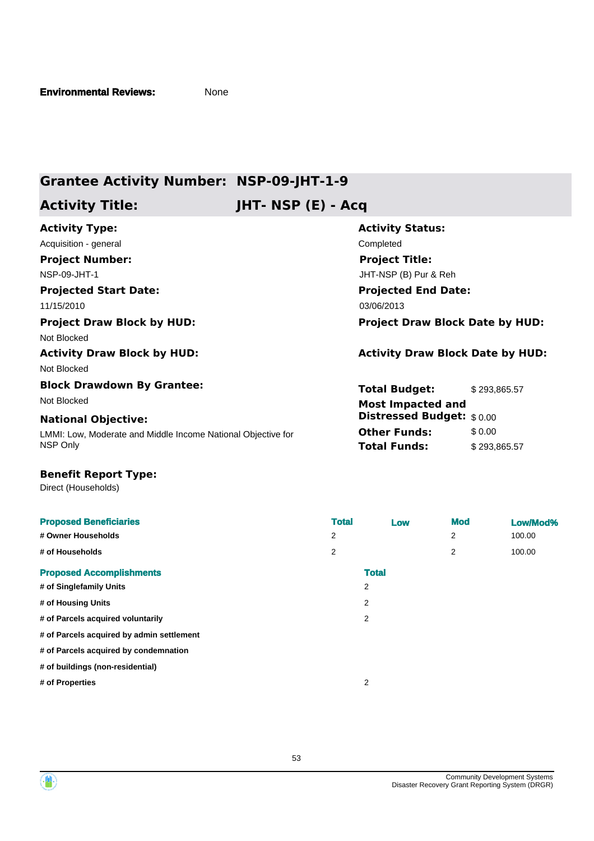# **Grantee Activity Number: NSP-09-JHT-1-9**

# **Activity Title: JHT- NSP (E) - Acq**

| <b>Activity Type:</b>                                        | <b>Activity Status:</b>                 |              |
|--------------------------------------------------------------|-----------------------------------------|--------------|
| Acquisition - general                                        | Completed                               |              |
| <b>Project Number:</b>                                       | <b>Project Title:</b>                   |              |
| NSP-09-JHT-1                                                 | JHT-NSP (B) Pur & Reh                   |              |
| <b>Projected Start Date:</b>                                 | <b>Projected End Date:</b>              |              |
| 11/15/2010                                                   | 03/06/2013                              |              |
| <b>Project Draw Block by HUD:</b>                            | <b>Project Draw Block Date by HUD:</b>  |              |
| Not Blocked                                                  |                                         |              |
| <b>Activity Draw Block by HUD:</b>                           | <b>Activity Draw Block Date by HUD:</b> |              |
| Not Blocked                                                  |                                         |              |
| <b>Block Drawdown By Grantee:</b>                            | <b>Total Budget:</b>                    | \$293,865.57 |
| Not Blocked                                                  | <b>Most Impacted and</b>                |              |
| <b>National Objective:</b>                                   | <b>Distressed Budget:</b> \$0.00        |              |
| LMMI: Low, Moderate and Middle Income National Objective for | <b>Other Funds:</b>                     | \$0.00       |
| NSP Only                                                     | Total Funds:                            | \$293,865.57 |

#### **Benefit Report Type:**

Direct (Households)

| <b>Proposed Beneficiaries</b><br># Owner Households<br># of Households         | <b>Total</b><br>2<br>2 | Low                 | <b>Mod</b><br>2<br>2 | Low/Mod%<br>100.00<br>100.00 |
|--------------------------------------------------------------------------------|------------------------|---------------------|----------------------|------------------------------|
| <b>Proposed Accomplishments</b>                                                |                        | <b>Total</b>        |                      |                              |
| # of Singlefamily Units<br># of Housing Units                                  |                        | $\overline{2}$<br>2 |                      |                              |
| # of Parcels acquired voluntarily<br># of Parcels acquired by admin settlement |                        | $\overline{2}$      |                      |                              |
| # of Parcels acquired by condemnation<br># of buildings (non-residential)      |                        |                     |                      |                              |
| # of Properties                                                                |                        | $\overline{2}$      |                      |                              |

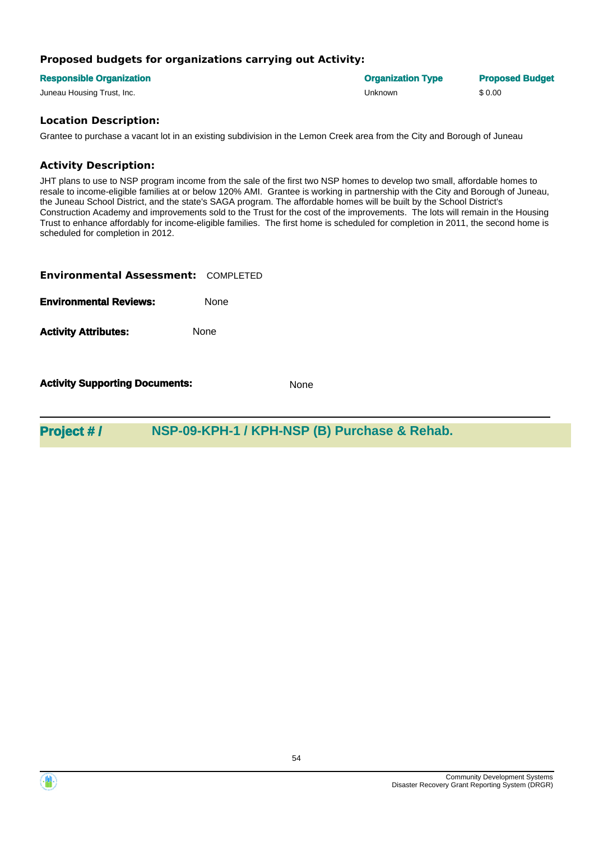# **Proposed budgets for organizations carrying out Activity:**

| <b>Responsible Organization</b> | <b>Organization Type</b> | <b>Proposed Budget</b> |
|---------------------------------|--------------------------|------------------------|
| Juneau Housing Trust, Inc.      | Unknown                  | \$0.00                 |

# **Location Description:**

Grantee to purchase a vacant lot in an existing subdivision in the Lemon Creek area from the City and Borough of Juneau

# **Activity Description:**

JHT plans to use to NSP program income from the sale of the first two NSP homes to develop two small, affordable homes to resale to income-eligible families at or below 120% AMI. Grantee is working in partnership with the City and Borough of Juneau, the Juneau School District, and the state's SAGA program. The affordable homes will be built by the School District's Construction Academy and improvements sold to the Trust for the cost of the improvements. The lots will remain in the Housing Trust to enhance affordably for income-eligible families. The first home is scheduled for completion in 2011, the second home is scheduled for completion in 2012.

| <b>Environmental Assessment: COMPLETED</b> |      |
|--------------------------------------------|------|
| <b>Environmental Reviews:</b>              | None |
| <b>Activity Attributes:</b>                | None |

**Activity Supporting Documents:** None

**Project # / NSP-09-KPH-1 / KPH-NSP (B) Purchase & Rehab.**

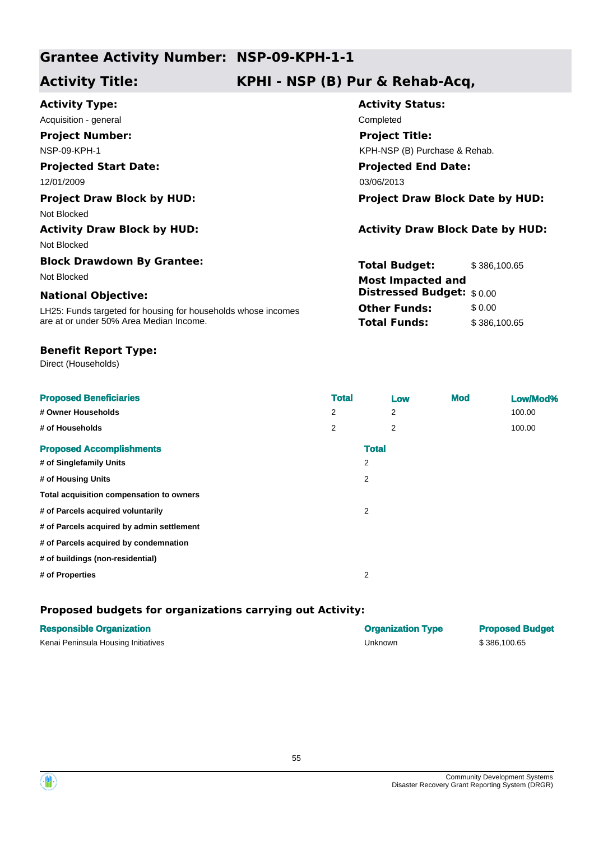# **Grantee Activity Number: NSP-09-KPH-1-1**

# **Activity Title: KPHI - NSP (B) Pur & Rehab-Acq,**

| <b>Activity Type:</b>                                         | <b>Activity Status:</b>                 |  |  |
|---------------------------------------------------------------|-----------------------------------------|--|--|
| Acquisition - general                                         | Completed                               |  |  |
| <b>Project Number:</b>                                        | <b>Project Title:</b>                   |  |  |
| <b>NSP-09-KPH-1</b>                                           | KPH-NSP (B) Purchase & Rehab.           |  |  |
| <b>Projected Start Date:</b>                                  | <b>Projected End Date:</b>              |  |  |
| 12/01/2009                                                    | 03/06/2013                              |  |  |
| <b>Project Draw Block by HUD:</b>                             | <b>Project Draw Block Date by HUD:</b>  |  |  |
| Not Blocked                                                   |                                         |  |  |
| <b>Activity Draw Block by HUD:</b>                            | <b>Activity Draw Block Date by HUD:</b> |  |  |
| Not Blocked                                                   |                                         |  |  |
| <b>Block Drawdown By Grantee:</b>                             | <b>Total Budget:</b><br>\$386,100.65    |  |  |
| Not Blocked                                                   | <b>Most Impacted and</b>                |  |  |
| <b>National Objective:</b>                                    | <b>Distressed Budget:</b> \$0.00        |  |  |
| LH25: Funds targeted for housing for households whose incomes | <b>Other Funds:</b><br>\$0.00           |  |  |
| are at or under 50% Area Median Income.                       | <b>Total Funds:</b><br>\$386,100.65     |  |  |
|                                                               |                                         |  |  |

## **Benefit Report Type:**

Direct (Households)

| <b>Proposed Beneficiaries</b>             | <b>Total</b> |              | Low | <b>Mod</b> | Low/Mod% |
|-------------------------------------------|--------------|--------------|-----|------------|----------|
| # Owner Households                        | 2            |              | 2   |            | 100.00   |
| # of Households                           | 2            |              | 2   |            | 100.00   |
| <b>Proposed Accomplishments</b>           |              | <b>Total</b> |     |            |          |
| # of Singlefamily Units                   |              | 2            |     |            |          |
| # of Housing Units                        |              | 2            |     |            |          |
| Total acquisition compensation to owners  |              |              |     |            |          |
| # of Parcels acquired voluntarily         |              | 2            |     |            |          |
| # of Parcels acquired by admin settlement |              |              |     |            |          |
| # of Parcels acquired by condemnation     |              |              |     |            |          |
| # of buildings (non-residential)          |              |              |     |            |          |
| # of Properties                           |              | 2            |     |            |          |

# **Proposed budgets for organizations carrying out Activity:**

| <b>Responsible Organization</b>     | <b>Organization Type</b> | <b>Proposed Budget</b> |
|-------------------------------------|--------------------------|------------------------|
| Kenai Peninsula Housing Initiatives | Unknown                  | \$386,100.65           |



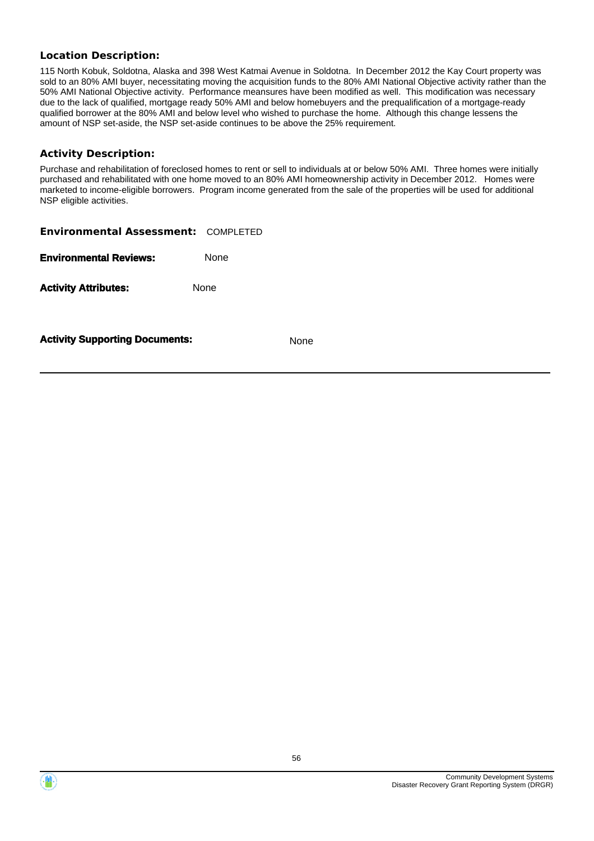## **Location Description:**

115 North Kobuk, Soldotna, Alaska and 398 West Katmai Avenue in Soldotna. In December 2012 the Kay Court property was sold to an 80% AMI buyer, necessitating moving the acquisition funds to the 80% AMI National Objective activity rather than the 50% AMI National Objective activity. Performance meansures have been modified as well. This modification was necessary due to the lack of qualified, mortgage ready 50% AMI and below homebuyers and the prequalification of a mortgage-ready qualified borrower at the 80% AMI and below level who wished to purchase the home. Although this change lessens the amount of NSP set-aside, the NSP set-aside continues to be above the 25% requirement.

### **Activity Description:**

Purchase and rehabilitation of foreclosed homes to rent or sell to individuals at or below 50% AMI. Three homes were initially purchased and rehabilitated with one home moved to an 80% AMI homeownership activity in December 2012. Homes were marketed to income-eligible borrowers. Program income generated from the sale of the properties will be used for additional NSP eligible activities.

| <b>Environmental Assessment: COMPLETED</b> |      |             |
|--------------------------------------------|------|-------------|
| <b>Environmental Reviews:</b>              | None |             |
| <b>Activity Attributes:</b>                | None |             |
| <b>Activity Supporting Documents:</b>      |      | <b>None</b> |



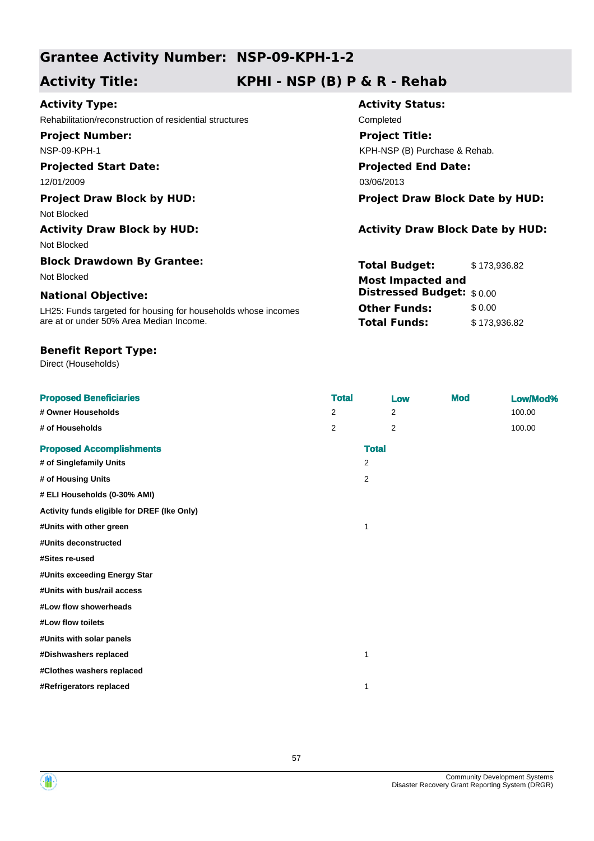# **Grantee Activity Number: NSP-09-KPH-1-2**

# **Activity Title: KPHI - NSP (B) P & R - Rehab**

# **Activity Type:**

Rehabilitation/reconstruction of residential structures Completed

**Project Number:** NSP-09-KPH-1

# **Projected Start Date:**

12/01/2009 03/06/2013

Not Blocked

Not Blocked

# **Block Drawdown By Grantee:**

### **National Objective:**

LH25: Funds targeted for housing for households whose incomes are at or under 50% Area Median Income.

## **Benefit Report Type:**

Direct (Households)

**Activity Status: Projected End Date: Project Title:** KPH-NSP (B) Purchase & Rehab.

**Project Draw Block by HUD: Project Draw Block Date by HUD:**

# Activity Draw Block by HUD: **Activity Draw Block Date by HUD:** Activity Draw Block Date by HUD:

**Total Budget:** \$ 173,936.82 **Other Funds:** \$0.00 **Total Funds:** \$ 173,936.82 Not Blocked **Most Impacted and Distressed Budget:** \$ 0.00

| <b>Proposed Beneficiaries</b>               | <b>Total</b> |                | Low            | <b>Mod</b> | Low/Mod% |
|---------------------------------------------|--------------|----------------|----------------|------------|----------|
| # Owner Households                          | 2            |                | 2              |            | 100.00   |
| # of Households                             | 2            |                | $\overline{2}$ |            | 100.00   |
| <b>Proposed Accomplishments</b>             |              | <b>Total</b>   |                |            |          |
| # of Singlefamily Units                     |              | $\overline{2}$ |                |            |          |
| # of Housing Units                          |              | 2              |                |            |          |
| # ELI Households (0-30% AMI)                |              |                |                |            |          |
| Activity funds eligible for DREF (Ike Only) |              |                |                |            |          |
| #Units with other green                     |              | 1              |                |            |          |
| #Units deconstructed                        |              |                |                |            |          |
| #Sites re-used                              |              |                |                |            |          |
| #Units exceeding Energy Star                |              |                |                |            |          |
| #Units with bus/rail access                 |              |                |                |            |          |
| #Low flow showerheads                       |              |                |                |            |          |
| #Low flow toilets                           |              |                |                |            |          |
| #Units with solar panels                    |              |                |                |            |          |
| #Dishwashers replaced                       |              | 1              |                |            |          |
| #Clothes washers replaced                   |              |                |                |            |          |
| #Refrigerators replaced                     |              | $\mathbf 1$    |                |            |          |
|                                             |              |                |                |            |          |



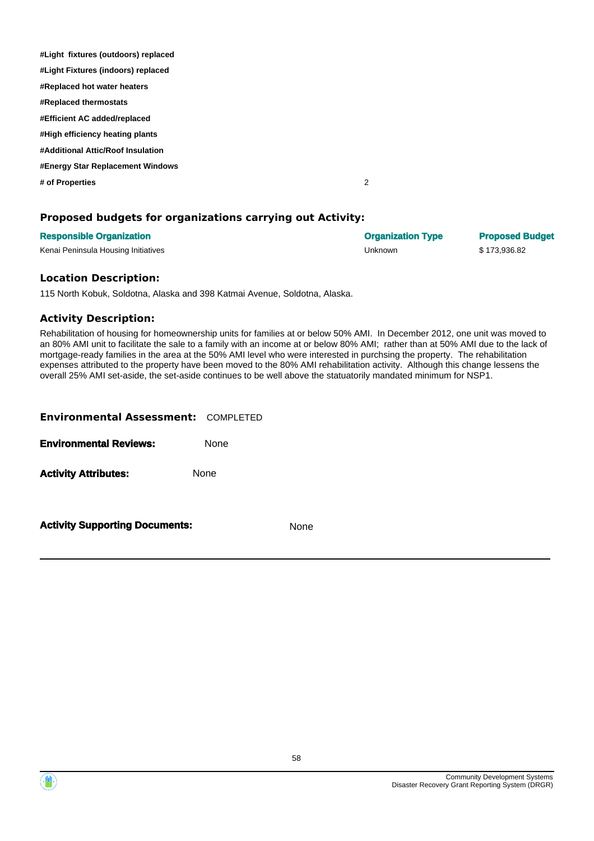| #Light fixtures (outdoors) replaced |   |
|-------------------------------------|---|
| #Light Fixtures (indoors) replaced  |   |
| #Replaced hot water heaters         |   |
| #Replaced thermostats               |   |
| #Efficient AC added/replaced        |   |
| #High efficiency heating plants     |   |
| #Additional Attic/Roof Insulation   |   |
| #Energy Star Replacement Windows    |   |
| # of Properties                     | 2 |
|                                     |   |

# **Proposed budgets for organizations carrying out Activity:**

| <b>Responsible Organization</b>     | <b>Organization Type</b> | <b>Proposed Budget</b> |
|-------------------------------------|--------------------------|------------------------|
| Kenai Peninsula Housing Initiatives | Unknown                  | \$173.936.82           |

#### **Location Description:**

115 North Kobuk, Soldotna, Alaska and 398 Katmai Avenue, Soldotna, Alaska.

#### **Activity Description:**

Rehabilitation of housing for homeownership units for families at or below 50% AMI. In December 2012, one unit was moved to an 80% AMI unit to facilitate the sale to a family with an income at or below 80% AMI; rather than at 50% AMI due to the lack of mortgage-ready families in the area at the 50% AMI level who were interested in purchsing the property. The rehabilitation expenses attributed to the property have been moved to the 80% AMI rehabilitation activity. Although this change lessens the overall 25% AMI set-aside, the set-aside continues to be well above the statuatorily mandated minimum for NSP1.

| <b>Environmental Assessment: COMPLETED</b> |      |
|--------------------------------------------|------|
| <b>Environmental Reviews:</b>              | None |
| <b>Activity Attributes:</b>                | None |
|                                            |      |

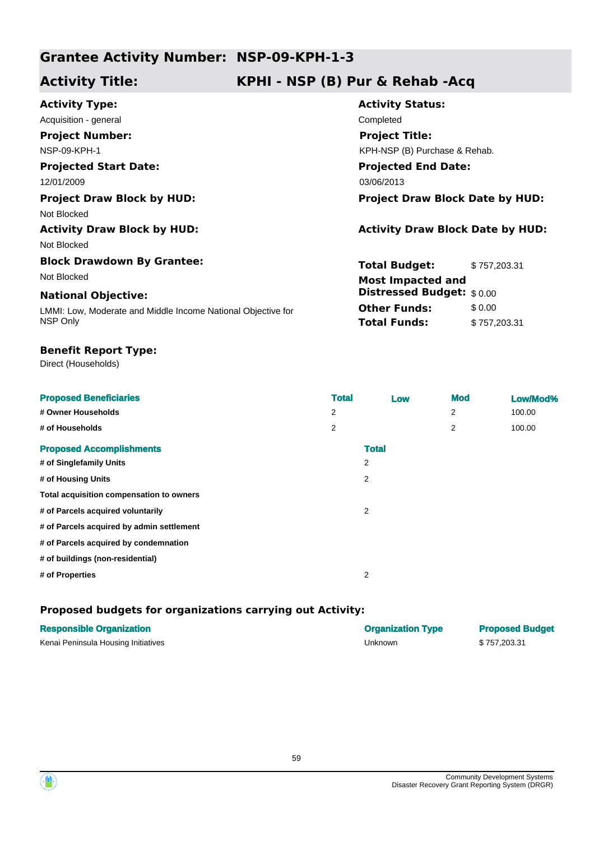# **Grantee Activity Number: NSP-09-KPH-1-3**

# **Activity Title: KPHI - NSP (B) Pur & Rehab -Acq**

| <b>Activity Type:</b>                                        | <b>Activity Status:</b>                 |              |  |
|--------------------------------------------------------------|-----------------------------------------|--------------|--|
| Acquisition - general                                        | Completed                               |              |  |
| <b>Project Number:</b>                                       | <b>Project Title:</b>                   |              |  |
| <b>NSP-09-KPH-1</b>                                          | KPH-NSP (B) Purchase & Rehab.           |              |  |
| <b>Projected Start Date:</b>                                 | <b>Projected End Date:</b>              |              |  |
| 12/01/2009                                                   | 03/06/2013                              |              |  |
| <b>Project Draw Block by HUD:</b>                            | <b>Project Draw Block Date by HUD:</b>  |              |  |
| Not Blocked                                                  |                                         |              |  |
| <b>Activity Draw Block by HUD:</b>                           | <b>Activity Draw Block Date by HUD:</b> |              |  |
| Not Blocked                                                  |                                         |              |  |
| <b>Block Drawdown By Grantee:</b>                            | <b>Total Budget:</b>                    | \$757,203.31 |  |
| Not Blocked                                                  | <b>Most Impacted and</b>                |              |  |
| <b>National Objective:</b>                                   | <b>Distressed Budget: \$0.00</b>        |              |  |
| LMMI: Low, Moderate and Middle Income National Objective for | <b>Other Funds:</b>                     | \$0.00       |  |
| NSP Only                                                     | <b>Total Funds:</b>                     | \$757,203.31 |  |

## **Benefit Report Type:**

Direct (Households)

| <b>Proposed Beneficiaries</b>             | <b>Total</b> | Low          | <b>Mod</b> | Low/Mod% |
|-------------------------------------------|--------------|--------------|------------|----------|
| # Owner Households                        | 2            |              | 2          | 100.00   |
| # of Households                           | 2            |              | 2          | 100.00   |
| <b>Proposed Accomplishments</b>           |              | <b>Total</b> |            |          |
| # of Singlefamily Units                   |              | 2            |            |          |
| # of Housing Units                        |              | 2            |            |          |
| Total acquisition compensation to owners  |              |              |            |          |
| # of Parcels acquired voluntarily         |              | 2            |            |          |
| # of Parcels acquired by admin settlement |              |              |            |          |
| # of Parcels acquired by condemnation     |              |              |            |          |
| # of buildings (non-residential)          |              |              |            |          |
| # of Properties                           |              | 2            |            |          |

# **Proposed budgets for organizations carrying out Activity:**

| <b>Responsible Organization</b>     | <b>Organization Type</b> | <b>Proposed Budget</b> |
|-------------------------------------|--------------------------|------------------------|
| Kenai Peninsula Housing Initiatives | Unknown                  | \$757.203.31           |



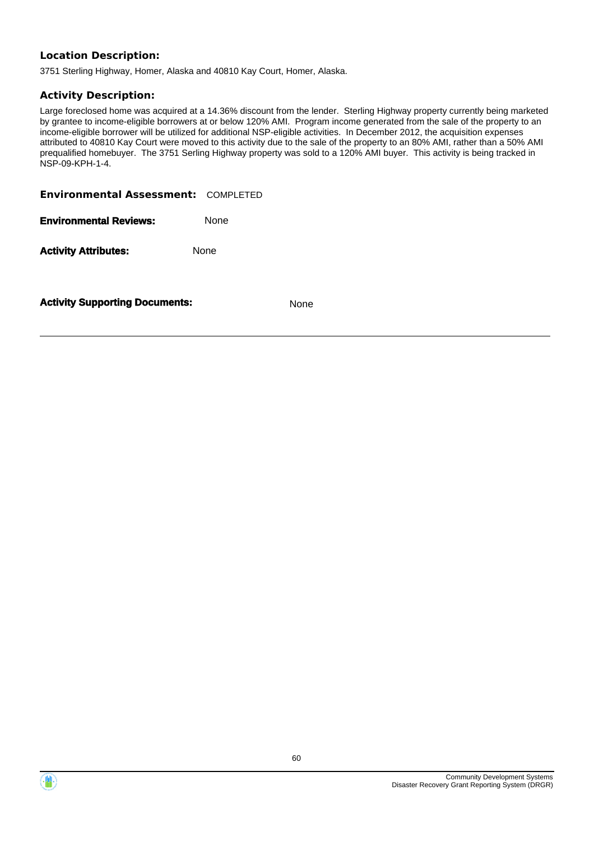# **Location Description:**

3751 Sterling Highway, Homer, Alaska and 40810 Kay Court, Homer, Alaska.

### **Activity Description:**

Large foreclosed home was acquired at a 14.36% discount from the lender. Sterling Highway property currently being marketed by grantee to income-eligible borrowers at or below 120% AMI. Program income generated from the sale of the property to an income-eligible borrower will be utilized for additional NSP-eligible activities. In December 2012, the acquisition expenses attributed to 40810 Kay Court were moved to this activity due to the sale of the property to an 80% AMI, rather than a 50% AMI prequalified homebuyer. The 3751 Serling Highway property was sold to a 120% AMI buyer. This activity is being tracked in NSP-09-KPH-1-4.

**Environmental Assessment:** COMPLETED

**Environmental Reviews:** None

Activity **Attributes:** None



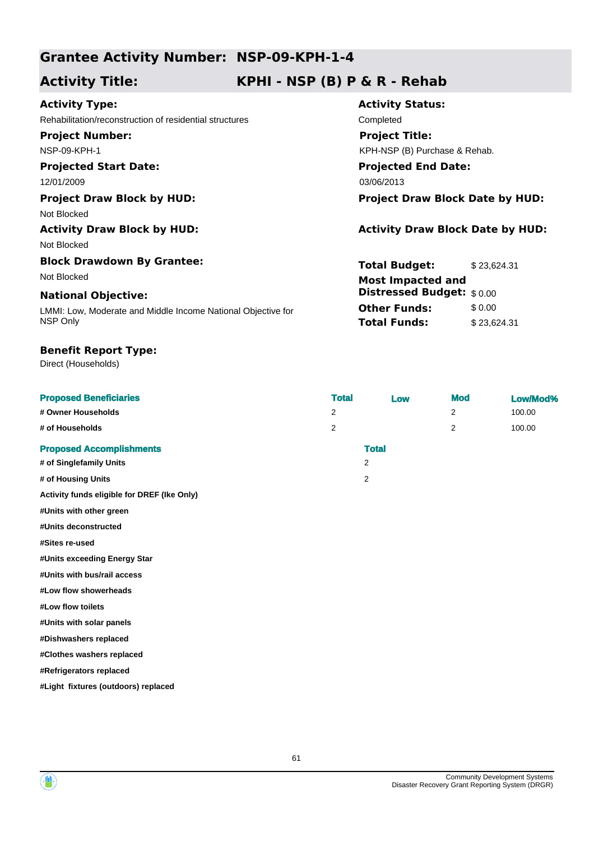# **Grantee Activity Number: NSP-09-KPH-1-4**

# **Activity Title: KPHI - NSP (B) P & R - Rehab**

**Activity Status:**

**Project Title:**

**Projected End Date:**

KPH-NSP (B) Purchase & Rehab.

**Total Budget:** \$23,624.31

**Other Funds:** \$0.00 **Total Funds:** \$23,624.31

**Distressed Budget:** \$ 0.00

# **Activity Type:**

Rehabilitation/reconstruction of residential structures Completed **Project Number:**

NSP-09-KPH-1

# **Projected Start Date:**

12/01/2009 03/06/2013

## **Project Draw Block by HUD: Project Draw Block Date by HUD:**

Not Blocked

# **Activity Draw Block by HUD: Activity Draw Block Date by HUD:**

Not Blocked

# **Block Drawdown By Grantee:** Not Blocked **Most Impacted and**

### **National Objective:**

LMMI: Low, Moderate and Middle Income National Objective for NSP Only

## **Benefit Report Type:**

Direct (Households)

| <b>Proposed Beneficiaries</b>   | <b>Total</b> | Low          | <b>Mod</b> | Low/Mod% |
|---------------------------------|--------------|--------------|------------|----------|
| # Owner Households              | 2            |              | 2          | 100.00   |
| # of Households                 | 2            |              | 2          | 100.00   |
| <b>Proposed Accomplishments</b> |              | <b>Total</b> |            |          |
| # of Singlefamily Units         |              | 2            |            |          |
| # of Housing Units              |              | 2            |            |          |

**Activity funds eligible for DREF (Ike Only)**

**#Units with other green**

**#Units deconstructed**

**#Sites re-used**

**#Units exceeding Energy Star**

**#Units with bus/rail access**

**#Low flow showerheads**

**#Low flow toilets**

**#Units with solar panels**

**#Dishwashers replaced**

**#Clothes washers replaced**

**#Refrigerators replaced**

**#Light fixtures (outdoors) replaced**

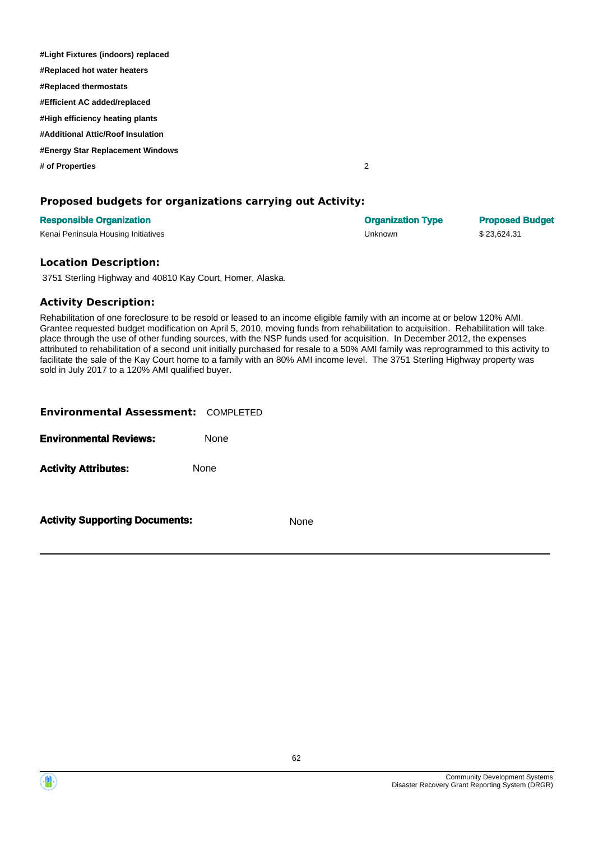| #Light Fixtures (indoors) replaced |   |
|------------------------------------|---|
| #Replaced hot water heaters        |   |
| #Replaced thermostats              |   |
| #Efficient AC added/replaced       |   |
| #High efficiency heating plants    |   |
| #Additional Attic/Roof Insulation  |   |
| #Energy Star Replacement Windows   |   |
| # of Properties                    | 2 |
|                                    |   |

## **Proposed budgets for organizations carrying out Activity:**

| <b>Responsible Organization</b>     | <b>Organization Type</b> | <b>Proposed Budget</b> |
|-------------------------------------|--------------------------|------------------------|
| Kenai Peninsula Housing Initiatives | Unknown                  | \$23.624.31            |

### **Location Description:**

3751 Sterling Highway and 40810 Kay Court, Homer, Alaska.

### **Activity Description:**

Rehabilitation of one foreclosure to be resold or leased to an income eligible family with an income at or below 120% AMI. Grantee requested budget modification on April 5, 2010, moving funds from rehabilitation to acquisition. Rehabilitation will take place through the use of other funding sources, with the NSP funds used for acquisition. In December 2012, the expenses attributed to rehabilitation of a second unit initially purchased for resale to a 50% AMI family was reprogrammed to this activity to facilitate the sale of the Kay Court home to a family with an 80% AMI income level. The 3751 Sterling Highway property was sold in July 2017 to a 120% AMI qualified buyer.

| <b>Environmental Assessment: COMPLETED</b> |             |
|--------------------------------------------|-------------|
| <b>Environmental Reviews:</b>              | <b>None</b> |
| <b>Activity Attributes:</b>                | <b>None</b> |
|                                            |             |



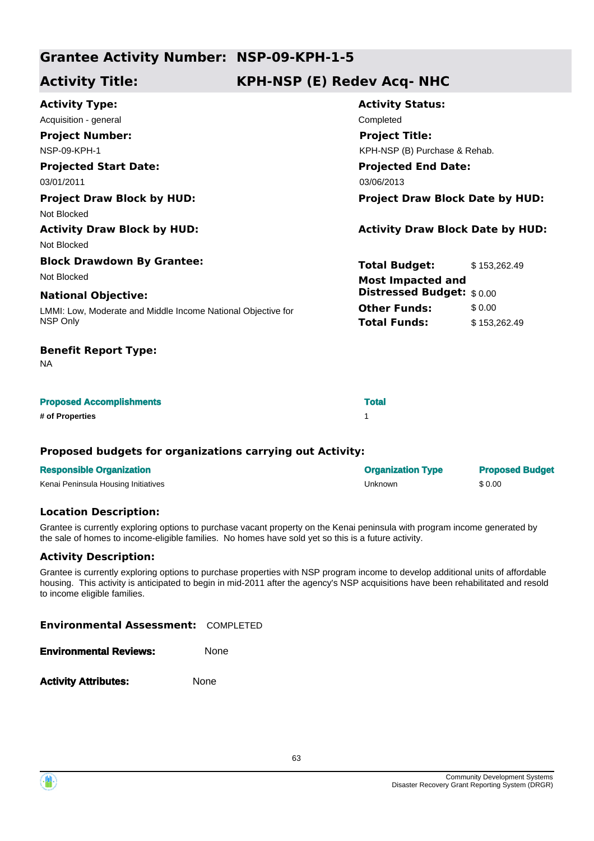# **Grantee Activity Number: NSP-09-KPH-1-5**

# **Activity Title: KPH-NSP (E) Redev Acq- NHC**

| <b>Activity Type:</b>                                        | <b>Activity Status:</b>                 |              |
|--------------------------------------------------------------|-----------------------------------------|--------------|
| Acquisition - general                                        | Completed                               |              |
| <b>Project Number:</b>                                       | <b>Project Title:</b>                   |              |
| <b>NSP-09-KPH-1</b>                                          | KPH-NSP (B) Purchase & Rehab.           |              |
| <b>Projected Start Date:</b>                                 | <b>Projected End Date:</b>              |              |
| 03/01/2011                                                   | 03/06/2013                              |              |
| <b>Project Draw Block by HUD:</b>                            | <b>Project Draw Block Date by HUD:</b>  |              |
| Not Blocked                                                  |                                         |              |
| <b>Activity Draw Block by HUD:</b>                           | <b>Activity Draw Block Date by HUD:</b> |              |
| Not Blocked                                                  |                                         |              |
| <b>Block Drawdown By Grantee:</b>                            | <b>Total Budget:</b>                    | \$153,262.49 |
| Not Blocked                                                  | <b>Most Impacted and</b>                |              |
| <b>National Objective:</b>                                   | Distressed Budget: \$0.00               |              |
| LMMI: Low, Moderate and Middle Income National Objective for | <b>Other Funds:</b>                     | \$0.00       |
| NSP Only                                                     | <b>Total Funds:</b>                     | \$153,262.49 |
| <b>Benefit Report Type:</b><br><b>NA</b>                     |                                         |              |
|                                                              |                                         |              |

| <b>Proposed Accomplishments</b> | <b>Total</b> |
|---------------------------------|--------------|
| # of Properties                 |              |

### **Proposed budgets for organizations carrying out Activity:**

| <b>Responsible Organization</b>     | <b>Organization Type</b> | <b>Proposed Budget</b> |
|-------------------------------------|--------------------------|------------------------|
| Kenai Peninsula Housing Initiatives | Unknown                  | \$0.00                 |

### **Location Description:**

Grantee is currently exploring options to purchase vacant property on the Kenai peninsula with program income generated by the sale of homes to income-eligible families. No homes have sold yet so this is a future activity.

# **Activity Description:**

Grantee is currently exploring options to purchase properties with NSP program income to develop additional units of affordable housing. This activity is anticipated to begin in mid-2011 after the agency's NSP acquisitions have been rehabilitated and resold to income eligible families.

**Environmental Assessment:** COMPLETED

| <b>Environmental Reviews:</b> | None |
|-------------------------------|------|
|                               |      |

Activity **Attributes:** None

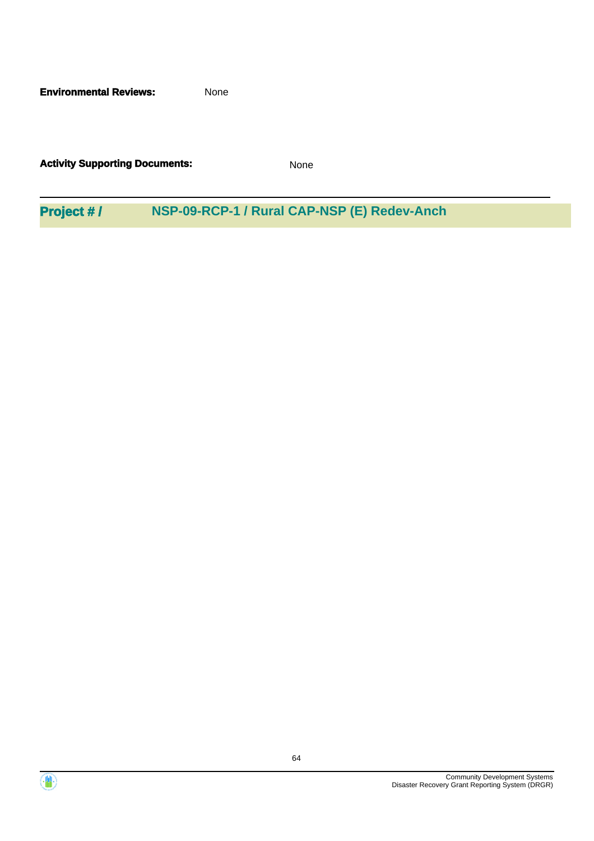**Environmental Reviews:** None

**Activity Supporting Documents:** None

**Project # / NSP-09-RCP-1 / Rural CAP-NSP (E) Redev-Anch**



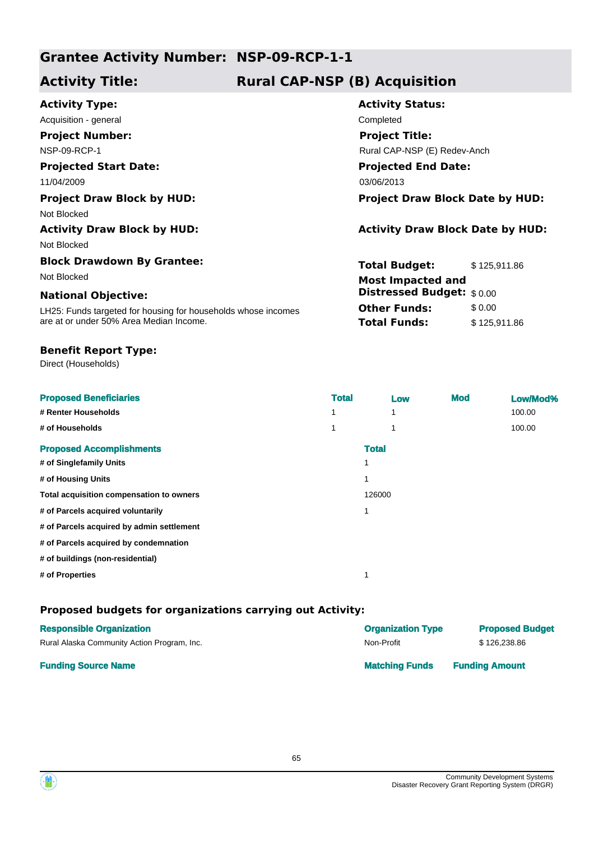# **Grantee Activity Number: NSP-09-RCP-1-1**

# **Activity Title: Rural CAP-NSP (B) Acquisition**

| <b>Activity Type:</b>                                         | <b>Activity Status:</b>                 |  |  |
|---------------------------------------------------------------|-----------------------------------------|--|--|
| Acquisition - general                                         | Completed                               |  |  |
| <b>Project Number:</b>                                        | <b>Project Title:</b>                   |  |  |
| NSP-09-RCP-1                                                  | Rural CAP-NSP (E) Redev-Anch            |  |  |
| <b>Projected Start Date:</b>                                  | <b>Projected End Date:</b>              |  |  |
| 11/04/2009                                                    | 03/06/2013                              |  |  |
| <b>Project Draw Block by HUD:</b>                             | <b>Project Draw Block Date by HUD:</b>  |  |  |
| Not Blocked                                                   |                                         |  |  |
| <b>Activity Draw Block by HUD:</b>                            | <b>Activity Draw Block Date by HUD:</b> |  |  |
| Not Blocked                                                   |                                         |  |  |
| <b>Block Drawdown By Grantee:</b>                             | Total Budget:<br>\$125,911.86           |  |  |
| Not Blocked                                                   | <b>Most Impacted and</b>                |  |  |
| <b>National Objective:</b>                                    | <b>Distressed Budget:</b> \$0.00        |  |  |
| LH25: Funds targeted for housing for households whose incomes | <b>Other Funds:</b><br>\$0.00           |  |  |
| are at or under 50% Area Median Income.                       | <b>Total Funds:</b><br>\$125,911.86     |  |  |
|                                                               |                                         |  |  |

# **Benefit Report Type:**

Direct (Households)

| <b>Proposed Beneficiaries</b>             | <b>Total</b> |              | Low | <b>Mod</b> | Low/Mod% |
|-------------------------------------------|--------------|--------------|-----|------------|----------|
| # Renter Households                       | 1            |              | 1   |            | 100.00   |
| # of Households                           | 1            |              | 1   |            | 100.00   |
| <b>Proposed Accomplishments</b>           |              | <b>Total</b> |     |            |          |
| # of Singlefamily Units                   |              |              |     |            |          |
| # of Housing Units                        |              |              |     |            |          |
| Total acquisition compensation to owners  |              | 126000       |     |            |          |
| # of Parcels acquired voluntarily         |              |              |     |            |          |
| # of Parcels acquired by admin settlement |              |              |     |            |          |
| # of Parcels acquired by condemnation     |              |              |     |            |          |
| # of buildings (non-residential)          |              |              |     |            |          |
| # of Properties                           |              |              |     |            |          |

# **Proposed budgets for organizations carrying out Activity:**

| <b>Responsible Organization</b>             | <b>Organization Type</b> | <b>Proposed Budget</b> |
|---------------------------------------------|--------------------------|------------------------|
| Rural Alaska Community Action Program, Inc. | Non-Profit               | \$126.238.86           |
| <b>Funding Source Name</b>                  | <b>Matching Funds</b>    | <b>Funding Amount</b>  |

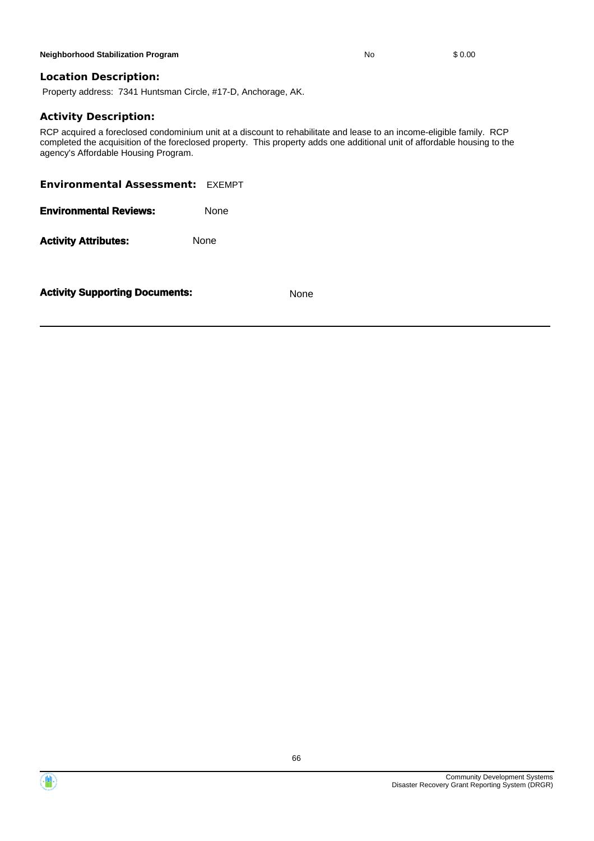#### **Neighborhood Stabilization Program No** \$ 0.00

**Location Description:**

Property address: 7341 Huntsman Circle, #17-D, Anchorage, AK.

### **Activity Description:**

RCP acquired a foreclosed condominium unit at a discount to rehabilitate and lease to an income-eligible family. RCP completed the acquisition of the foreclosed property. This property adds one additional unit of affordable housing to the agency's Affordable Housing Program.

66

| <b>Environmental Assessment: EXEMPT</b> |             |             |
|-----------------------------------------|-------------|-------------|
| <b>Environmental Reviews:</b>           | <b>None</b> |             |
| <b>Activity Attributes:</b>             | None        |             |
| <b>Activity Supporting Documents:</b>   |             | <b>None</b> |

Disaster Recovery Grant Reporting System (DRGR)

Community Development Systems



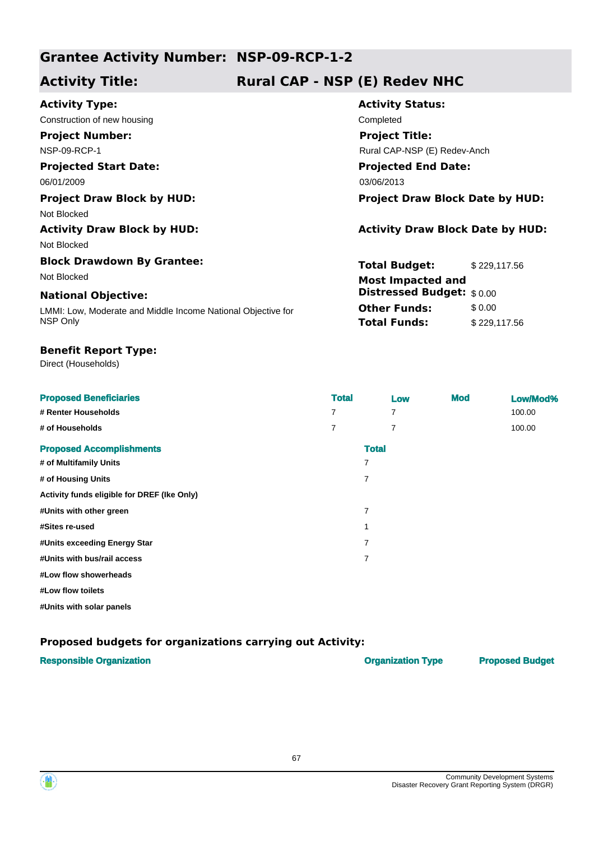# **Grantee Activity Number: NSP-09-RCP-1-2**

# **Activity Title: Rural CAP - NSP (E) Redev NHC**

| <b>Activity Type:</b>                                        | <b>Activity Status:</b>                 |                              |  |  |
|--------------------------------------------------------------|-----------------------------------------|------------------------------|--|--|
| Construction of new housing                                  | Completed                               |                              |  |  |
| <b>Project Number:</b>                                       | <b>Project Title:</b>                   |                              |  |  |
| <b>NSP-09-RCP-1</b>                                          |                                         | Rural CAP-NSP (E) Redev-Anch |  |  |
| <b>Projected Start Date:</b>                                 | <b>Projected End Date:</b>              |                              |  |  |
| 06/01/2009                                                   | 03/06/2013                              |                              |  |  |
| <b>Project Draw Block by HUD:</b>                            | <b>Project Draw Block Date by HUD:</b>  |                              |  |  |
| Not Blocked                                                  |                                         |                              |  |  |
| <b>Activity Draw Block by HUD:</b>                           | <b>Activity Draw Block Date by HUD:</b> |                              |  |  |
| Not Blocked                                                  |                                         |                              |  |  |
| <b>Block Drawdown By Grantee:</b>                            | <b>Total Budget:</b>                    | \$229,117.56                 |  |  |
| Not Blocked                                                  | <b>Most Impacted and</b>                |                              |  |  |
| <b>National Objective:</b>                                   | <b>Distressed Budget:</b> \$0.00        |                              |  |  |
| LMMI: Low, Moderate and Middle Income National Objective for | <b>Other Funds:</b>                     | \$0.00                       |  |  |
| NSP Only                                                     | <b>Total Funds:</b>                     | \$229,117.56                 |  |  |

## **Benefit Report Type:**

Direct (Households)

| <b>Proposed Beneficiaries</b>               | <b>Total</b>   |              | Low | <b>Mod</b> | Low/Mod% |
|---------------------------------------------|----------------|--------------|-----|------------|----------|
| # Renter Households                         | 7              |              | 7   |            | 100.00   |
| # of Households                             | $\overline{7}$ |              | 7   |            | 100.00   |
| <b>Proposed Accomplishments</b>             |                | <b>Total</b> |     |            |          |
| # of Multifamily Units                      |                | 7            |     |            |          |
| # of Housing Units                          |                | 7            |     |            |          |
| Activity funds eligible for DREF (Ike Only) |                |              |     |            |          |
| #Units with other green                     |                | 7            |     |            |          |
| #Sites re-used                              |                |              |     |            |          |
| #Units exceeding Energy Star                |                | 7            |     |            |          |
| #Units with bus/rail access                 |                | 7            |     |            |          |
| #Low flow showerheads                       |                |              |     |            |          |
| #Low flow toilets                           |                |              |     |            |          |

**#Units with solar panels**

# **Proposed budgets for organizations carrying out Activity:**

| <b>Responsible Organization</b> | <b>Organization Type</b> | <b>Proposed Budget</b> |
|---------------------------------|--------------------------|------------------------|
|                                 |                          |                        |



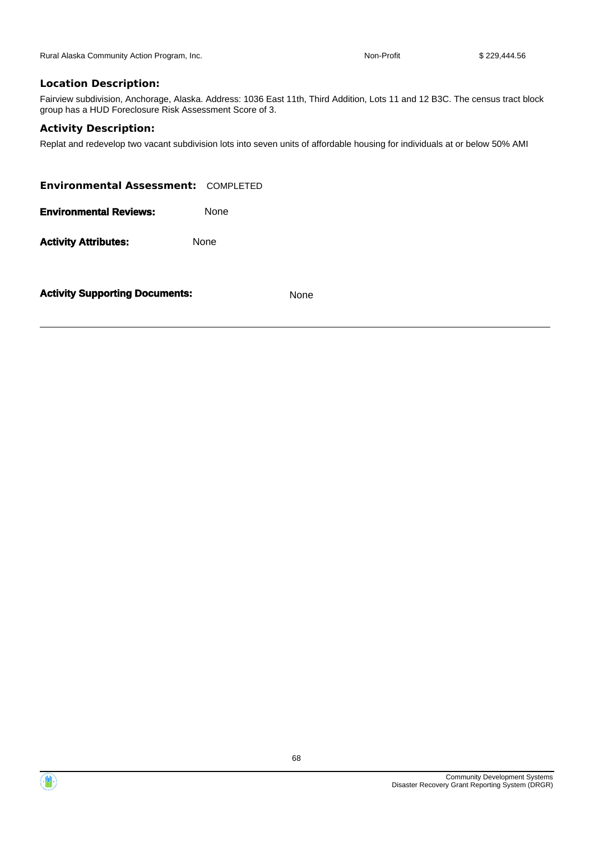Rural Alaska Community Action Program, Inc. Non-Profit \$ 229,444.56

### **Location Description:**

Fairview subdivision, Anchorage, Alaska. Address: 1036 East 11th, Third Addition, Lots 11 and 12 B3C. The census tract block group has a HUD Foreclosure Risk Assessment Score of 3.

### **Activity Description:**

Replat and redevelop two vacant subdivision lots into seven units of affordable housing for individuals at or below 50% AMI

**Environmental Assessment:** COMPLETED **Environmental Reviews:** None Activity **Attributes:** None

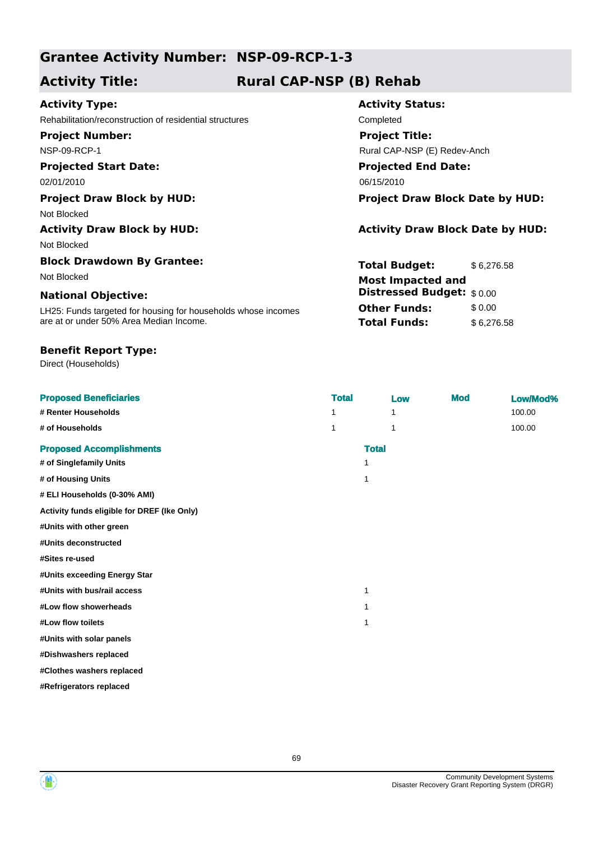# **Grantee Activity Number: NSP-09-RCP-1-3**

# **Activity Title: Rural CAP-NSP (B) Rehab**

# **Activity Type:**

Rehabilitation/reconstruction of residential structures Completed **Project Number:**

NSP-09-RCP-1

# **Projected Start Date:**

Not Blocked

Not Blocked

# **Block Drawdown By Grantee:**

## **National Objective:**

LH25: Funds targeted for housing for households whose incomes are at or under 50% Area Median Income.

## **Benefit Report Type:**

Direct (Households)

# **Activity Status: Projected End Date:** 02/01/2010 06/15/2010 06/15/2010 **Project Title:** Rural CAP-NSP (E) Redev-Anch

**Project Draw Block by HUD: Project Draw Block Date by HUD:**

# Activity Draw Block by HUD: **Activity Draw Block Date by HUD:** Activity Draw Block Date by HUD:

**Total Budget:** \$6,276.58 **Other Funds:** \$0.00 **Total Funds:** \$6,276.58 Not Blocked **Most Impacted and Distressed Budget:** \$ 0.00

| <b>Proposed Beneficiaries</b>               | <b>Total</b> | Low          | <b>Mod</b> | Low/Mod% |
|---------------------------------------------|--------------|--------------|------------|----------|
| # Renter Households                         | 1            | 1            |            | 100.00   |
| # of Households                             | 1            | 1            |            | 100.00   |
| <b>Proposed Accomplishments</b>             |              | <b>Total</b> |            |          |
| # of Singlefamily Units                     | 1            |              |            |          |
| # of Housing Units                          | 1            |              |            |          |
| # ELI Households (0-30% AMI)                |              |              |            |          |
| Activity funds eligible for DREF (Ike Only) |              |              |            |          |
| #Units with other green                     |              |              |            |          |
| #Units deconstructed                        |              |              |            |          |
| #Sites re-used                              |              |              |            |          |
| #Units exceeding Energy Star                |              |              |            |          |
| #Units with bus/rail access                 | 1            |              |            |          |
| #Low flow showerheads                       | 1            |              |            |          |
| #Low flow toilets                           | 1            |              |            |          |
| #Units with solar panels                    |              |              |            |          |
| #Dishwashers replaced                       |              |              |            |          |
| #Clothes washers replaced                   |              |              |            |          |
| #Refrigerators replaced                     |              |              |            |          |



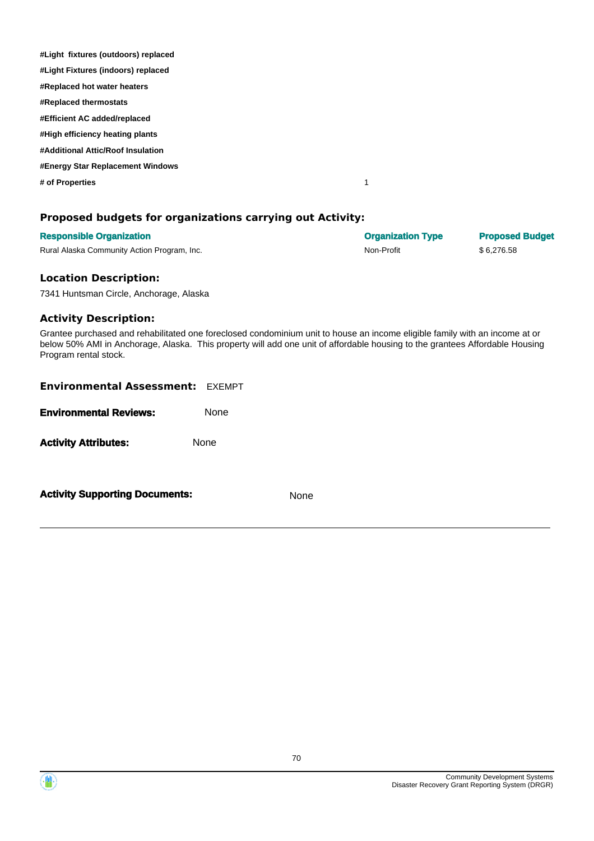| #Light fixtures (outdoors) replaced |  |
|-------------------------------------|--|
| #Light Fixtures (indoors) replaced  |  |
| #Replaced hot water heaters         |  |
| #Replaced thermostats               |  |
| #Efficient AC added/replaced        |  |
| #High efficiency heating plants     |  |
| #Additional Attic/Roof Insulation   |  |
| #Energy Star Replacement Windows    |  |
| # of Properties                     |  |
|                                     |  |

## **Proposed budgets for organizations carrying out Activity:**

| <b>Responsible Organization</b>             | <b>Organization Type</b> | <b>Proposed Budget</b> |
|---------------------------------------------|--------------------------|------------------------|
| Rural Alaska Community Action Program, Inc. | Non-Profit               | \$6.276.58             |

#### **Location Description:**

7341 Huntsman Circle, Anchorage, Alaska

#### **Activity Description:**

Grantee purchased and rehabilitated one foreclosed condominium unit to house an income eligible family with an income at or below 50% AMI in Anchorage, Alaska. This property will add one unit of affordable housing to the grantees Affordable Housing Program rental stock.

| <b>Environmental Assessment: EXEMPT</b> |      |
|-----------------------------------------|------|
| <b>Environmental Reviews:</b>           | None |
| <b>Activity Attributes:</b>             | None |
| <b>Activity Supporting Documents:</b>   | None |

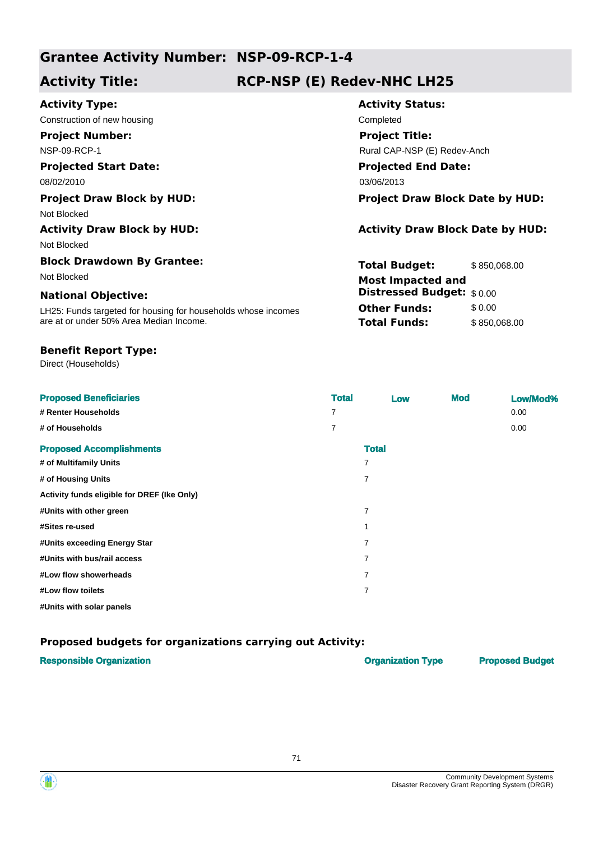# **Grantee Activity Number: NSP-09-RCP-1-4**

# **Activity Title: RCP-NSP (E) Redev-NHC LH25**

| <b>Activity Type:</b>                                         | <b>Activity Status:</b>                 |              |  |
|---------------------------------------------------------------|-----------------------------------------|--------------|--|
| Construction of new housing                                   | Completed                               |              |  |
| <b>Project Number:</b>                                        | <b>Project Title:</b>                   |              |  |
| <b>NSP-09-RCP-1</b>                                           | Rural CAP-NSP (E) Redev-Anch            |              |  |
| <b>Projected Start Date:</b>                                  | <b>Projected End Date:</b>              |              |  |
| 08/02/2010                                                    | 03/06/2013                              |              |  |
| <b>Project Draw Block by HUD:</b>                             | <b>Project Draw Block Date by HUD:</b>  |              |  |
| Not Blocked                                                   |                                         |              |  |
| <b>Activity Draw Block by HUD:</b>                            | <b>Activity Draw Block Date by HUD:</b> |              |  |
| Not Blocked                                                   |                                         |              |  |
| <b>Block Drawdown By Grantee:</b>                             | <b>Total Budget:</b>                    | \$850,068.00 |  |
| Not Blocked                                                   | <b>Most Impacted and</b>                |              |  |
| <b>National Objective:</b>                                    | <b>Distressed Budget:</b> \$0.00        |              |  |
| LH25: Funds targeted for housing for households whose incomes | <b>Other Funds:</b>                     | \$0.00       |  |
| are at or under 50% Area Median Income.                       | <b>Total Funds:</b>                     | \$850,068.00 |  |
|                                                               |                                         |              |  |

## **Benefit Report Type:**

Direct (Households)

| <b>Proposed Beneficiaries</b>               | <b>Total</b>   | Low            | <b>Mod</b> | Low/Mod% |
|---------------------------------------------|----------------|----------------|------------|----------|
| # Renter Households                         | 7              |                |            | 0.00     |
| # of Households                             | $\overline{7}$ |                |            | 0.00     |
| <b>Proposed Accomplishments</b>             |                | <b>Total</b>   |            |          |
| # of Multifamily Units                      |                |                |            |          |
| # of Housing Units                          |                | 7              |            |          |
| Activity funds eligible for DREF (Ike Only) |                |                |            |          |
| #Units with other green                     |                | 7              |            |          |
| #Sites re-used                              |                |                |            |          |
| #Units exceeding Energy Star                |                | 7              |            |          |
| #Units with bus/rail access                 |                | 7              |            |          |
| #Low flow showerheads                       |                | 7              |            |          |
| #Low flow toilets                           |                | $\overline{7}$ |            |          |
| #Units with solar panels                    |                |                |            |          |

# **Proposed budgets for organizations carrying out Activity:**

| <b>Responsible Organization</b> | <b>Organization Type</b> | <b>Proposed Budget</b> |
|---------------------------------|--------------------------|------------------------|
|                                 |                          |                        |



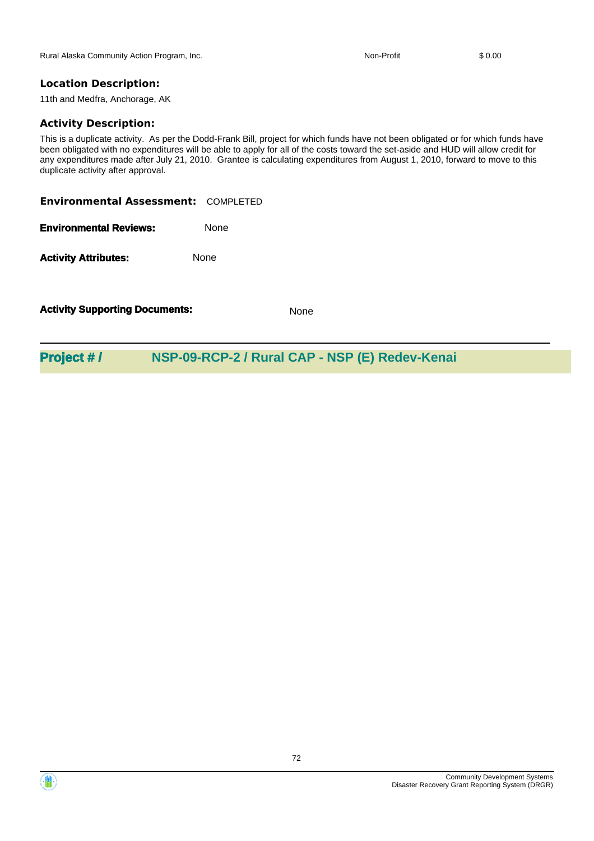Rural Alaska Community Action Program, Inc. Non-Profit Non-Profit \$ 0.00

# **Location Description:**

11th and Medfra, Anchorage, AK

#### **Activity Description:**

This is a duplicate activity. As per the Dodd-Frank Bill, project for which funds have not been obligated or for which funds have been obligated with no expenditures will be able to apply for all of the costs toward the set-aside and HUD will allow credit for any expenditures made after July 21, 2010. Grantee is calculating expenditures from August 1, 2010, forward to move to this duplicate activity after approval.

**Environmental Assessment:** COMPLETED

**Environmental Reviews:** None

Activity **Attributes:** None

**Activity Supporting Documents:** None

**Project # / NSP-09-RCP-2 / Rural CAP - NSP (E) Redev-Kenai**



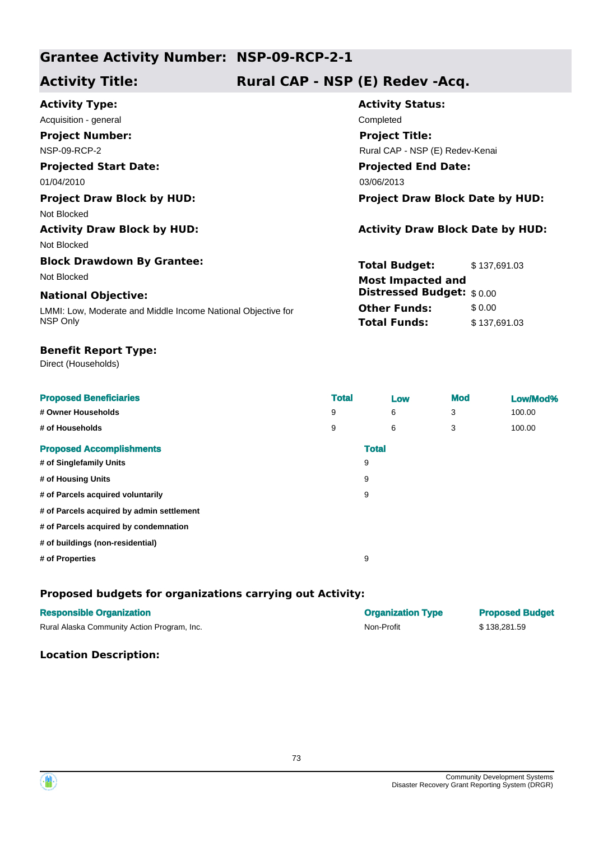## **Grantee Activity Number: NSP-09-RCP-2-1**

# **Activity Title: Rural CAP - NSP (E) Redev -Acq.**

| <b>Activity Type:</b>                                        | <b>Activity Status:</b>                 |  |  |
|--------------------------------------------------------------|-----------------------------------------|--|--|
| Acquisition - general                                        | Completed                               |  |  |
| <b>Project Number:</b>                                       | <b>Project Title:</b>                   |  |  |
| <b>NSP-09-RCP-2</b>                                          | Rural CAP - NSP (E) Redev-Kenai         |  |  |
| <b>Projected Start Date:</b>                                 | <b>Projected End Date:</b>              |  |  |
| 01/04/2010                                                   | 03/06/2013                              |  |  |
| <b>Project Draw Block by HUD:</b>                            | <b>Project Draw Block Date by HUD:</b>  |  |  |
| Not Blocked                                                  |                                         |  |  |
| <b>Activity Draw Block by HUD:</b>                           | <b>Activity Draw Block Date by HUD:</b> |  |  |
| Not Blocked                                                  |                                         |  |  |
| <b>Block Drawdown By Grantee:</b>                            | Total Budget:<br>\$137,691.03           |  |  |
| Not Blocked                                                  | <b>Most Impacted and</b>                |  |  |
| <b>National Objective:</b>                                   | <b>Distressed Budget: \$0.00</b>        |  |  |
| LMMI: Low, Moderate and Middle Income National Objective for | <b>Other Funds:</b><br>\$0.00           |  |  |
| NSP Only                                                     | <b>Total Funds:</b><br>\$137,691.03     |  |  |

#### **Benefit Report Type:**

Direct (Households)

| <b>Proposed Beneficiaries</b>             | <b>Total</b> |              | Low |   | <b>Mod</b> | Low/Mod% |
|-------------------------------------------|--------------|--------------|-----|---|------------|----------|
| # Owner Households                        | 9            |              | 6   | 3 |            | 100.00   |
| # of Households                           | 9            |              | 6   | 3 |            | 100.00   |
| <b>Proposed Accomplishments</b>           |              | <b>Total</b> |     |   |            |          |
| # of Singlefamily Units                   |              | 9            |     |   |            |          |
| # of Housing Units                        |              | 9            |     |   |            |          |
| # of Parcels acquired voluntarily         |              | 9            |     |   |            |          |
| # of Parcels acquired by admin settlement |              |              |     |   |            |          |
| # of Parcels acquired by condemnation     |              |              |     |   |            |          |
| # of buildings (non-residential)          |              |              |     |   |            |          |
| # of Properties                           |              | 9            |     |   |            |          |

### **Proposed budgets for organizations carrying out Activity:**

| <b>Responsible Organization</b>             | <b>Organization Type</b> | <b>Proposed Budget</b> |
|---------------------------------------------|--------------------------|------------------------|
| Rural Alaska Community Action Program, Inc. | Non-Profit               | \$138.281.59           |

#### **Location Description:**



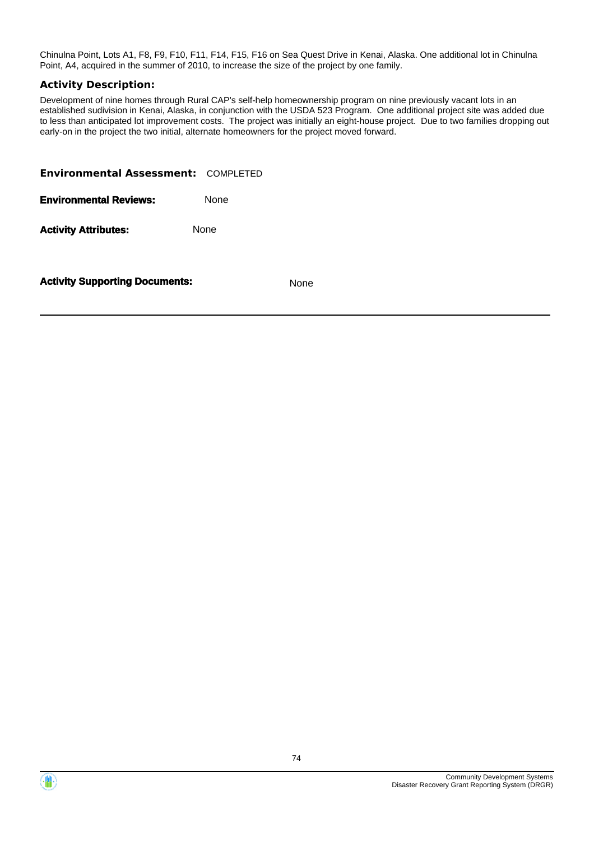Chinulna Point, Lots A1, F8, F9, F10, F11, F14, F15, F16 on Sea Quest Drive in Kenai, Alaska. One additional lot in Chinulna Point, A4, acquired in the summer of 2010, to increase the size of the project by one family.

#### **Activity Description:**

Development of nine homes through Rural CAP's self-help homeownership program on nine previously vacant lots in an established sudivision in Kenai, Alaska, in conjunction with the USDA 523 Program. One additional project site was added due to less than anticipated lot improvement costs. The project was initially an eight-house project. Due to two families dropping out early-on in the project the two initial, alternate homeowners for the project moved forward.

| <b>Environmental Assessment: COMPLETED</b> |             |
|--------------------------------------------|-------------|
| <b>Environmental Reviews:</b>              | <b>None</b> |
| <b>Activity Attributes:</b>                | None        |
|                                            |             |

**Activity Supporting Documents:** None



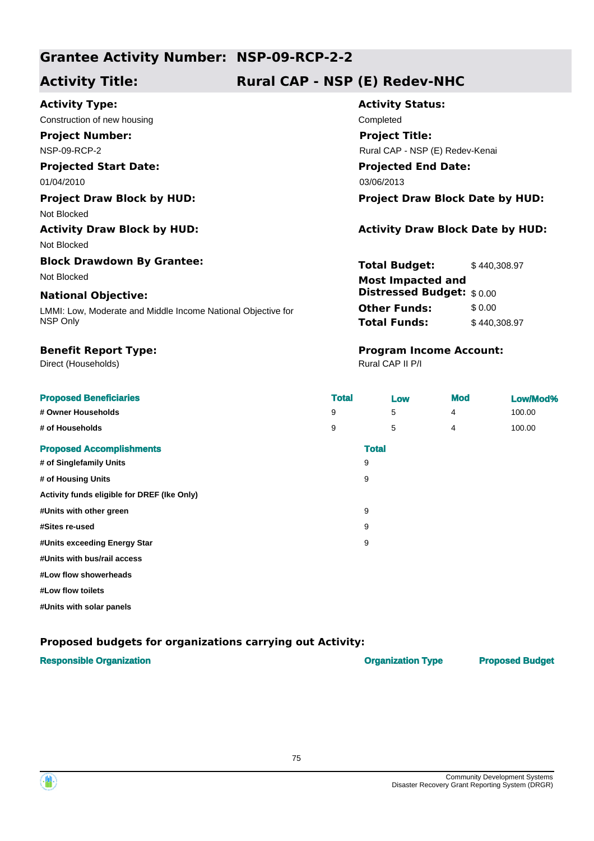## **Grantee Activity Number: NSP-09-RCP-2-2**

# **Activity Title: Rural CAP - NSP (E) Redev-NHC**

#### **Activity Type:**

Construction of new housing Completed **Project Number:**

NSP-09-RCP-2

#### **Projected Start Date:** 01/04/2010 03/06/2013

Not Blocked

# Not Blocked

**Block Drawdown By Grantee:**

#### **National Objective:**

LMMI: Low, Moderate and Middle Income National Objective for NSP Only

Direct (Households)

# **Activity Status: Projected End Date: Project Title:** Rural CAP - NSP (E) Redev-Kenai

#### **Project Draw Block by HUD: Project Draw Block Date by HUD:**

### **Activity Draw Block by HUD: Activity Draw Block Date by HUD:**

**Total Budget:** \$ 440,308.97 **Other Funds:** \$0.00 **Total Funds:** \$440,308.97 Not Blocked **Most Impacted and Distressed Budget:** \$ 0.00

# **Benefit Report Type: Program Income Account:**

Rural CAP II P/I

| <b>Proposed Beneficiaries</b>               | <b>Total</b> | Low          | <b>Mod</b> | Low/Mod% |
|---------------------------------------------|--------------|--------------|------------|----------|
| # Owner Households                          | 9            | 5            | 4          | 100.00   |
| # of Households                             | 9            | 5            | 4          | 100.00   |
| <b>Proposed Accomplishments</b>             |              | <b>Total</b> |            |          |
| # of Singlefamily Units                     | 9            |              |            |          |
| # of Housing Units                          | 9            |              |            |          |
| Activity funds eligible for DREF (Ike Only) |              |              |            |          |
| #Units with other green                     | 9            |              |            |          |
| #Sites re-used                              | 9            |              |            |          |
| #Units exceeding Energy Star                | 9            |              |            |          |
| #Units with bus/rail access                 |              |              |            |          |
| #Low flow showerheads                       |              |              |            |          |

**#Low flow toilets**

**#Units with solar panels**

### **Proposed budgets for organizations carrying out Activity:**

### **Responsible Organization Construction Construction Type Proposed Budget Proposed Budget**



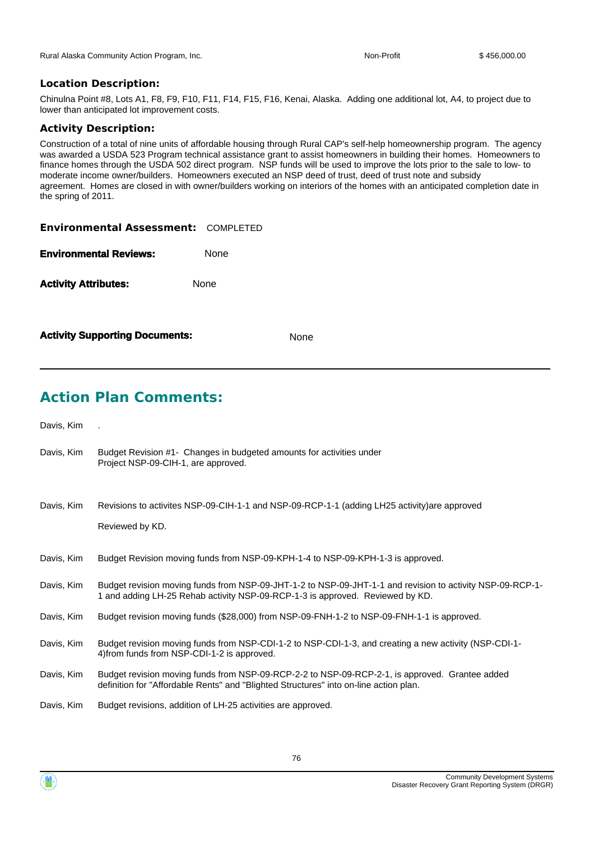#### **Location Description:**

Chinulna Point #8, Lots A1, F8, F9, F10, F11, F14, F15, F16, Kenai, Alaska. Adding one additional lot, A4, to project due to lower than anticipated lot improvement costs.

#### **Activity Description:**

Construction of a total of nine units of affordable housing through Rural CAP's self-help homeownership program. The agency was awarded a USDA 523 Program technical assistance grant to assist homeowners in building their homes. Homeowners to finance homes through the USDA 502 direct program. NSP funds will be used to improve the lots prior to the sale to low- to moderate income owner/builders. Homeowners executed an NSP deed of trust, deed of trust note and subsidy agreement. Homes are closed in with owner/builders working on interiors of the homes with an anticipated completion date in the spring of 2011.

| <b>Environmental Assessment: COMPLETED</b> |             |
|--------------------------------------------|-------------|
| <b>Environmental Reviews:</b>              | <b>None</b> |
| <b>Activity Attributes:</b>                | None        |
|                                            |             |

| <b>Activity Supporting Documents:</b> | None |
|---------------------------------------|------|
|---------------------------------------|------|

# **Action Plan Comments:**

Davis, Kim .

- Budget Revision #1- Changes in budgeted amounts for activities under Project NSP-09-CIH-1, are approved. Davis, Kim
- Revisions to activites NSP-09-CIH-1-1 and NSP-09-RCP-1-1 (adding LH25 activity)are approved Reviewed by KD. Davis, Kim
- Davis, Kim Budget Revision moving funds from NSP-09-KPH-1-4 to NSP-09-KPH-1-3 is approved.
- Budget revision moving funds from NSP-09-JHT-1-2 to NSP-09-JHT-1-1 and revision to activity NSP-09-RCP-1- 1 and adding LH-25 Rehab activity NSP-09-RCP-1-3 is approved. Reviewed by KD. Davis, Kim
- Davis, Kim Budget revision moving funds (\$28,000) from NSP-09-FNH-1-2 to NSP-09-FNH-1-1 is approved.
- Budget revision moving funds from NSP-CDI-1-2 to NSP-CDI-1-3, and creating a new activity (NSP-CDI-1- 4)from funds from NSP-CDI-1-2 is approved. Davis, Kim
- Budget revision moving funds from NSP-09-RCP-2-2 to NSP-09-RCP-2-1, is approved. Grantee added definition for "Affordable Rents" and "Blighted Structures" into on-line action plan. Davis, Kim
- Davis, Kim Budget revisions, addition of LH-25 activities are approved.

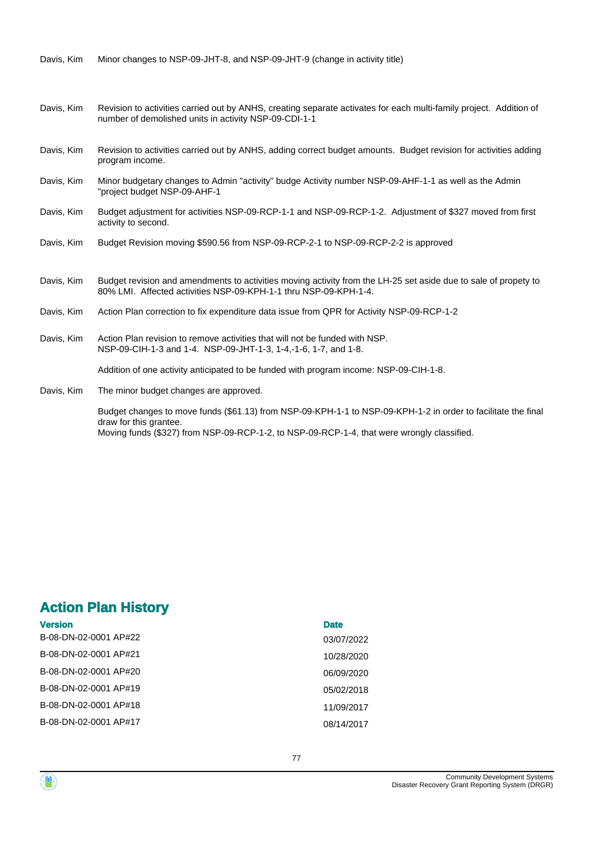Davis, Kim Minor changes to NSP-09-JHT-8, and NSP-09-JHT-9 (change in activity title)

- Revision to activities carried out by ANHS, creating separate activates for each multi-family project. Addition of number of demolished units in activity NSP-09-CDI-1-1 Davis, Kim
- Revision to activities carried out by ANHS, adding correct budget amounts. Budget revision for activities adding program income. Davis, Kim
- Minor budgetary changes to Admin "activity" budge Activity number NSP-09-AHF-1-1 as well as the Admin "project budget NSP-09-AHF-1 Davis, Kim
- Budget adjustment for activities NSP-09-RCP-1-1 and NSP-09-RCP-1-2. Adjustment of \$327 moved from first activity to second. Davis, Kim
- Davis, Kim Budget Revision moving \$590.56 from NSP-09-RCP-2-1 to NSP-09-RCP-2-2 is approved
- Budget revision and amendments to activities moving activity from the LH-25 set aside due to sale of propety to 80% LMI. Affected activities NSP-09-KPH-1-1 thru NSP-09-KPH-1-4. Davis, Kim
- Davis, Kim Action Plan correction to fix expenditure data issue from QPR for Activity NSP-09-RCP-1-2
- Action Plan revision to remove activities that will not be funded with NSP. NSP-09-CIH-1-3 and 1-4. NSP-09-JHT-1-3, 1-4,-1-6, 1-7, and 1-8. Davis, Kim

Addition of one activity anticipated to be funded with program income: NSP-09-CIH-1-8.

The minor budget changes are approved. Davis, Kim

> Budget changes to move funds (\$61.13) from NSP-09-KPH-1-1 to NSP-09-KPH-1-2 in order to facilitate the final draw for this grantee. Moving funds (\$327) from NSP-09-RCP-1-2, to NSP-09-RCP-1-4, that were wrongly classified.

# **Action Plan History**

| <b>Version</b>        | <b>Date</b> |
|-----------------------|-------------|
| B-08-DN-02-0001 AP#22 | 03/07/2022  |
| B-08-DN-02-0001 AP#21 | 10/28/2020  |
| B-08-DN-02-0001 AP#20 | 06/09/2020  |
| B-08-DN-02-0001 AP#19 | 05/02/2018  |
| B-08-DN-02-0001 AP#18 | 11/09/2017  |
| B-08-DN-02-0001 AP#17 | 08/14/2017  |